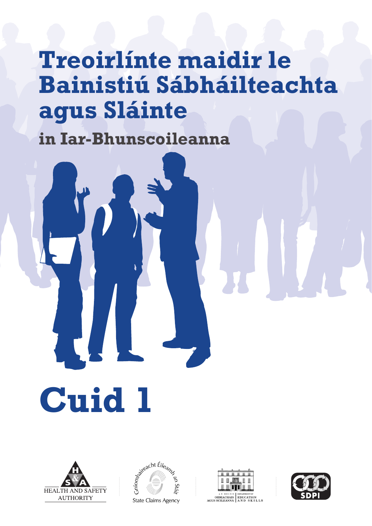## **Treoirlínte maidir le Bainistiú Sábháilteachta agus Sláinte**

**in Iar-Bhunscoileanna**

**HEALTH AND SAFETY AUTHORITY** 

**Cuid 1**





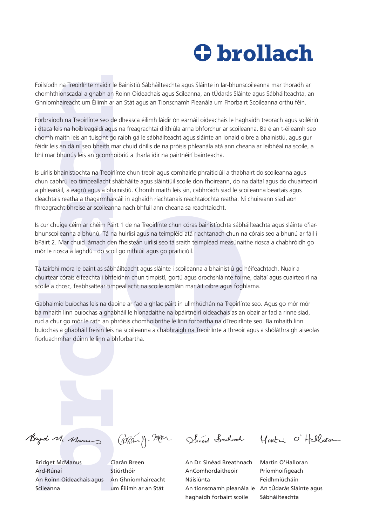## **brollach**

chomhthionscadal a ghabh an Roinn Oideachais agus Scileanna, an tÚdarás Sláinte agus Sábháilteachta, an Ghníomhaireacht um Éilimh ar an Stát agus an Tionscnamh Pleanála um Fhorbairt Scoileanna orthu féin.

**brollach na Interimentade le Banshú Sábháilteachta agus Sláinne le le Brunocoloonna mar thoradh ar<br>channiumscolia ariphalis en lors Oddocha agus Shahen, an iúdocha Sáncha a Sáncha Machanna a Treonfering a de dinessa dilen** Forbraíodh na Treoirlínte seo de dheasca éilimh láidir ón earnáil oideachais le haghaidh treorach agus soiléiriú i dtaca leis na hoibleagáidí agus na freagrachtaí dlíthiúla arna bhforchur ar scoileanna. Ba é an t-éileamh seo chomh maith leis an tuiscint go raibh gá le sábháilteacht agus sláinte an ionaid oibre a bhainistiú, agus gur féidir leis an dá ní seo bheith mar chuid dhílis de na próisis phleanála atá ann cheana ar leibhéal na scoile, a bhí mar bhunús leis an gcomhoibriú a tharla idir na pairtnéirí bainteacha.

Is uirlis bhainistíochta na Treoirlínte chun treoir agus comhairle phraiticiúil a thabhairt do scoileanna agus chun cabhrú leo timpeallacht shábháilte agus sláintiúil scoile don fhoireann, do na daltaí agus do chuairteoirí a phleanáil, a eagrú agus a bhainistiú. Chomh maith leis sin, cabhróidh siad le scoileanna beartais agus cleachtais reatha a thagarmharcáil in aghaidh riachtanais reachtaíochta reatha. Ní chuireann siad aon fhreagracht bhreise ar scoileanna nach bhfuil ann cheana sa reachtaíocht.

Is cur chuige céim ar chéim Páirt 1 de na Treoirlínte chun córas bainistíochta sábháilteachta agus sláinte d'iarbhunscoileanna a bhunú. Tá na huirlisí agus na teimpléid atá riachtanach chun na córais seo a bhunú ar fáil i bPáirt 2. Mar chuid lárnach den fheisteán uirlisí seo tá sraith teimpléad measúnaithe riosca a chabhróidh go mór le riosca a laghdú i do scoil go nithiúil agus go praiticiúil.

Tá tairbhí móra le baint as sábháilteacht agus sláinte i scoileanna a bhainistiú go héifeachtach. Nuair a chuirtear córais éifeachta i bhfeidhm chun timpistí, gortú agus drochshláinte foirne, daltaí agus cuairteoirí na scoile a chosc, feabhsaítear timpeallacht na scoile iomláin mar áit oibre agus foghlama.

Gabhaimid buíochas leis na daoine ar fad a ghlac páirt in ullmhúchán na Treoirlínte seo. Agus go mór mór ba mhaith linn buíochas a ghabháil le hionadaithe na bpáirtnéirí oideachais as an obair ar fad a rinne siad, rud a chur go mór le rath an phróisis chomhoibrithe le linn forbartha na dTreoirlínte seo. Ba mhaith linn buíochas a ghabháil freisin leis na scoileanna a chabhraigh na Treoirlínte a threoir agus a shóláthraigh aiseolas fíorluachmhar dúinn le linn a bhforbartha.

Bridget McManus Ard-Rúnaí An Roinn Oideachais agus Scileanna

Ciarán Breen Stiúrthóir An Ghníomhaireacht um Éilimh ar an Stát

An Dr. Sinéad Breathnach AnComhordaitheoir Náisiúnta An tionscnamh pleanála le An tÚdarás Sláinte agus haghaidh forbairt scoile

Martin O'Halloran Príomhoifigeach Feidhmiúcháin Sábháilteachta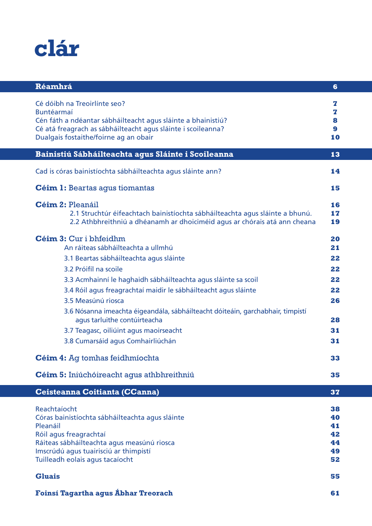

| Réamhrá                                                                                                                                                                                                                                                                                                                                                                                                                                                                                                                        | 6                                                              |
|--------------------------------------------------------------------------------------------------------------------------------------------------------------------------------------------------------------------------------------------------------------------------------------------------------------------------------------------------------------------------------------------------------------------------------------------------------------------------------------------------------------------------------|----------------------------------------------------------------|
| Cé dóibh na Treoirlínte seo?<br>Buntéarmaí<br>Cén fáth a ndéantar sábháilteacht agus sláinte a bhainistiú?<br>Cé atá freagrach as sábháilteacht agus sláinte i scoileanna?<br>Dualgais fostaithe/foirne ag an obair                                                                                                                                                                                                                                                                                                            | z<br>z<br>8<br>9<br>10                                         |
| Bainistiú Sábháilteachta agus Sláinte i Scoileanna                                                                                                                                                                                                                                                                                                                                                                                                                                                                             | 13                                                             |
| Cad is córas bainistíochta sábháilteachta agus sláinte ann?                                                                                                                                                                                                                                                                                                                                                                                                                                                                    | 14                                                             |
| <b>Céim 1:</b> Beartas agus tiomantas                                                                                                                                                                                                                                                                                                                                                                                                                                                                                          | 15                                                             |
| <b>Céim 2: Pleanáil</b><br>2.1 Struchtúr éifeachtach bainistíochta sábháilteachta agus sláinte a bhunú.<br>2.2 Athbhreithniú a dhéanamh ar dhoiciméid agus ar chórais atá ann cheana                                                                                                                                                                                                                                                                                                                                           | 16<br>17<br>19                                                 |
| Céim 3: Cur i bhfeidhm<br>An ráiteas sábháilteachta a ullmhú<br>3.1 Beartas sábháilteachta agus sláinte<br>3.2 Próifíl na scoile<br>3.3 Acmhainní le haghaidh sábháilteachta agus sláinte sa scoil<br>3.4 Róil agus freagrachtaí maidir le sábháilteacht agus sláinte<br>3.5 Measúnú riosca<br>3.6 Nósanna imeachta éigeandála, sábháilteacht dóiteáin, garchabhair, timpistí<br>agus tarluithe contúirteacha<br>3.7 Teagasc, oiliúint agus maoirseacht<br>3.8 Cumarsáid agus Comhairliúchán<br>Céim 4: Ag tomhas feidhmíochta | 20<br>21<br>22<br>22<br>22<br>22<br>26<br>28<br>31<br>31<br>33 |
| Céim 5: Iniúchóireacht agus athbhreithniú                                                                                                                                                                                                                                                                                                                                                                                                                                                                                      | 35                                                             |
| Ceisteanna Coitianta (CCanna)<br>Reachtaíocht<br>Córas bainistíochta sábháilteachta agus sláinte<br>Pleanáil<br>Róil agus freagrachtaí<br>Ráiteas sábháilteachta agus measúnú riosca<br>Imscrúdú agus tuairisciú ar thimpistí<br>Tuilleadh eolais agus tacaíocht                                                                                                                                                                                                                                                               | 37<br>38<br>40<br>41<br>42<br>44<br>49<br>52                   |
| <b>Gluais</b>                                                                                                                                                                                                                                                                                                                                                                                                                                                                                                                  | 55                                                             |
| Foinsí Tagartha agus Ábhar Treorach                                                                                                                                                                                                                                                                                                                                                                                                                                                                                            | 61                                                             |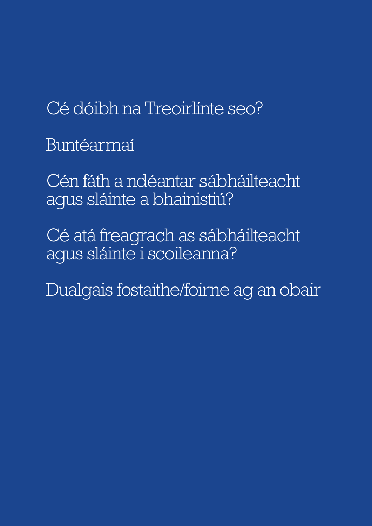Cé dóibh na Treoirlínte seo?

Buntéarmaí

Cén fáth a ndéantar sábháilteacht agus sláinte a bhainistiú?

Cé atá freagrach as sábháilteacht agus sláinte i scoileanna?

Dualgais fostaithe/foirne ag an obair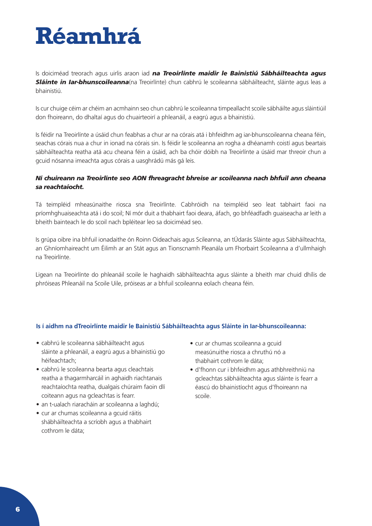<span id="page-6-0"></span>

Is doiciméad treorach agus uirlis araon iad *na Treoirlínte maidir le Bainistiú Sábháilteachta agus Sláinte in Iar-bhunscoileanna*(na Treoirlínte) chun cabhrú le scoileanna sábháilteacht, sláinte agus leas a bhainistiú.

Is cur chuige céim ar chéim an acmhainn seo chun cabhrú le scoileanna timpeallacht scoile sábháilte agus sláintiúil don fhoireann, do dhaltaí agus do chuairteoirí a phleanáil, a eagrú agus a bhainistiú.

Is féidir na Treoirlínte a úsáid chun feabhas a chur ar na córais atá i bhfeidhm ag iar-bhunscoileanna cheana féin, seachas córais nua a chur in ionad na córais sin. Is féidir le scoileanna an rogha a dhéanamh coistí agus beartais sábháilteachta reatha atá acu cheana féin a úsáid, ach ba chóir dóibh na Treoirlínte a úsáid mar threoir chun a gcuid nósanna imeachta agus córais a uasghrádú más gá leis.

### *Ní chuireann na Treoirlínte seo AON fhreagracht bhreise ar scoileanna nach bhfuil ann cheana sa reachtaíocht.*

Tá teimpléid mheasúnaithe riosca sna Treoirlínte. Cabhróidh na teimpléid seo leat tabhairt faoi na príomhghuaiseachta atá i do scoil; Ní mór duit a thabhairt faoi deara, áfach, go bhféadfadh guaiseacha ar leith a bheith bainteach le do scoil nach bpléitear leo sa doiciméad seo.

Is grúpa oibre ina bhfuil ionadaithe ón Roinn Oideachais agus Scileanna, an tÚdarás Sláinte agus Sábháilteachta, an Ghníomhaireacht um Éilimh ar an Stát agus an Tionscnamh Pleanála um Fhorbairt Scoileanna a d'ullmhaigh na Treoirlínte.

Ligean na Treoirlínte do phleanáil scoile le haghaidh sábháilteachta agus sláinte a bheith mar chuid dhílis de phróiseas Phleanáil na Scoile Uile, próiseas ar a bhfuil scoileanna eolach cheana féin.

### **Is í aidhm na dTreoirlínte maidir le Bainistiú Sábháilteachta agus Sláinte in Iar-bhunscoileanna:**

- cabhrú le scoileanna sábháilteacht agus sláinte a phleanáil, a eagrú agus a bhainistiú go héifeachtach;
- cabhrú le scoileanna bearta agus cleachtais reatha a thagarmharcáil in aghaidh riachtanais reachtaíochta reatha, dualgais chúraim faoin dlí coiteann agus na gcleachtas is fearr.
- an t-ualach riaracháin ar scoileanna a laghdú;
- cur ar chumas scoileanna a gcuid ráitis shábháilteachta a scríobh agus a thabhairt cothrom le dáta;
- cur ar chumas scoileanna a gcuid measúnuithe riosca a chruthú nó a thabhairt cothrom le dáta;
- d'fhonn cur i bhfeidhm agus athbhreithniú na gcleachtas sábháilteachta agus sláinte is fearr a éascú do bhainistíocht agus d'fhoireann na scoile.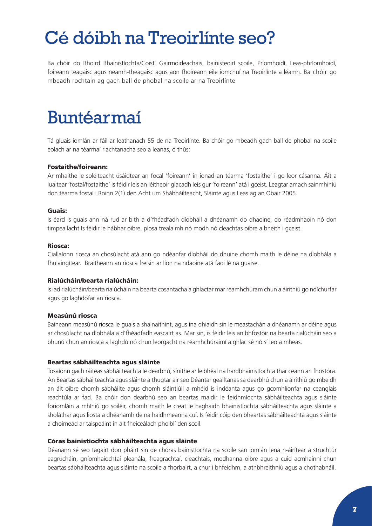## <span id="page-7-0"></span>Cé dóibh na Treoirlínte seo?

Ba chóir do Bhoird Bhainistíochta/Coistí Gairmoideachais, bainisteoirí scoile, Príomhoidí, Leas-phríomhoidí, foireann teagaisc agus neamh-theagaisc agus aon fhoireann eile iomchuí na Treoirlínte a léamh. Ba chóir go mbeadh rochtain ag gach ball de phobal na scoile ar na Treoirlínte

## Buntéarmaí

Tá gluais iomlán ar fáil ar leathanach 55 de na Treoirlínte. Ba chóir go mbeadh gach ball de phobal na scoile eolach ar na téarmaí riachtanacha seo a leanas, ó thús:

#### Fostaithe/foireann:

Ar mhaithe le soléiteacht úsáidtear an focal 'foireann' in ionad an téarma 'fostaithe' i go leor cásanna. Áit a luaitear 'fostaí/fostaithe' is féidir leis an léitheoir glacadh leis gur 'foireann' atá i gceist. Leagtar amach sainmhíniú don téarma fostaí i Roinn 2(1) den Acht um Shábháilteacht, Sláinte agus Leas ag an Obair 2005.

#### Guais:

Is éard is guais ann ná rud ar bith a d'fhéadfadh díobháil a dhéanamh do dhaoine, do réadmhaoin nó don timpeallacht Is féidir le hábhar oibre, píosa trealaimh nó modh nó cleachtas oibre a bheith i gceist.

#### Riosca:

Ciallaíonn riosca an chosúlacht atá ann go ndéanfar díobháil do dhuine chomh maith le déine na díobhála a fhulaingítear. Braitheann an riosca freisin ar líon na ndaoine atá faoi lé na guaise.

### Rialúcháin/bearta rialúcháin:

Is iad rialúcháin/bearta rialúcháin na bearta cosantacha a ghlactar mar réamhchúram chun a áirithiú go ndíchurfar agus go laghdófar an riosca.

#### Measúnú riosca

Baineann measúnú riosca le guais a shainaithint, agus ina dhiaidh sin le meastachán a dhéanamh ar déine agus ar chosúlacht na díobhála a d'fhéadfadh eascairt as. Mar sin, is féidir leis an bhfostóir na bearta rialúcháin seo a bhunú chun an riosca a laghdú nó chun leorgacht na réamhchúraimí a ghlac sé nó sí leo a mheas.

#### Beartas sábháilteachta agus sláinte

Tosaíonn gach ráiteas sábháilteachta le dearbhú, sínithe ar leibhéal na hardbhainistíochta thar ceann an fhostóra. An Beartas sábháilteachta agus sláinte a thugtar air seo Déantar gealltanas sa dearbhú chun a áirithiú go mbeidh an áit oibre chomh sábháilte agus chomh sláintiúil a mhéid is indéanta agus go gcomhlíonfar na ceanglais reachtúla ar fad. Ba chóir don dearbhú seo an beartas maidir le feidhmíochta sábháilteachta agus sláinte foriomláin a mhíniú go soiléir, chomh maith le creat le haghaidh bhainistíochta sábháilteachta agus sláinte a sholáthar agus liosta a dhéanamh de na haidhmeanna cuí. Is féidir cóip den bheartas sábháilteachta agus sláinte a choimeád ar taispeáint in áit fheiceálach phoiblí den scoil.

#### Córas bainistíochta sábháilteachta agus sláinte

Déanann sé seo tagairt don pháirt sin de chóras bainistíochta na scoile san iomlán lena n-áirítear a struchtúr eagrúcháin, gníomhaíochtaí pleanála, freagrachtaí, cleachtais, modhanna oibre agus a cuid acmhainní chun beartas sábháilteachta agus sláinte na scoile a fhorbairt, a chur i bhfeidhm, a athbhreithniú agus a chothabháil.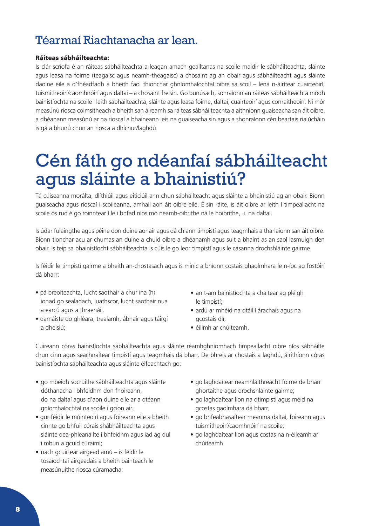## <span id="page-8-0"></span>Téarmaí Riachtanacha ar lean.

### Ráiteas sábháilteachta:

Is clár scríofa é an ráiteas sábháilteachta a leagan amach gealltanas na scoile maidir le sábháilteachta, sláinte agus leasa na foirne (teagaisc agus neamh-theagaisc) a chosaint ag an obair agus sábháilteacht agus sláinte daoine eile a d'fhéadfadh a bheith faoi thionchar ghníomhaíochtaí oibre sa scoil – lena n-áirítear cuairteoirí, tuismitheoirí/caomhnóirí agus daltaí – a chosaint freisin. Go bunúsach, sonraíonn an ráiteas sábháilteachta modh bainistíochta na scoile i leith sábháilteachta, sláinte agus leasa foirne, daltaí, cuairteoirí agus conraitheoirí. Ní mór measúnú riosca coimsitheach a bheith san áireamh sa ráiteas sábháilteachta a aithníonn guaiseacha san áit oibre, a dhéanann measúnú ar na rioscaí a bhaineann leis na guaiseacha sin agus a shonraíonn cén beartais rialúcháin is gá a bhunú chun an riosca a dhíchur/laghdú.

## Cén fáth go ndéanfaí sábháilteacht agus sláinte a bhainistiú?

Tá cúiseanna morálta, dlíthiúil agus eiticiúil ann chun sábháilteacht agus sláinte a bhainistiú ag an obair. Bíonn guaiseacha agus rioscaí i scoileanna, amhail aon áit oibre eile. É sin ráite, is áit oibre ar leith í timpeallacht na scoile ós rud é go roinntear í le i bhfad níos mó neamh-oibrithe ná le hoibrithe, .i. na daltaí.

Is údar fulaingthe agus péine don duine aonair agus dá chlann timpistí agus teagmhais a tharlaíonn san áit oibre. Bíonn tionchar acu ar chumas an duine a chuid oibre a dhéanamh agus sult a bhaint as an saol lasmuigh den obair. Is teip sa bhainistíocht sábháilteachta is cúis le go leor timpistí agus le cásanna drochshláinte gairme.

Is féidir le timpistí gairme a bheith an-chostasach agus is minic a bhíonn costais ghaolmhara le n-íoc ag fostóirí dá bharr:

- pá breoiteachta, lucht saothair a chur ina (h) ionad go sealadach, luathscor, lucht saothair nua a earcú agus a thraenáil.
- damáiste do ghléara, trealamh, ábhair agus táirgí a dheisiú;
- an t-am bainistíochta a chaitear ag pléigh le timpistí;
- ardú ar mhéid na dtáillí árachais agus na gcostais dlí;
- éilimh ar chúiteamh.

Cuireann córas bainistíochta sábháilteachta agus sláinte réamhghníomhach timpeallacht oibre níos sábháilte chun cinn agus seachnaítear timpistí agus teagmhais dá bharr. De bhreis ar chostais a laghdú, áirithíonn córas bainistíochta sábháilteachta agus sláinte éifeachtach go:

- go mbeidh socruithe sábháilteachta agus sláinte dóthanacha i bhfeidhm don fhoireann, do na daltaí agus d'aon duine eile ar a dtéann gníomhaíochtaí na scoile i gcion air.
- gur féidir le múinteoirí agus foireann eile a bheith cinnte go bhfuil córais shábháilteachta agus sláinte dea-phleanáilte i bhfeidhm agus iad ag dul i mbun a gcuid cúraimí;
- nach gcuirtear airgead amú is féidir le tosaíochtaí airgeadais a bheith bainteach le measúnuithe riosca cúramacha;
- go laghdaítear neamhláithreacht foirne de bharr ghortaithe agus drochshláinte gairme;
- go laghdaítear líon na dtimpistí agus méid na gcostas gaolmhara dá bharr;
- go bhfeabhasaítear meanma daltaí, foireann agus tuismitheoirí/caomhnóirí na scoile;
- go laghdaítear líon agus costas na n-éileamh ar chúiteamh.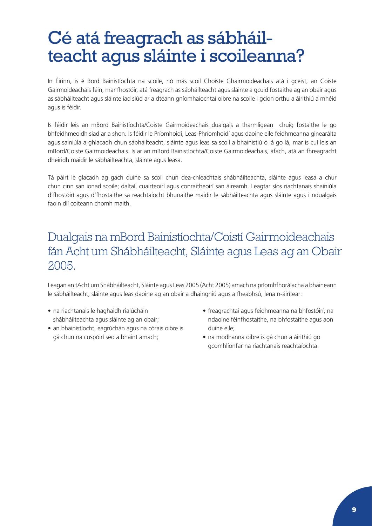# <span id="page-9-0"></span>Cé atá freagrach as sábháil-<br>teacht agus sláinte i scoileanna?

In Éirinn, is é Bord Bainistíochta na scoile, nó más scoil Choiste Ghairmoideachais atá i gceist, an Coiste Gairmoideachais féin, mar fhostóir, atá freagrach as sábháilteacht agus sláinte a gcuid fostaithe ag an obair agus as sábháilteacht agus sláinte iad siúd ar a dtéann gníomhaíochtaí oibre na scoile i gcion orthu a áirithiú a mhéid agus is féidir.

Is féidir leis an mBord Bainistíochta/Coiste Gairmoideachais dualgais a tharmligean chuig fostaithe le go bhfeidhmeoidh siad ar a shon. Is féidir le Príomhoidí, Leas-Phríomhoidí agus daoine eile feidhmeanna ginearálta agus sainiúla a ghlacadh chun sábháilteacht, sláinte agus leas sa scoil a bhainistiú ó lá go lá, mar is cuí leis an mBord/Coiste Gairmoideachais. Is ar an mBord Bainistíochta/Coiste Gairmoideachais, áfach, atá an fhreagracht dheiridh maidir le sábháilteachta, sláinte agus leasa.

Tá páirt le glacadh ag gach duine sa scoil chun dea-chleachtais shábháilteachta, sláinte agus leasa a chur chun cinn san ionad scoile; daltaí, cuairteoirí agus conraitheoirí san áireamh. Leagtar síos riachtanais shainiúla d'fhostóirí agus d'fhostaithe sa reachtaíocht bhunaithe maidir le sábháilteachta agus sláinte agus i ndualgais faoin dlí coiteann chomh maith.

## Dualgais na mBord Bainistíochta/Coistí Gairmoideachais fán Acht um Shábháilteacht, Sláinte agus Leas ag an Obair 2005.

Leagan an tAcht um Shábháilteacht, Sláinte agus Leas 2005 (Acht 2005) amach na príomhfhorálacha a bhaineann le sábháilteacht, sláinte agus leas daoine ag an obair a dhaingniú agus a fheabhsú, lena n-áirítear:

- na riachtanais le haghaidh rialúcháin shábháilteachta agus sláinte ag an obair;
- an bhainistíocht, eagrúchán agus na córais oibre is gá chun na cuspóirí seo a bhaint amach;
- freagrachtaí agus feidhmeanna na bhfostóirí, na ndaoine féinfhostaithe, na bhfostaithe agus aon duine eile;
- na modhanna oibre is gá chun a áirithiú go gcomhlíonfar na riachtanais reachtaíochta.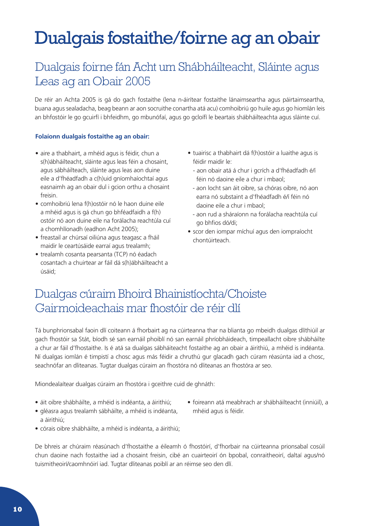## <span id="page-10-0"></span>Dualgais fostaithe/foirne ag an obair

## Dualgais foirne fán Acht um Shábháilteacht, Sláinte agus Leas ag an Obair 2005

De réir an Achta 2005 is gá do gach fostaithe (lena n-áirítear fostaithe lánaimseartha agus páirtaimseartha, buana agus sealadacha, beag beann ar aon socruithe conartha atá acu) comhoibriú go huile agus go hiomlán leis an bhfostóir le go gcuirfí i bhfeidhm, go mbunófaí, agus go gcloífí le beartais shábháilteachta agus sláinte cuí.

## **Folaíonn dualgais fostaithe ag an obair:**

- aire a thabhairt, a mhéid agus is féidir, chun a s(h)ábháilteacht, sláinte agus leas féin a chosaint, agus sábháilteach, sláinte agus leas aon duine eile a d'fhéadfadh a c(h)uid gníomhaíochtaí agus easnaimh ag an obair dul i gcion orthu a chosaint freisin.
- comhoibriú lena f(h)ostóir nó le haon duine eile a mhéid agus is gá chun go bhféadfaidh a f(h) ostóir nó aon duine eile na forálacha reachtúla cuí a chomhlíonadh (eadhon Acht 2005);
- freastail ar chúrsaí oiliúna agus teagasc a fháil maidir le ceartúsáide earraí agus trealamh;
- trealamh cosanta pearsanta (TCP) nó éadach cosantach a chuirtear ar fáil dá s(h)ábháilteacht a úsáid;
- tuairisc a thabhairt dá f(h)ostóir a luaithe agus is féidir maidir le:
	- aon obair atá á chur i gcrích a d'fhéadfadh é/í féin nó daoine eile a chur i mbaol;
	- aon locht san áit oibre, sa chóras oibre, nó aon earra nó substaint a d'fhéadfadh é/í féin nó daoine eile a chur i mbaol;
	- aon rud a sháraíonn na forálacha reachtúla cuí go bhfios dó/di;
- scor den iompar míchuí agus den iompraíocht chontúirteach.

## Dualgas cúraim Bhoird Bhainistíochta/Choiste Gairmoideachais mar fhostóir de réir dlí

Tá bunphrionsabal faoin dlí coiteann á fhorbairt ag na cúirteanna thar na blianta go mbeidh dualgas dlíthiúil ar gach fhostóir sa Stát, bíodh sé san earnáil phoiblí nó san earnáil phríobháideach, timpeallacht oibre shábháilte a chur ar fáil d'fhostaithe. Is é atá sa dualgas sábháiteacht fostaithe ag an obair a áirithiú, a mhéid is indéanta. Ní dualgas iomlán é timpistí a chosc agus más féidir a chruthú gur glacadh gach cúram réasúnta iad a chosc, seachnófar an dliteanas. Tugtar dualgas cúraim an fhostóra nó dliteanas an fhostóra ar seo.

Miondealaítear dualgas cúraim an fhostóra i gceithre cuid de ghnáth:

- áit oibre shábháilte, a mhéid is indéanta, a áirithiú;
- foireann atá meabhrach ar shábháilteacht (inniúil), a mhéid agus is féidir.
- gléasra agus trealamh sábháilte, a mhéid is indéanta, a áirithiú;
- córais oibre shábháilte, a mhéid is indéanta, a áirithiú;

De bhreis ar chúraim réasúnach d'fhostaithe a éileamh ó fhostóirí, d'fhorbair na cúirteanna prionsabal cosúil chun daoine nach fostaithe iad a chosaint freisin, cibé an cuairteoirí ón bpobal, conraitheoirí, daltaí agus/nó tuismitheoirí/caomhnóirí iad. Tugtar dliteanas poiblí ar an réimse seo den dlí.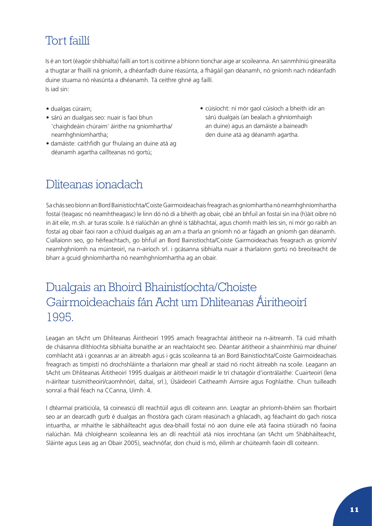## Tort faillí

Is é an tort (éagóir shibhialta) faillí an tort is coitinne a bhíonn tionchar aige ar scoileanna. An sainmhíniú ginearálta a thugtar ar fhaillí ná gníomh, a dhéanfadh duine réasúnta, a fhágáil gan déanamh, nó gníomh nach ndéanfadh duine stuama nó réasúnta a dhéanamh. Tá ceithre ghné ag faillí. Is iad sin:

- dualgas cúraim;
- sárú an dualgais seo: nuair is faoi bhun 'chaighdeáin chúraim' áirithe na gníomhartha/ neamhghníomhartha;
- damáiste: caithfidh gur fhulaing an duine atá ag déanamh agartha caillteanas nó gortú;
- cúisíocht: ní mór gaol cúisíoch a bheith idir an sárú dualgais (an bealach a ghníomhaigh an duine) agus an damáiste a baineadh den duine atá ag déanamh agartha.

## Dliteanas ionadach

Sa chás seo bíonn an Bord Bainistíochta/Coiste Gairmoideachais freagrach as gníomhartha nó neamhghníomhartha fostaí (teagasc nó neamhtheagasc) le linn dó nó di a bheith ag obair, cibé an bhfuil an fostaí sin ina (h)áit oibre nó in áit eile, m.sh. ar turas scoile. Is é rialúchán an ghné is tábhachtaí, agus chomh maith leis sin, ní mór go raibh an fostaí ag obair faoi raon a c(h)uid dualgais ag an am a tharla an gníomh nó ar fágadh an gníomh gan déanamh. Ciallaíonn seo, go héifeachtach, go bhfuil an Bord Bainistíochta/Coiste Gairmoideachais freagrach as gníomh/ neamhghníomh na múinteoirí, na n-airíoch srl. i gcásanna sibhialta nuair a tharlaíonn gortú nó breoiteacht de bharr a gcuid ghníomhartha nó neamhghníomhartha ag an obair.

## Dualgais an Bhoird Bhainistíochta/Choiste Gairmoideachais fán Acht um Dhliteanas Áiritheoirí 1995.

Leagan an tAcht um Dhliteanas Áiritheoirí 1995 amach freagrachtaí áititheoir na n-áitreamh. Tá cuid mhaith de chásanna dlíthíochta sibhialta bunaithe ar an reachtaíocht seo. Déantar áititheoir a shainmhíniú mar dhuine/ comhlacht atá i gceannas ar an áitreabh agus i gcás scoileanna tá an Bord Bainistíochta/Coiste Gairmoideachais freagrach as timpistí nó drochshláinte a tharlaíonn mar gheall ar staid nó riocht áitreabh na scoile. Leagann an tAcht um Dhliteanas Áititheoirí 1995 dualgais ar áititheoirí maidir le trí chatagóir d'iontrálaithe: Cuairteoirí (lena n-áirítear tuismitheoirí/caomhnóirí, daltaí, srl.), Úsáideoirí Caitheamh Aimsire agus Foghlaithe. Chun tuilleadh sonraí a fháil féach na CCanna, Uimh. 4.

I dtéarmaí praiticiúla, tá coineascú dlí reachtúil agus dlí coiteann ann. Leagtar an phríomh-bhéim san fhorbairt seo ar an dearcadh gurb é dualgas an fhostóra gach cúram réasúnach a ghlacadh, ag féachaint do gach riosca intuartha, ar mhaithe le sábháilteacht agus dea-bhaill fostaí nó aon duine eile atá faoina stiúradh nó faoina rialúchán. Má chloígheann scoileanna leis an dlí reachtúil atá níos inrochtana (an tAcht um Shábháilteacht, Sláinte agus Leas ag an Obair 2005), seachnófar, don chuid is mó, éilimh ar chúiteamh faoin dlí coiteann.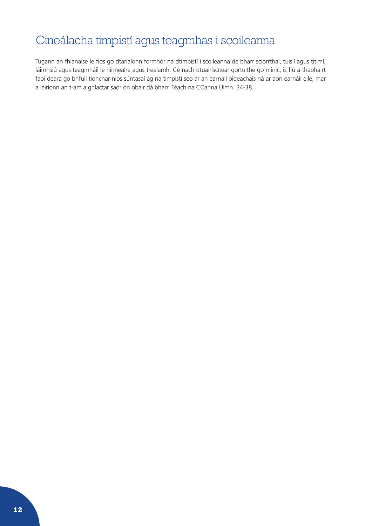## Cineálacha timpistí agus teagmhas i scoileanna

Tugann an fhianaise le fios go dtarlaíonn formhór na dtimpistí i scoileanna de bharr sciorrthaí, tuislí agus titimí, láimhsiú agus teagmháil le hinnealra agus trealamh. Cé nach dtuairiscítear gortuithe go minic, is fiú a thabhairt faoi deara go bhfuil tionchar níos súntasaí ag na timpistí seo ar an earnáil oideachais ná ar aon earnáil eile, mar a léiríonn an t-am a ghlactar saor ón obair dá bharr. Féach na CCanna Uimh. 34-38.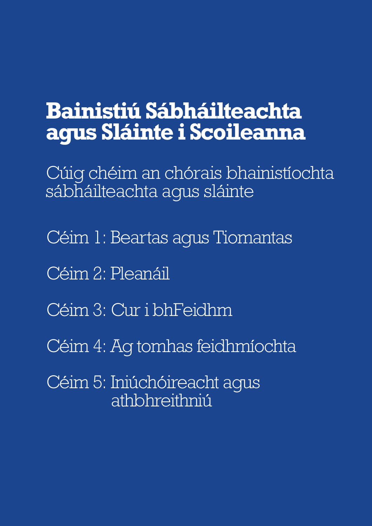## <span id="page-13-0"></span>**Bainistiú Sábháilteachta agus Sláinte i Scoileanna**

Cúig chéim an chórais bhainistíochta sábháilteachta agus sláinte

- Céim 1: Beartas agus Tiomantas
- Céim 2: Pleanáil
- Céim 3: Cur i bhFeidhm
- Céim 4: Ag tomhas feidhmíochta
- Céim 5: Iniúchóireacht agus athbhreithniú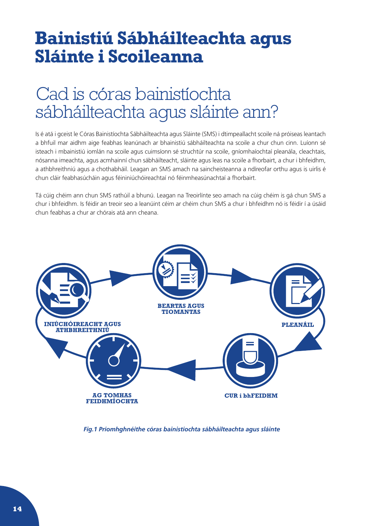## <span id="page-14-0"></span>**Bainistiú Sábháilteachta agus Sláinte i Scoileanna**

## Cad is córas bainistíochta sábháilteachta agus sláinte ann?

Is é atá i gceist le Córas Bainistíochta Sábháilteachta agus Sláinte (SMS) i dtimpeallacht scoile ná próiseas leantach a bhfuil mar aidhm aige feabhas leanúnach ar bhainistiú sábháilteachta na scoile a chur chun cinn. Luíonn sé isteach i mbainistiú iomlán na scoile agus cuimsíonn sé struchtúr na scoile, gníomhaíochtaí pleanála, cleachtais, nósanna imeachta, agus acmhainní chun sábháilteacht, sláinte agus leas na scoile a fhorbairt, a chur i bhfeidhm, a athbhreithniú agus a chothabháil. Leagan an SMS amach na saincheisteanna a ndíreofar orthu agus is uirlis é chun cláir feabhasúcháin agus féininiúchóireachtaí nó féinmheasúnachtaí a fhorbairt.

Tá cúig chéim ann chun SMS rathúil a bhunú. Leagan na Treoirlínte seo amach na cúig chéim is gá chun SMS a chur i bhfeidhm. Is féidir an treoir seo a leanúint céim ar chéim chun SMS a chur i bhfeidhm nó is féidir í a úsáid chun feabhas a chur ar chórais atá ann cheana.



*Fig.1 Príomhghnéithe córas bainistíochta sábháilteachta agus sláinte*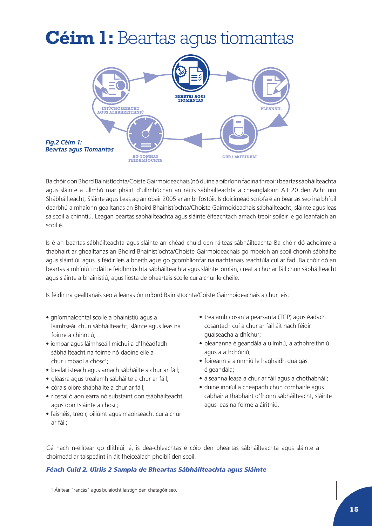## <span id="page-15-0"></span>**Céim 1:** Beartas agus tiomantas



Ba chóir don Bhord Bainistíochta/Coiste Gairmoideachais (nó duine a oibríonn faoina threoir) beartas sábháilteachta agus sláinte a ullmhú mar pháirt d'ullmhúchán an ráitis sábháilteachta a cheanglaíonn Alt 20 den Acht um Shábháilteacht, Sláinte agus Leas ag an obair 2005 ar an bhfostóir. Is doiciméad scríofa é an beartas seo ina bhfuil dearbhú a mhaíonn gealltanas an Bhoird Bhainistíochta/Choiste Gairmoideachais sábháilteacht, sláinte agus leas sa scoil a chinntiú. Leagan beartas sábháilteachta agus sláinte éifeachtach amach treoir soiléir le go leanfaidh an scoil é.

Is é an beartas sábháilteachta agus sláinte an chéad chuid den ráiteas sábháilteachta Ba chóir dó achoimre a thabhairt ar ghealltanas an Bhoird Bhainistíochta/Choiste Gairmoideachais go mbeidh an scoil chomh sábháilte agus sláintiúil agus is féidir leis a bheith agus go gcomhlíonfar na riachtanais reachtúla cuí ar fad. Ba chóir dó an beartas a mhíniú i ndáil le feidhmíochta sábháilteachta agus sláinte iomlán, creat a chur ar fáil chun sábháilteacht agus sláinte a bhainistiú, agus liosta de bheartais scoile cuí a chur le chéile.

Is féidir na gealltanais seo a leanas ón mBord Bainistíochta/Coiste Gairmoideachais a chur leis:

- gníomhaíochtaí scoile a bhainistiú agus a láimhseáil chun sábháilteacht, sláinte agus leas na foirne a chinntiú;
- iompar agus láimhseáil míchuí a d'fhéadfadh sábháilteacht na foirne nó daoine eile a chur i mbaol a chosc<sup>1</sup>;
- bealaí isteach agus amach sábháilte a chur ar fáil;
- gléasra agus trealamh sábháilte a chur ar fáil;
- córais oibre shábháilte a chur ar fáil;
- rioscaí ó aon earra nó substaint don tsábháilteacht agus don tsláinte a chosc;
- faisnéis, treoir, oiliúint agus maoirseacht cuí a chur ar fáil;
- trealamh cosanta pearsanta (TCP) agus éadach cosantach cuí a chur ar fáil áit nach féidir guaiseacha a dhíchur;
- pleananna éigeandála a ullmhú, a athbhreithniú agus a athchóiriú;
- foireann a ainmniú le haghaidh dualgas éigeandála;
- áiseanna leasa a chur ar fáil agus a chothabháil;
- duine inniúil a cheapadh chun comhairle agus cabhair a thabhairt d'fhonn sábháilteacht, sláinte agus leas na foirne a áirithiú.

Cé nach n-éilítear go dlíthiúil é, is dea-chleachtas é cóip den bheartas sábháilteachta agus sláinte a choimeád ar taispeáint in áit fheiceálach phoiblí den scoil.

## *Féach Cuid 2, Uirlís 2 Sampla de Bheartas Sábháilteachta agus Sláinte*

1 Áirítear "rancás" agus bulaíocht laistigh den chatagóir seo.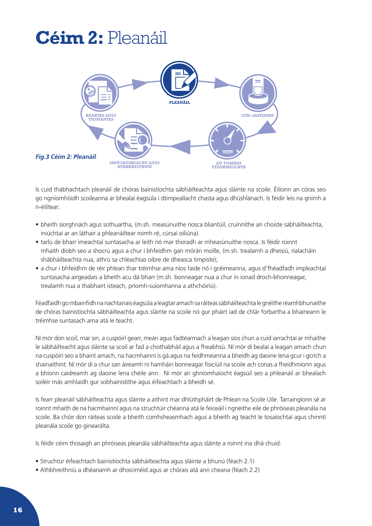## <span id="page-16-0"></span>**Céim 2:** Pleanáil



Is cuid thábhachtach pleanáil de chóras bainistíochta sábháilteachta agus sláinte na scoile. Éilíonn an córas seo go ngníomhóidh scoileanna ar bhealaí éagsúla i dtimpeallacht chasta agus dhúshlánach. Is féidir leis na gnímh a n-éilítear:

- bheith síorghnách agus sothuartha, (m.sh. measúnuithe riosca bliantúil, cruinnithe an choiste sábháilteachta, iniúchtaí ar an láthair a phleanáiltear roimh ré, cúrsaí oiliúna).
- tarlú de bharr imeachtaí suntasacha ar leith nó mar thoradh ar mheasúnuithe riosca. Is féidir roinnt mhaith díobh seo a shocrú agus a chur i bhfeidhm gan mórán moille, (m.sh. trealamh a dheisiú, rialacháin shábháilteachta nua, athrú sa chleachtas oibre de dheasca timpiste);
- a chur i bhfeidhm de réir phlean thar tréimhse ama níos faide nó i gcéimeanna, agus d'fhéadfadh impleachtaí suntasacha airgeadais a bheith acu dá bharr (m.sh. bonneagar nua a chur in ionad droch-bhonneagar, trealamh nua a thabhairt isteach, príomh-suíomhanna a athchóiriú).

Féadfaidh go mbainfidh na riachtanais éagsúla a leagtar amach sa ráiteas sábháilteachta le gnéithe réamhbhunaithe de chóras bainistíochta sábháilteachta agus sláinte na scoile nó gur pháirt iad de chlár forbartha a bhaineann le tréimhse suntasach ama atá le teacht.

Ní mór don scoil, mar sin, a cuspóirí gearr, meán agus fadtéarmach a leagan síos chun a cuid iarrachtaí ar mhaithe le sábháilteacht agus sláinte sa scoil ar fad a chothabháil agus a fheabhsú. Ní mór di bealaí a leagan amach chun na cuspóirí seo a bhaint amach, na hacmhainní is gá agus na feidhmeanna a bheidh ag daoine lena gcur i gcrích a shainaithint. Ní mór di a chur san áireamh ní hamháin bonneagar fisiciúil na scoile ach conas a fheidhmíonn agus a bhíonn caidreamh ag daoine lena chéile ann. Ní mór an ghníomhaíocht éagsúil seo a phleanáil ar bhealach soiléir más amhlaidh gur sobhainistithe agus éifeachtach a bheidh sé.

Is fearr pleanáil sábháilteachta agus sláinte a aithint mar dhlúthpháirt de Phlean na Scoile Uile. Tarraingíonn sé ar roinnt mhaith de na hacmhainní agus na struchtúir chéanna atá le feiceáil i ngnéithe eile de phróiseas pleanála na scoile. Ba chóir don ráiteas scoile a bheith comhsheasmhach agus a bheith ag teacht le tosaíochtaí agus chinntí pleanála scoile go ginearálta.

Is féidir céim thosaigh an phróiseas pleanála sábháilteachta agus sláinte a roinnt ina dhá chuid:

- Struchtúr éifeachtach bainistíochta sábháilteachta agus sláinte a bhunú (féach 2.1)
- Athbhreithniú a dhéanamh ar dhoiciméid agus ar chórais atá ann cheana (féach 2.2)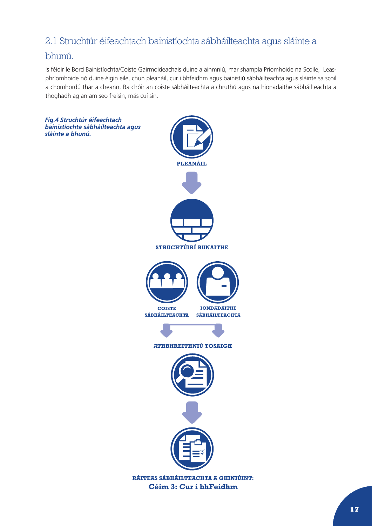## <span id="page-17-0"></span>2.1 Struchtúr éifeachtach bainistíochta sábháilteachta agus sláinte a

## bhunú.

Is féidir le Bord Bainistíochta/Coiste Gairmoideachais duine a ainmniú, mar shampla Príomhoide na Scoile, Leasphríomhoide nó duine éigin eile, chun pleanáil, cur i bhfeidhm agus bainistiú sábháilteachta agus sláinte sa scoil a chomhordú thar a cheann. Ba chóir an coiste sábháilteachta a chruthú agus na hionadaithe sábháilteachta a thoghadh ag an am seo freisin, más cuí sin.

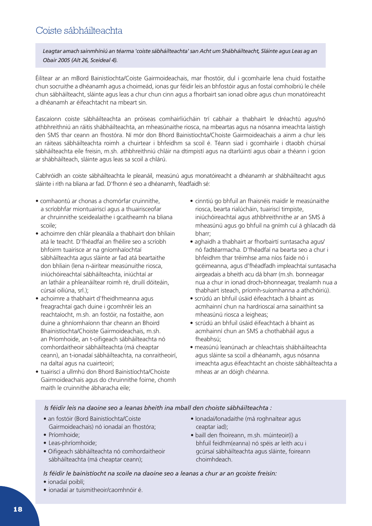## Coiste sábháilteachta

*Leagtar amach sainmhíniú an téarma 'coiste sábháilteachta' san Acht um Shábháilteacht, Sláinte agus Leas ag an Obair 2005 (Alt 26, Sceideal 4).*

Éilítear ar an mBord Bainistíochta/Coiste Gairmoideachais, mar fhostóir, dul i gcomhairle lena chuid fostaithe chun socruithe a dhéanamh agus a choimeád, ionas gur féidir leis an bhfostóir agus an fostaí comhoibriú le chéile chun sábháilteacht, sláinte agus leas a chur chun cinn agus a fhorbairt san ionad oibre agus chun monatóireacht a dhéanamh ar éifeachtacht na mbeart sin.

Éascaíonn coiste sábháilteachta an próiseas comhairliúcháin trí cabhair a thabhairt le dréachtú agus/nó athbhreithniú an ráitis shábháilteachta, an mheasúnaithe riosca, na mbeartas agus na nósanna imeachta laistigh den SMS thar ceann an fhostóra. Ní mór don Bhord Bainistíochta/Choiste Gairmoideachais a ainm a chur leis an ráiteas sábháilteachta roimh a chuirtear i bhfeidhm sa scoil é. Téann siad i gcomhairle i dtaobh chúrsaí sábháilteachta eile freisin, m.sh. athbhreithniú chláir na dtimpistí agus na dtarlúintí agus obair a théann i gcion ar shábháilteach, sláinte agus leas sa scoil a chlárú.

Cabhróidh an coiste sábháilteachta le pleanáil, measúnú agus monatóireacht a dhéanamh ar shábháilteacht agus sláinte i rith na bliana ar fad. D'fhonn é seo a dhéanamh, féadfaidh sé:

- comhaontú ar chonas a chomórfar cruinnithe, a scríobhfar miontuairiscí agus a thuairisceofar ar chruinnithe sceidealaithe i gcaitheamh na bliana scoile;
- achoimre den chlár pleanála a thabhairt don bhliain atá le teacht. D'fhéadfaí an fhéilire seo a scríobh bhfoirm tuairisce ar na gníomhaíochtaí sábháilteachta agus sláinte ar fad atá beartaithe don bhliain (lena n-áirítear measúnuithe riosca, iniúchóireachtaí sábháilteachta, iniúchtaí ar an latháir a phleanáiltear roimh ré, druilí dóiteáin, cúrsaí oiliúna, srl.);
- achoimre a thabhairt d'fheidhmeanna agus freagrachtaí gach duine i gcomhréir leis an reachtaíocht, m.sh. an fostóir, na fostaithe, aon duine a ghníomhaíonn thar cheann an Bhoird Bhainistíochta/Choiste Gairmoideachais, m.sh. an Príomhoide, an t-oifigeach sábháilteachta nó comhordaitheoir sábháilteachta (má cheaptar ceann), an t-ionadaí sábháilteachta, na conraitheoirí, na daltaí agus na cuairteoirí;
- tuairiscí a ullmhú don Bhord Bainistíochta/Choiste Gairmoideachais agus do chruinnithe foirne, chomh maith le cruinnithe ábharacha eile;
- cinntiú go bhfuil an fhaisnéis maidir le measúnaithe riosca, bearta rialúcháin, tuairiscí timpiste, iniúchóireachtaí agus athbhreithnithe ar an SMS á mheasúnú agus go bhfuil na gnímh cuí á ghlacadh dá bharr;
- aghaidh a thabhairt ar fhorbairtí suntasacha agus/ nó fadtéarmacha. D'fhéadfaí na bearta seo a chur i bhfeidhm thar tréimhse ama níos faide nó i gcéimeanna, agus d'fhéadfadh impleachtaí suntasacha airgeadais a bheith acu dá bharr (m.sh. bonneagar nua a chur in ionad droch-bhonneagar, trealamh nua a thabhairt isteach, príomh-suíomhanna a athchóiriú).
- scrúdú an bhfuil úsáid éifeachtach á bhaint as acmhainní chun na hardrioscaí arna sainaithint sa mheasúnú riosca a leigheas;
- scrúdú an bhfuil úsáid éifeachtach á bhaint as acmhainní chun an SMS a chothabháil agus a fheabhsú;
- measúnú leanúnach ar chleachtais shábháilteachta agus sláinte sa scoil a dhéanamh, agus nósanna imeachta agus éifeachtacht an choiste sábháilteachta a mheas ar an dóigh chéanna.

*Is féidir leis na daoine seo a leanas bheith ina mball den choiste sábháilteachta :*

- an fostóir (Bord Bainistíochta/Coiste Gairmoideachais) nó ionadaí an fhostóra;
- 
- Príomhoide;
- Leas-phríomhoide;
- Oifigeach sábháilteachta nó comhordaitheoir sábháilteachta (má cheaptar ceann);
- Ionadaí/Ionadaithe (má roghnaítear agus ceaptar iad);
- baill den fhoireann, m.sh. múinteoir(í) a bhfuil feidhm(eanna) nó spéis ar leith acu i gcúrsaí sábháilteachta agus sláinte, foireann choimhdeach.

*Is féidir le bainistíocht na scoile na daoine seo a leanas a chur ar an gcoiste freisin:*

- ionadaí poiblí;
- ionadaí ar tuismitheoir/caomhnóir é.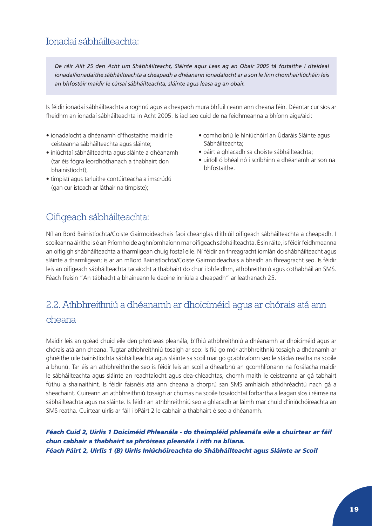## <span id="page-19-0"></span>Ionadaí sábháilteachta:

*De réir Ailt 25 den Acht um Shábháilteacht, Sláinte agus Leas ag an Obair 2005 tá fostaithe i dteideal ionadaí/ionadaithe sábháilteachta a cheapadh a dhéanann ionadaíocht ar a son le linn chomhairliúcháin leis an bhfostóir maidir le cúrsaí sábháilteachta, sláinte agus leasa ag an obair.* 

Is féidir ionadaí sábháilteachta a roghnú agus a cheapadh mura bhfuil ceann ann cheana féin. Déantar cur síos ar fheidhm an ionadaí sábháilteachta in Acht 2005. Is iad seo cuid de na feidhmeanna a bhíonn aige/aici:

- ionadaíocht a dhéanamh d'fhostaithe maidir le ceisteanna sábháilteachta agus sláinte;
- iniúchtaí sábháilteachta agus sláinte a dhéanamh (tar éis fógra leordhóthanach a thabhairt don bhainistíocht);
- timpistí agus tarluithe contúirteacha a imscrúdú (gan cur isteach ar láthair na timpiste);
- comhoibriú le hIniúchóirí an Údaráis Sláinte agus Sábháilteachta;
- páirt a ghlacadh sa choiste sábháilteachta;
- uiríoll ó bhéal nó i scríbhinn a dhéanamh ar son na bhfostaithe.

## Oifigeach sábháilteachta:

Níl an Bord Bainistíochta/Coiste Gairmoideachais faoi cheanglas dlíthiúil oifigeach sábháilteachta a cheapadh. I scoileanna áirithe is é an Príomhoide a ghníomhaíonn mar oifigeach sábháilteachta. É sin ráite, is féidir feidhmeanna an oifigigh shábháilteachta a tharmligean chuig fostaí eile. Ní féidir an fhreagracht iomlán do shábháilteacht agus sláinte a tharmligean; is ar an mBord Bainistíochta/Coiste Gairmoideachais a bheidh an fhreagracht seo. Is féidir leis an oifigeach sábháilteachta tacaíocht a thabhairt do chur i bhfeidhm, athbhreithniú agus cothabháil an SMS. Féach freisin "An tábhacht a bhaineann le daoine inniúla a cheapadh" ar leathanach 25.

## 2.2. Athbhreithniú a dhéanamh ar dhoiciméid agus ar chórais atá ann cheana

Maidir leis an gcéad chuid eile den phróiseas pleanála, b'fhiú athbhreithniú a dhéanamh ar dhoiciméid agus ar chórais atá ann cheana. Tugtar athbhreithniú tosaigh ar seo: Is fiú go mór athbhreithniú tosaigh a dhéanamh ar ghnéithe uile bainistíochta sábháilteachta agus sláinte sa scoil mar go gcabhraíonn seo le stádas reatha na scoile a bhunú. Tar éis an athbhreithnithe seo is féidir leis an scoil a dhearbhú an gcomhlíonann na forálacha maidir le sábháilteachta agus sláinte an reachtaíocht agus dea-chleachtas, chomh maith le ceisteanna ar gá tabhairt fúthu a shainaithint. Is féidir faisnéis atá ann cheana a chorprú san SMS amhlaidh athdhréachtú nach gá a sheachaint. Cuireann an athbhreithniú tosaigh ar chumas na scoile tosaíochtaí forbartha a leagan síos i réimse na sábháilteachta agus na sláinte. Is féidir an athbhreithniú seo a ghlacadh ar láimh mar chuid d'iniúchóireachta an SMS reatha. Cuirtear uirlis ar fáil i bPáirt 2 le cabhair a thabhairt é seo a dhéanamh.

*Féach Cuid 2, Uirlis 1 Doiciméid Phleanála - do theimpléid phleanála eile a chuirtear ar fáil chun cabhair a thabhairt sa phróiseas pleanála i rith na bliana. Féach Páirt 2, Uirlis 1 (B) Uirlis Iniúchóireachta do Shábháilteacht agus Sláinte ar Scoil*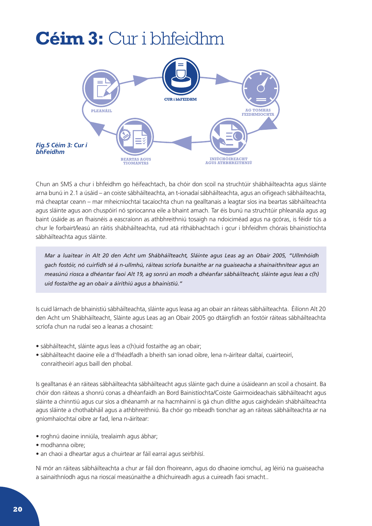## <span id="page-20-0"></span>**Céim 3:** Cur i bhfeidhm



Chun an SMS a chur i bhfeidhm go héifeachtach, ba chóir don scoil na struchtúir shábháilteachta agus sláinte arna bunú in 2.1 a úsáid – an coiste sábháilteachta, an t-ionadaí sábháilteachta, agus an oifigeach sábháilteachta, má cheaptar ceann – mar mheicníochtaí tacaíochta chun na gealltanais a leagtar síos ina beartas sábháilteachta agus sláinte agus aon chuspóirí nó spriocanna eile a bhaint amach. Tar éis bunú na struchtúir phleanála agus ag baint úsáide as an fhaisnéis a eascraíonn as athbhreithniú tosaigh na ndoiciméad agus na gcóras, is féidir tús a chur le forbairt/leasú an ráitis shábháilteachta, rud atá ríthábhachtach i gcur i bhfeidhm chórais bhainistíochta sábháilteachta agus sláinte.

*Mar a luaitear in Alt 20 den Acht um Shábháilteacht, Sláinte agus Leas ag an Obair 2005, "Ullmhóidh gach fostóir, nó cuirfidh sé á n-ullmhú, ráiteas scríofa bunaithe ar na guaiseacha a shainaithnítear agus an measúnú riosca a dhéantar faoi Alt 19, ag sonrú an modh a dhéanfar sábháilteacht, sláinte agus leas a c(h) uid fostaithe ag an obair a áirithiú agus a bhainistiú."*

Is cuid lárnach de bhainistiú sábháilteachta, sláinte agus leasa ag an obair an ráiteas sábháilteachta. Éilíonn Alt 20 den Acht um Shábháilteacht, Sláinte agus Leas ag an Obair 2005 go dtáirgfidh an fostóir ráiteas sábháilteachta scríofa chun na rudaí seo a leanas a chosaint:

- sábháilteacht, sláinte agus leas a c(h)uid fostaithe ag an obair;
- sábháilteacht daoine eile a d'fhéadfadh a bheith san ionad oibre, lena n-áirítear daltaí, cuairteoirí, conraitheoirí agus baill den phobal.

Is gealltanas é an ráiteas sábháilteachta sábháilteacht agus sláinte gach duine a úsáideann an scoil a chosaint. Ba chóir don ráiteas a shonrú conas a dhéanfaidh an Bord Bainistíochta/Coiste Gairmoideachais sábháilteacht agus sláinte a chinntiú agus cur síos a dhéanamh ar na hacmhainní is gá chun dlíthe agus caighdeáin shábháilteachta agus sláinte a chothabháil agus a athbhreithniú. Ba chóir go mbeadh tionchar ag an ráiteas sábháilteachta ar na gníomhaíochtaí oibre ar fad, lena n-áirítear:

- roghnú daoine inniúla, trealaimh agus ábhar;
- modhanna oibre;
- an chaoi a dheartar agus a chuirtear ar fáil earraí agus seirbhísí.

Ní mór an ráiteas sábháilteachta a chur ar fáil don fhoireann, agus do dhaoine iomchuí, ag léiriú na guaiseacha a sainaithníodh agus na rioscaí measúnaithe a dhíchuireadh agus a cuireadh faoi smacht..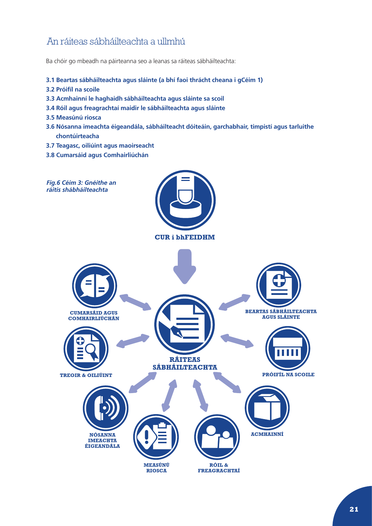## <span id="page-21-0"></span>An ráiteas sábháilteachta a ullmhú

Ba chóir go mbeadh na páirteanna seo a leanas sa ráiteas sábháilteachta:

- **3.1 Beartas sábháilteachta agus sláinte (a bhí faoi thrácht cheana i gCéim 1)**
- **3.2 Próifíl na scoile**
- **3.3 Acmhainní le haghaidh sábháilteachta agus sláinte sa scoil**
- **3.4 Róil agus freagrachtaí maidir le sábháilteachta agus sláinte**
- **3.5 Measúnú riosca**
- **3.6 Nósanna imeachta éigeandála, sábháilteacht dóiteáin, garchabhair, timpistí agus tarluithe chontúirteacha**
- **3.7 Teagasc, oiliúint agus maoirseacht**
- **3.8 Cumarsáid agus Comhairliúchán**

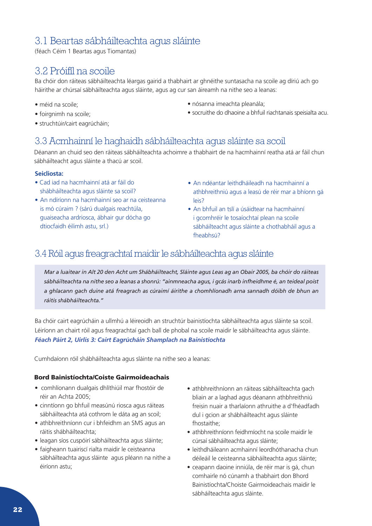## <span id="page-22-0"></span>3.1 Beartas sábháilteachta agus sláinte

(féach Céim 1 Beartas agus Tiomantas)

## 3.2 Próifíl na scoile

Ba chóir don ráiteas sábháilteachta léargas gairid a thabhairt ar ghnéithe suntasacha na scoile ag díriú ach go háirithe ar chúrsaí sábháilteachta agus sláinte, agus ag cur san áireamh na nithe seo a leanas:

- méid na scoile;
- foirgnimh na scoile;
- struchtúir/cairt eagrúcháin;
- nósanna imeachta pleanála;
- socruithe do dhaoine a bhfuil riachtanais speisialta acu.

## 3.3 Acmhainní le haghaidh sábháilteachta agus sláinte sa scoil

Déanann an chuid seo den ráiteas sábháilteachta achoimre a thabhairt de na hacmhainní reatha atá ar fáil chun sábháilteacht agus sláinte a thacú ar scoil.

## **Seicliosta:**

- Cad iad na hacmhainní atá ar fáil do shábháilteachta agus sláinte sa scoil?
- An ndíríonn na hacmhainní seo ar na ceisteanna is mó cúraim ? (sárú dualgais reachtúla, guaiseacha ardriosca, ábhair gur dócha go dtiocfaidh éilimh astu, srl.)
- An ndéantar leithdháileadh na hacmhainní a athbhreithniú agus a leasú de réir mar a bhíonn gá leis?
- An bhfuil an tslí a úsáidtear na hacmhainní i gcomhréir le tosaíochtaí plean na scoile sábháilteacht agus sláinte a chothabháil agus a fheabhsú?

## 3.4 Róil agus freagrachtaí maidir le sábháilteachta agus sláinte

*Mar a luaitear in Alt 20 den Acht um Shábháilteacht, Sláinte agus Leas ag an Obair 2005, ba chóir do ráiteas sábháilteachta na nithe seo a leanas a shonrú: "ainmneacha agus, i gcás inarb infheidhme é, an teideal poist a ghlacann gach duine atá freagrach as cúraimí áirithe a chomhlíonadh arna sannadh dóibh de bhun an ráitis shábháilteachta."*

Ba chóir cairt eagrúcháin a ullmhú a léireoidh an struchtúr bainistíochta sábháilteachta agus sláinte sa scoil. Léiríonn an chairt róil agus freagrachtaí gach ball de phobal na scoile maidir le sábháilteachta agus sláinte. *Féach Páirt 2, Uirlis 3: Cairt Eagrúcháin Shamplach na Bainistíochta*

Cumhdaíonn róil shábháilteachta agus sláinte na nithe seo a leanas:

## Bord Bainistíochta/Coiste Gairmoideachais

- comhlíonann dualgais dhlíthiúil mar fhostóir de réir an Achta 2005;
- cinntíonn go bhfuil measúnú riosca agus ráiteas sábháilteachta atá cothrom le dáta ag an scoil;
- athbhreithníonn cur i bhfeidhm an SMS agus an ráitis shábháilteachta;
- leagan síos cuspóirí sábháilteachta agus sláinte;
- faigheann tuairiscí rialta maidir le ceisteanna sábháilteachta agus sláinte agus pléann na nithe a éiríonn astu;
- athbhreithníonn an ráiteas sábháilteachta gach bliain ar a laghad agus déanann athbhreithniú freisin nuair a tharlaíonn athruithe a d'fhéadfadh dul i gcion ar shábháilteacht agus sláinte fhostaithe;
- athbhreithníonn feidhmíocht na scoile maidir le cúrsaí sábháilteachta agus sláinte;
- leithdháileann acmhainní leordhóthanacha chun déileáil le ceisteanna sábháilteachta agus sláinte;
- ceapann daoine inniúla, de réir mar is gá, chun comhairle nó cúnamh a thabhairt don Bhord Bainistíochta/Choiste Gairmoideachais maidir le sábháilteachta agus sláinte.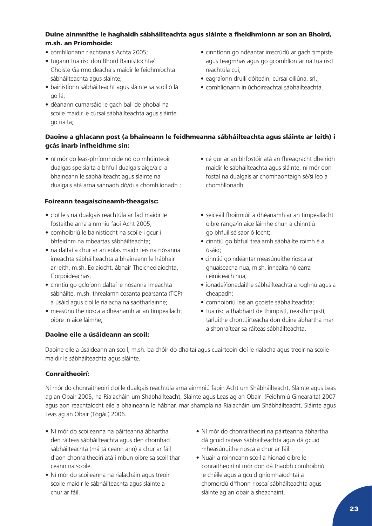## Duine ainmnithe le haghaidh sábháilteachta agus sláinte a fheidhmíonn ar son an Bhoird, m.sh. an Príomhoide:

- comhlíonann riachtanais Achta 2005;
- tugann tuairisc don Bhord Bainistíochta/ Choiste Gairmoideachais maidir le feidhmíochta sábháilteachta agus sláinte;
- bainistíonn sábháilteacht agus sláinte sa scoil ó lá go lá;
- déanann cumarsáid le gach ball de phobal na scoile maidir le cúrsaí sábháilteachta agus sláinte go rialta;

## Daoine a ghlacann post (a bhaineann le feidhmeanna sábháilteachta agus sláinte ar leith) i gcás inarb infheidhme sin:

• ní mór do leas-phríomhoide nó do mhúinteoir dualgas speisialta a bhfuil dualgais aige/aici a bhaineann le sábháilteacht agus sláinte na dualgais atá arna sannadh dó/di a chomhlíonadh ;

## Foireann teagaisc/neamh-theagaisc:

- cloí leis na dualgais reachtúla ar fad maidir le fostaithe arna ainmniú faoi Acht 2005;
- comhoibriú le bainistíocht na scoile i gcur i bhfeidhm na mbeartas sábháilteachta;
- na daltaí a chur ar an eolas maidir leis na nósanna imeachta sábháilteachta a bhaineann le hábhair ar leith, m.sh. Eolaíocht, ábhair Theicneolaíochta, Corpoideachas;
- cinntiú go gcloíonn daltaí le nósanna imeachta sábháilte, m.sh. threalamh cosanta pearsanta (TCP) a úsáid agus cloí le rialacha na saotharlainne;
- measúnuithe riosca a dhéanamh ar an timpeallacht oibre in aice láimhe;

## Daoine eile a úsáideann an scoil:

- cinntíonn go ndéantar imscrúdú ar gach timpiste agus teagmhas agus go gcomhlíontar na tuairiscí reachtúla cuí;
- eagraíonn druilí dóiteáin, cúrsaí oiliúna, srl.;
- comhlíonann iniúchóireachtaí sábháilteachta.

- cé gur ar an bhfostóir atá an fhreagracht dheiridh maidir le sábháilteachta agus sláinte, ní mór don fostaí na dualgais ar chomhaontaigh sé/sí leo a chomhlíonadh.
- seiceáil fhoirmiúil a dhéanamh ar an timpeallacht oibre ranga/in aice láimhe chun a chinntiú go bhfuil sé saor ó locht;
- cinntiú go bhfuil trealamh sábháilte roimh é a úsáid;
- cinntiú go ndéantar measúnuithe riosca ar ghuaiseacha nua, m.sh. innealra nó earra ceimiceach nua;
- ionadaí/ionadaithe sábháilteachta a roghnú agus a cheapadh;
- comhoibriú leis an gcoiste sábháilteachta;
- tuairisc a thabhairt de thimpistí, neasthimpistí, tarluithe chontúirteacha don duine ábhartha mar a shonraítear sa ráiteas sábháilteachta.

Daoine eile a úsáideann an scoil, m.sh. ba chóir do dhaltaí agus cuairteoirí cloí le rialacha agus treoir na scoile maidir le sábháilteachta agus sláinte.

## Conraitheoirí:

Ní mór do chonraitheoirí cloí le dualgais reachtúla arna ainmniú faoin Acht um Shábháilteacht, Sláinte agus Leas ag an Obair 2005, na Rialacháin um Shábháilteacht, Sláinte agus Leas ag an Obair (Feidhmiú Ginearálta) 2007 agus aon reachtaíocht eile a bhaineann le hábhar, mar shampla na Rialacháin um Shábháilteacht, Sláinte agus Leas ag an Obair (Tógáil) 2006.

- Ní mór do scoileanna na páirteanna ábhartha den ráiteas sábháilteachta agus den chomhad sábháilteachta (má tá ceann ann) a chur ar fáil d'aon chonraitheoirí atá i mbun oibre sa scoil thar ceann na scoile.
- Ní mór do scoileanna na rialacháin agus treoir scoile maidir le sábháilteachta agus sláinte a chur ar fáil.
- Ní mór do chonraitheoirí na páirteanna ábhartha dá gcuid ráiteas sábháilteachta agus dá gcuid mheasúnuithe riosca a chur ar fáil.
- Nuair a roinneann scoil a hionad oibre le conraitheoirí ní mór don dá thaobh comhoibriú le chéile agus a gcuid gníomhaíochtaí a chomordú d'fhonn rioscaí sábháilteachta agus sláinte ag an obair a sheachaint.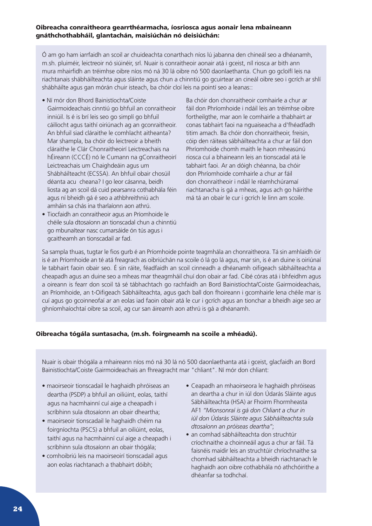### Oibreacha conraitheora gearrthéarmacha, íosriosca agus aonair lena mbaineann gnáthchothabháil, glantachán, maisiúchán nó deisiúchán:

Ó am go ham iarrfaidh an scoil ar chuideachta conarthach níos lú jabanna den chineál seo a dhéanamh, m.sh. pluiméir, leictreoir nó siúinéir, srl. Nuair is conraitheoir aonair atá i gceist, níl riosca ar bith ann mura mhairfidh an tréimhse oibre níos mó ná 30 lá oibre nó 500 daonlaethanta. Chun go gcloífí leis na riachtanais shábháilteachta agus sláinte agus chun a chinntiú go gcuirtear an cineál oibre seo i gcrích ar shlí shábháilte agus gan mórán chuir isteach, ba chóir cloí leis na pointí seo a leanas::

- Ní mór don Bhord Bainistíochta/Coiste Gairmoideachais cinntiú go bhfuil an conraitheoir inniúil. Is é is brí leis seo go simplí go bhfuil cáilíocht agus taithí oiriúnach ag an gconraitheoir. An bhfuil siad cláraithe le comhlacht aitheanta? Mar shampla, ba chóir do leictreoir a bheith cláraithe le Clár Chonraitheoirí Leictreachais na hÉireann (CCCÉ) nó le Cumann na gConraitheoirí Leictreachais um Chaighdeáin agus um Shábháilteacht (ECSSA). An bhfuil obair chosúil déanta acu cheana? I go leor cásanna, beidh liosta ag an scoil dá cuid pearsanra cothabhála féin agus ní bheidh gá é seo a athbhreithniú ach amháin sa chás ina tharlaíonn aon athrú.
- Tiocfaidh an conraitheoir agus an Príomhoide le chéile sula dtosaíonn an tionscadal chun a chinntiú go mbunaítear nasc cumarsáide ón tús agus i gcaitheamh an tionscadail ar fad.

Ba chóir don chonraitheoir comhairle a chur ar fáil don Phríomhoide i ndáil leis an tréimhse oibre fortheilgthe, mar aon le comhairle a thabhairt ar conas tabhairt faoi na nguaiseacha a d'fhéadfadh titim amach. Ba chóir don chonraitheoir, freisin, cóip den ráiteas sábháilteachta a chur ar fáil don Phríomhoide chomh maith le haon mheasúnú riosca cuí a bhaineann leis an tionscadal atá le tabhairt faoi. Ar an dóigh chéanna, ba chóir don Phríomhoide comhairle a chur ar fáil don chonraitheoir i ndáil le réamhchúramaí riachtanacha is gá a mheas, agus ach go háirithe má tá an obair le cur i gcrích le linn am scoile.

Sa sampla thuas, tugtar le fios gurb é an Príomhoide pointe teagmhála an chonraitheora. Tá sin amhlaidh óir is é an Príomhoide an té atá freagrach as oibriúchán na scoile ó lá go lá agus, mar sin, is é an duine is oiriúnaí le tabhairt faoin obair seo. É sin ráite, féadfaidh an scoil cinneadh a dhéanamh oifigeach sábháilteachta a cheapadh agus an duine seo a mheas mar theagmháil chuí don obair ar fad. Cibé córas atá i bhfeidhm agus a oireann is fearr don scoil tá sé tábhachtach go rachfaidh an Bord Bainistíochta/Coiste Gairmoideachais, an Príomhoide, an t-Oifigeach Sábháilteachta, agus gach ball don fhoireann i gcomhairle lena chéile mar is cuí agus go gcoinneofaí ar an eolas iad faoin obair atá le cur i gcrích agus an tionchar a bheidh aige seo ar ghníomhaíochtaí oibre sa scoil, ag cur san áireamh aon athrú is gá a dhéanamh.

## Oibreacha tógála suntasacha, (m.sh. foirgneamh na scoile a mhéadú).

Nuair is obair thógála a mhaireann níos mó ná 30 lá nó 500 daonlaethanta atá i gceist, glacfaidh an Bord Bainistíochta/Coiste Gairmoideachais an fhreagracht mar "chliant". Ní mór don chliant:

- maoirseoir tionscadail le haghaidh phróiseas an deartha (PSDP) a bhfuil an oiliúint, eolas, taithí agus na hacmhainní cuí aige a cheapadh i scríbhinn sula dtosaíonn an obair dheartha;
- maoirseoir tionscadail le haghaidh chéim na foirgníochta (PSCS) a bhfuil an oiliúint, eolas, taithí agus na hacmhainní cuí aige a cheapadh i scríbhinn sula dtosaíonn an obair thógála;
- comhoibriú leis na maoirseoirí tionscadail agus aon eolas riachtanach a thabhairt dóibh;
- Ceapadh an mhaoirseora le haghaidh phróiseas an deartha a chur in iúl don Údarás Sláinte agus Sábháilteachta (HSA) ar Fhoirm Fhormheasta AF1 *"Mionsonraí is gá don Chliant a chur in iúl don Údarás Sláinte agus Sábháilteachta sula dtosaíonn an próiseas deartha"*;
- an comhad sábháilteachta don struchtúr críochnaithe a choinneáil agus a chur ar fáil. Tá faisnéis maidir leis an struchtúir chríochnaithe sa chomhad sábháilteachta a bheidh riachtanach le haghaidh aon oibre cothabhála nó athchóirithe a dhéanfar sa todhchaí.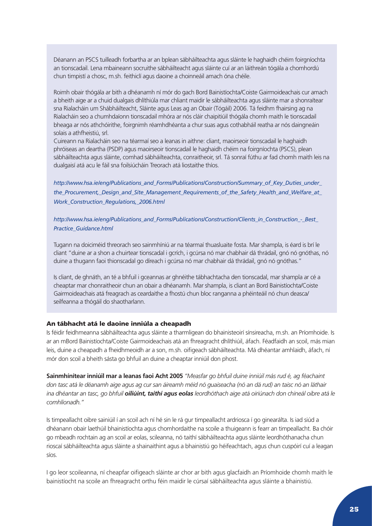Déanann an PSCS tuilleadh forbartha ar an bplean sábháilteachta agus sláinte le haghaidh chéim foirgníochta an tionscadail. Lena mbaineann socruithe sábháilteacht agus sláinte cuí ar an láithreán tógála a chomhordú chun timpistí a chosc, m.sh. feithiclí agus daoine a choinneáil amach óna chéile.

Roimh obair thógála ar bith a dhéanamh ní mór do gach Bord Bainistíochta/Coiste Gairmoideachais cur amach a bheith aige ar a chuid dualgais dhlíthiúla mar chliant maidir le sábháilteachta agus sláinte mar a shonraítear sna Rialacháin um Shábháilteacht, Sláinte agus Leas ag an Obair (Tógáil) 2006. Tá feidhm fhairsing ag na Rialacháin seo a chumhdaíonn tionscadail mhóra ar nós cláir chaipitiúil thógála chomh maith le tionscadail bheaga ar nós athchóirithe, foirgnimh réamhdhéanta a chur suas agus cothabháil reatha ar nós daingneáin solais a athfheistiú, srl.

Cuireann na Rialacháin seo na téarmaí seo a leanas in aithne: cliant, maoirseoir tionscadail le haghaidh phróiseas an deartha (PSDP) agus maoirseoir tionscadail le haghaidh chéim na foirgníochta (PSCS), plean sábháilteachta agus sláinte, comhad sábháilteachta, conraitheoir, srl. Tá sonraí fúthu ar fad chomh maith leis na dualgaisí atá acu le fáil sna foilsiúcháin Treorach atá liostaithe thíos.

*[http://www.hsa.ie/eng/Publications\\_and\\_Forms/Publications/Construction/Summary\\_of\\_Key\\_Duties\\_under\\_](http://www.hsa.ie/eng/Publications_and_Forms/Publications/Construction/Summary_of_Key_Duties_under_t) [the\\_Procurement,\\_Design\\_and\\_Site\\_Management\\_Requirements\\_of\\_the\\_Safety\\_Health\\_and\\_Welfare\\_at\\_](http://www.hsa.ie/eng/Publications_and_Forms/Publications/Construction/Summary_of_Key_Duties_under_t) [Work\\_Construction\\_Regulations,\\_2006.html](http://www.hsa.ie/eng/Publications_and_Forms/Publications/Construction/Summary_of_Key_Duties_under_t)*

*[http://www.hsa.ie/eng/Publications\\_and\\_Forms/Publications/Construction/Clients\\_in\\_Construction\\_-\\_Best\\_](http://www.hsa.ie/eng/Publications_and_Forms/Publications/Construction/Clients_in_Construction_-_Bes) [Practice\\_Guidance.h](http://www.hsa.ie/eng/Publications_and_Forms/Publications/Construction/Clients_in_Construction_-_Bes)tml*

Tugann na doiciméid threorach seo sainmhíniú ar na téarmaí thuasluaite fosta. Mar shampla, is éard is brí le cliant "duine ar a shon a chuirtear tionscadal i gcrích, i gcúrsa nó mar chabhair dá thrádail, gnó nó gnóthas, nó duine a thugann faoi thionscadal go díreach i gcúrsa nó mar chabhair dá thrádail, gnó nó gnóthas."

Is cliant, de ghnáth, an té a bhfuil i gceannas ar ghnéithe tábhachtacha den tionscadal, mar shampla ar cé a cheaptar mar chonraitheoir chun an obair a dhéanamh. Mar shampla, is cliant an Bord Bainistíochta/Coiste Gairmoideachais atá freagrach as ceardaithe a fhostú chun bloc ranganna a phéinteáil nó chun deasca/ seilfeanna a thógáil do shaotharlann.

### An tábhacht atá le daoine inniúla a cheapadh

Is féidir feidhmeanna sábháilteachta agus sláinte a tharmligean do bhainisteoirí sínsireacha, m.sh. an Príomhoide. Is ar an mBord Bainistíochta/Coiste Gairmoideachais atá an fhreagracht dhlíthiúil, áfach. Féadfaidh an scoil, más mian leis, duine a cheapadh a fheidhmeoidh ar a son, m.sh. oifigeach sábháilteachta. Má dhéantar amhlaidh, áfach, ní mór don scoil a bheith sásta go bhfuil an duine a cheaptar inniúil don phost.

**Sainmhínítear inniúil mar a leanas faoi Acht 2005** *"Measfar go bhfuil duine inniúil más rud é, ag féachaint don tasc atá le déanamh aige agus ag cur san áireamh méid nó guaiseacha (nó an dá rud) an taisc nó an láthair ina dhéantar an tasc, go bhfuil oiliúint, taithí agus eolas leordhóthach aige atá oiriúnach don chineál oibre atá le comhlíonadh."*

Is timpeallacht oibre sainiúil í an scoil ach ní hé sin le rá gur timpeallacht ardriosca í go ginearálta. Is iad siúd a dhéanann obair laethúil bhainistíochta agus chomhordaithe na scoile a thuigeann is fearr an timpeallacht. Ba chóir go mbeadh rochtain ag an scoil ar eolas, scileanna, nó taithí sábháilteachta agus sláinte leordhóthanacha chun rioscaí sábháilteachta agus sláinte a shainaithint agus a bhainistiú go héifeachtach, agus chun cuspóirí cuí a leagan síos.

I go leor scoileanna, ní cheapfar oifigeach sláinte ar chor ar bith agus glacfaidh an Príomhoide chomh maith le bainistíocht na scoile an fhreagracht orthu féin maidir le cúrsaí sábháilteachta agus sláinte a bhainistiú.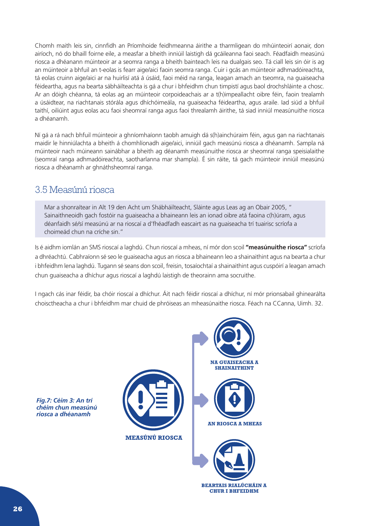<span id="page-26-0"></span>Chomh maith leis sin, cinnfidh an Príomhoide feidhmeanna áirithe a tharmligean do mhúinteoirí aonair, don airíoch, nó do bhaill foirne eile, a measfar a bheith inniúil laistigh dá gcáileanna faoi seach. Féadfaidh measúnú riosca a dhéanann múinteoir ar a seomra ranga a bheith bainteach leis na dualgais seo. Tá ciall leis sin óir is ag an múinteoir a bhfuil an t-eolas is fearr aige/aici faoin seomra ranga. Cuir i gcás an múinteoir adhmadóireachta, tá eolas cruinn aige/aici ar na huirlisí atá á úsáid, faoi méid na ranga, leagan amach an tseomra, na guaiseacha féideartha, agus na bearta sábháilteachta is gá a chur i bhfeidhm chun timpistí agus baol drochshláinte a chosc. Ar an dóigh chéanna, tá eolas ag an múinteoir corpoideachais ar a t(h)impeallacht oibre féin, faoin trealamh a úsáidtear, na riachtanais stórála agus dhíchóimeála, na guaiseacha féideartha, agus araile. Iad siúd a bhfuil taithí, oiliúint agus eolas acu faoi sheomraí ranga agus faoi threalamh áirithe, tá siad inniúl measúnuithe riosca a dhéanamh.

Ní gá a rá nach bhfuil múinteoir a ghníomhaíonn taobh amuigh dá s(h)ainchúraim féin, agus gan na riachtanais maidir le hinniúlachta a bheith á chomhlíonadh aige/aici, inniúil gach measúnú riosca a dhéanamh. Sampla ná múinteoir nach múineann sainábhar a bheith ag déanamh measúnuithe riosca ar sheomraí ranga speisialaithe (seomraí ranga adhmadóireachta, saotharlanna mar shampla). É sin ráite, tá gach múinteoir inniúil measúnú riosca a dhéanamh ar ghnáthsheomraí ranga.

## 3.5 Measúnú riosca

Mar a shonraítear in Alt 19 den Acht um Shábháilteacht, Sláinte agus Leas ag an Obair 2005, " Sainaithneoidh gach fostóir na guaiseacha a bhaineann leis an ionad oibre atá faoina c(h)úram, agus déanfaidh sé/sí measúnú ar na rioscaí a d'fhéadfadh eascairt as na guaiseacha trí tuairisc scríofa a choimeád chun na críche sin."

Is é aidhm iomlán an SMS rioscaí a laghdú. Chun rioscaí a mheas, ní mór don scoil **"measúnuithe riosca"** scríofa a dhréachtú. Cabhraíonn sé seo le guaiseacha agus an riosca a bhaineann leo a shainaithint agus na bearta a chur i bhfeidhm lena laghdú. Tugann sé seans don scoil, freisin, tosaíochtaí a shainaithint agus cuspóirí a leagan amach chun guaiseacha a dhíchur agus rioscaí a laghdú laistigh de theorainn ama socruithe.

I ngach cás inar féidir, ba chóir rioscaí a dhíchur. Áit nach féidir rioscaí a dhíchur, ní mór prionsabail ghinearálta choisctheacha a chur i bhfeidhm mar chuid de phróiseas an mheasúnaithe riosca. Féach na CCanna, Uimh. 32.

*Fig.7: Céim 3: An trí chéim chun measúnú riosca a dhéanamh*





**BEARTAIS RIALÚCHÁIN A CHUR I BHFEIDHM**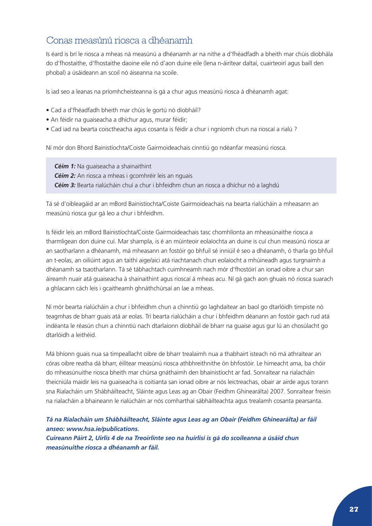## Conas measúnú riosca a dhéanamh

Is éard is brí le riosca a mheas ná measúnú a dhéanamh ar na nithe a d'fhéadfadh a bheith mar chúis díobhála do d'fhostaithe, d'fhostaithe daoine eile nó d'aon duine eile (lena n-áirítear daltaí, cuairteoirí agus baill den phobal) a úsáideann an scoil nó áiseanna na scoile.

Is iad seo a leanas na príomhcheisteanna is gá a chur agus measúnú riosca á dhéanamh agat:

- Cad a d'fhéadfadh bheith mar chúis le gortú nó díobháil?
- An féidir na guaiseacha a dhíchur agus, murar féidir;
- Cad iad na bearta coisctheacha agus cosanta is féidir a chur i ngníomh chun na rioscaí a rialú ?

Ní mór don Bhord Bainistíochta/Coiste Gairmoideachais cinntiú go ndéanfar measúnú riosca.

 *Céim 1:* Na guaiseacha a shainaithint

**Céim 2:** An riosca a mheas i gcomhréir leis an nguais

 *Céim 3:* Bearta rialúcháin chuí a chur i bhfeidhm chun an riosca a dhíchur nó a laghdú

Tá sé d'oibleagáid ar an mBord Bainistíochta/Coiste Gairmoideachais na bearta rialúcháin a mheasann an measúnú riosca gur gá leo a chur i bhfeidhm.

Is féidir leis an mBord Bainistíochta/Coiste Gairmoideachais tasc chomhlíonta an mheasúnaithe riosca a tharmligean don duine cuí. Mar shampla, is é an múinteoir eolaíochta an duine is cuí chun measúnú riosca ar an saotharlann a dhéanamh, má mheasann an fostóir go bhfuil sé inniúil é seo a dhéanamh, ó tharla go bhfuil an t-eolas, an oiliúint agus an taithí aige/aici atá riachtanach chun eolaíocht a mhúineadh agus turgnaimh a dhéanamh sa tsaotharlann. Tá sé tábhachtach cuimhneamh nach mór d'fhostóirí an ionad oibre a chur san áireamh nuair atá guaiseacha á shainaithint agus rioscaí á mheas acu. Ní gá gach aon ghuais nó riosca suarach a ghlacann cách leis i gcaitheamh ghnáthchúrsaí an lae a mheas.

Ní mór bearta rialúcháin a chur i bhfeidhm chun a chinntiú go laghdaítear an baol go dtarlóidh timpiste nó teagmhas de bharr guais atá ar eolas. Trí bearta rialúcháin a chur i bhfeidhm déanann an fostóir gach rud atá indéanta le réasún chun a chinntiú nach dtarlaíonn díobháil de bharr na guaise agus gur lú an chosúlacht go dtarlóidh a leithéid.

Má bhíonn guais nua sa timpeallacht oibre de bharr trealaimh nua a thabhairt isteach nó má athraítear an córas oibre reatha dá bharr, éilítear measúnú riosca athbhreithnithe ón bhfostóir. Le himeacht ama, ba chóir do mheasúnuithe riosca bheith mar chúrsa gnáthaimh den bhainistíocht ar fad. Sonraítear na rialacháin theicniúla maidir leis na guaiseacha is coitianta san ionad oibre ar nós leictreachas, obair ar airde agus torann sna Rialacháin um Shábháilteacht, Sláinte agus Leas ag an Obair (Feidhm Ghinearálta) 2007. Sonraítear freisin na rialacháin a bhaineann le rialúcháin ar nós comharthaí sábháilteachta agus trealamh cosanta pearsanta.

## *Tá na Rialacháin um Shábháilteacht, Sláinte agus Leas ag an Obair (Feidhm Ghinearálta) ar fáil anseo: www.hsa.ie/publications.*

*Cuireann Páirt 2, Uirlis 4 de na Treoirlínte seo na huirlisí is gá do scoileanna a úsáid chun measúnuithe riosca a dhéanamh ar fáil.*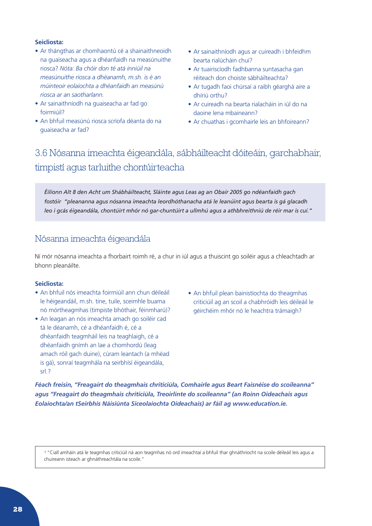### <span id="page-28-0"></span>**Seicliosta:**

- Ar thángthas ar chomhaontú cé a shainaithneoidh na guaiseacha agus a dhéanfaidh na measúnuithe riosca? *Nóta: Ba chóir don té atá inniúil na measúnuithe riosca a dhéanamh, m.sh. is é an múinteoir eolaíochta a dhéanfaidh an measúnú riosca ar an saotharlann.*
- Ar sainaithníodh na guaiseacha ar fad go foirmiúil?
- An bhfuil measúnú riosca scríofa déanta do na guaiseacha ar fad?
- Ar sainaithníodh agus ar cuireadh i bhfeidhm bearta rialúcháin chuí?
- Ar tuairiscíodh fadhbanna suntasacha gan réiteach don choiste sábháilteachta?
- Ar tugadh faoi chúrsaí a raibh géarghá aire a dhíriú orthu?
- Ar cuireadh na bearta rialacháin in iúl do na daoine lena mbaineann?
- Ar chuathas i gcomhairle leis an bhfoireann?

## 3.6 Nósanna imeachta éigeandála, sábháilteacht dóiteáin, garchabhair, timpistí agus tarluithe chontúirteacha

*Éilíonn Alt 8 den Acht um Shábháilteacht, Sláinte agus Leas ag an Obair 2005 go ndéanfaidh gach fostóir "pleananna agus nósanna imeachta leordhóthanacha atá le leanúint agus bearta is gá glacadh leo i gcás éigeandála, chontúirt mhór nó gar-chuntúirt a ullmhú agus a athbhreithniú de réir mar is cuí."* 

## Nósanna imeachta éigeandála

Ní mór nósanna imeachta a fhorbairt roimh ré, a chur in iúl agus a thuiscint go soiléir agus a chleachtadh ar bhonn pleanáilte.

### **Seicliosta:**

- An bhfuil nós imeachta foirmiúil ann chun déileáil le héigeandáil, m.sh. tine, tuile, sceimhle buama nó mórtheagmhas (timpiste bhóthair, féinmharú)?
- An leagan an nós imeachta amach go soiléir cad tá le déanamh, cé a dhéanfaidh é, cé a dhéanfaidh teagmháil leis na teaghlaigh, cé a dhéanfaidh gnímh an lae a chomhordú (leag amach róil gach duine), cúram leantach (a mhéad is gá), sonraí teagmhála na seirbhísí éigeandála, srl.?
- An bhfuil plean bainistíochta do theagmhas criticiúil ag an scoil a chabhróidh leis déileáil le géirchéim mhór nó le heachtra trámaigh?

*Féach freisin, "Freagairt do theagmhais chriticiúla, Comhairle agus Beart Faisnéise do scoileanna" agus "Freagairt do theagmhais chriticiúla, Treoirlínte do scoileanna" (an Roinn Oideachais agus Eolaíochta/an tSeirbhís Náisiúnta Siceolaíochta Oideachais) ar fáil ag www.education.ie.*

1 "Ciall amháin atá le teagmhas criticiúil ná aon teagmhas nó ord imeachtaí a bhfuil thar ghnáthriocht na scoile déileáil leis agus a chuireann isteach ar ghnáthreachtála na scoile."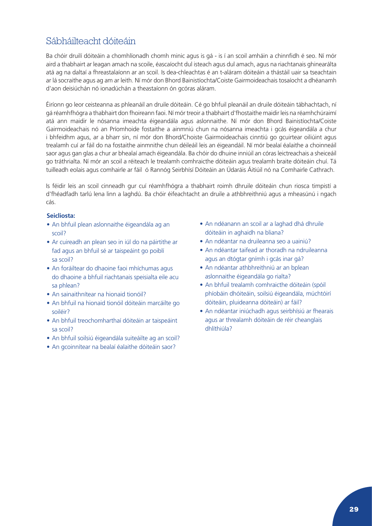## Sábháilteacht dóiteáin

Ba chóir druilí dóiteáin a chomhlíonadh chomh minic agus is gá - is í an scoil amháin a chinnfidh é seo. Ní mór aird a thabhairt ar leagan amach na scoile, éascaíocht dul isteach agus dul amach, agus na riachtanais ghinearálta atá ag na daltaí a fhreastalaíonn ar an scoil. Is dea-chleachtas é an t-aláram dóiteáin a thástáil uair sa tseachtain ar lá socraithe agus ag am ar leith. Ní mór don Bhord Bainistíochta/Coiste Gairmoideachais tosaíocht a dhéanamh d'aon deisiúchán nó ionadúchán a theastaíonn ón gcóras aláram.

Éiríonn go leor ceisteanna as phleanáil an druile dóiteáin. Cé go bhfuil pleanáil an druile dóiteáin tábhachtach, ní gá réamhfhógra a thabhairt don fhoireann faoi. Ní mór treoir a thabhairt d'fhostaithe maidir leis na réamhchúraimí atá ann maidir le nósanna imeachta éigeandála agus aslonnaithe. Ní mór don Bhord Bainistíochta/Coiste Gairmoideachais nó an Príomhoide fostaithe a ainmniú chun na nósanna imeachta i gcás éigeandála a chur i bhfeidhm agus, ar a bharr sin, ní mór don Bhord/Choiste Gairmoideachais cinntiú go gcuirtear oiliúint agus trealamh cuí ar fáil do na fostaithe ainmnithe chun déileáil leis an éigeandáil. Ní mór bealaí éalaithe a choinneáil saor agus gan glas a chur ar bhealaí amach éigeandála. Ba chóir do dhuine inniúil an córas leictreachais a sheiceáil go tráthrialta. Ní mór an scoil a réiteach le trealamh comhraicthe dóiteáin agus trealamh braite dóiteáin chuí. Tá tuilleadh eolais agus comhairle ar fáil ó Rannóg Seirbhísí Dóiteáin an Údaráis Áitiúil nó na Comhairle Cathrach.

Is féidir leis an scoil cinneadh gur cuí réamhfhógra a thabhairt roimh dhruile dóiteáin chun riosca timpistí a d'fhéadfadh tarlú lena linn a laghdú. Ba chóir éifeachtacht an druile a athbhreithniú agus a mheasúnú i ngach cás.

### **Seicliosta:**

- An bhfuil plean aslonnaithe éigeandála ag an scoil?
- Ar cuireadh an plean seo in iúl do na páirtithe ar fad agus an bhfuil sé ar taispeáint go poiblí sa scoil?
- An foráiltear do dhaoine faoi mhíchumas agus do dhaoine a bhfuil riachtanais speisialta eile acu sa phlean?
- An sainaithnítear na hionaid tionóil?
- An bhfuil na hionaid tionóil dóiteáin marcáilte go soiléir?
- An bhfuil treochomharthaí dóiteáin ar taispeáint sa scoil?
- An bhfuil soilsiú éigeandála suiteáilte ag an scoil?
- An gcoinnítear na bealaí éalaithe dóiteáin saor?
- An ndéanann an scoil ar a laghad dhá dhruile dóiteáin in aghaidh na bliana?
- An ndéantar na druileanna seo a uainiú?
- An ndéantar taifead ar thoradh na ndruileanna agus an dtógtar gnímh i gcás inar gá?
- An ndéantar athbhreithniú ar an bplean aslonnaithe éigeandála go rialta?
- An bhfuil trealamh comhraicthe dóiteáin (spóil phíobáin dhóiteáin, soilsiú éigeandála, múchtóirí dóiteáin, pluideanna dóiteáin) ar fáil?
- An ndéantar iniúchadh agus seirbhísiú ar fhearais agus ar threalamh dóiteáin de réir cheanglais dhlíthiúla?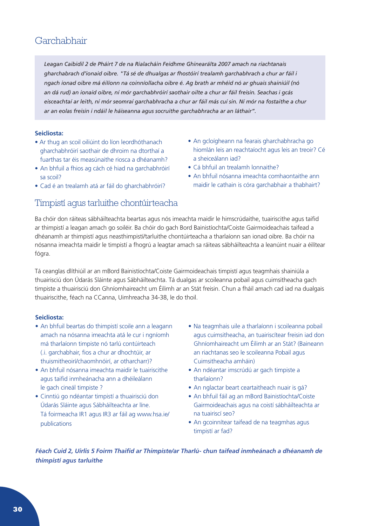## Garchabhair

*Leagan Caibidil 2 de Pháirt 7 de na Rialacháin Feidhme Ghinearálta 2007 amach na riachtanais gharchabrach d'ionaid oibre. "Tá sé de dhualgas ar fhostóirí trealamh garchabhrach a chur ar fáil i ngach ionad oibre má éilíonn na coinníollacha oibre é. Ag brath ar mhéid nó ar ghuais shainiúil (nó an dá rud) an ionaid oibre, ní mór garchabhróirí saothair oilte a chur ar fáil freisin. Seachas i gcás eisceachtaí ar leith, ní mór seomraí garchabhracha a chur ar fáil más cuí sin. Ní mór na fostaithe a chur ar an eolas freisin i ndáil le háiseanna agus socruithe garchabhracha ar an láthair".*

### **Seicliosta:**

- Ar thug an scoil oiliúint do líon leordhóthanach gharchabhróirí saothair de dhroim na dtorthaí a fuarthas tar éis measúnaithe riosca a dhéanamh?
- An bhfuil a fhios ag cách cé hiad na garchabhróirí sa scoil?
- Cad é an trealamh atá ar fáil do gharchabhróirí?

## Timpistí agus tarluithe chontúirteacha

- An gcloígheann na fearais gharchabhracha go hiomlán leis an reachtaíocht agus leis an treoir? Cé a sheiceálann iad?
- Cá bhfuil an trealamh lonnaithe?
- An bhfuil nósanna imeachta comhaontaithe ann maidir le cathain is córa garchabhair a thabhairt?

Ba chóir don ráiteas sábháilteachta beartas agus nós imeachta maidir le himscrúdaithe, tuairiscithe agus taifid ar thimpistí a leagan amach go soiléir. Ba chóir do gach Bord Bainistíochta/Coiste Gairmoideachais taifead a dhéanamh ar thimpistí agus neasthimpistí/tarluithe chontúirteacha a tharlaíonn san ionad oibre. Ba chóir na nósanna imeachta maidir le timpistí a fhogrú a leagtar amach sa ráiteas sábháilteachta a leanúint nuair a éilítear fógra.

Tá ceanglas dlíthiúil ar an mBord Bainistíochta/Coiste Gairmoideachais timpistí agus teagmhais shainiúla a thuairisciú don Údarás Sláinte agus Sábháilteachta. Tá dualgas ar scoileanna pobail agus cuimsitheacha gach timpiste a thuairisciú don Ghníomhaireacht um Éilimh ar an Stát freisin. Chun a fháil amach cad iad na dualgais thuairiscithe, féach na CCanna, Uimhreacha 34-38, le do thoil.

### **Seicliosta:**

- An bhfuil beartas do thimpistí scoile ann a leagann amach na nósanna imeachta atá le cur i ngníomh má tharlaíonn timpiste nó tarlú contúirteach (.i. garchabhair, fios a chur ar dhochtúir, ar thuismitheoirí/chaomhnóirí, ar otharcharr)?
- An bhfuil nósanna imeachta maidir le tuairiscithe agus taifid inmheánacha ann a dhéileálann le gach cineál timpiste ?
- Cinntiú go ndéantar timpistí a thuairisciú don Údarás Sláinte agus Sábháilteachta ar líne. Tá foirmeacha IR1 agus IR3 ar fáil ag www.hsa.ie/ publications
- Na teagmhais uile a tharlaíonn i scoileanna pobail agus cuimsitheacha, an tuairiscítear freisin iad don Ghníomhaireacht um Éilimh ar an Stát? (Baineann an riachtanas seo le scoileanna Pobail agus Cuimsitheacha amháin)
- An ndéantar imscrúdú ar gach timpiste a tharlaíonn?
- An nglactar beart ceartaitheach nuair is gá?
- An bhfuil fáil ag an mBord Bainistíochta/Coiste Gairmoideachais agus na coistí sábháilteachta ar na tuairiscí seo?
- An gcoinnítear taifead de na teagmhas agus timpistí ar fad?

*Féach Cuid 2, Uirlis 5 Foirm Thaifid ar Thimpiste/ar Tharlú- chun taifead inmheánach a dhéanamh de thimpistí agus tarluithe*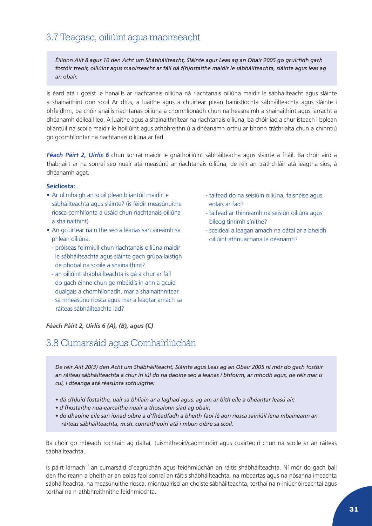## <span id="page-31-0"></span>3.7 Teagasc, oiliúint agus maoirseacht

*Éilíonn Ailt 8 agus 10 den Acht um Shábháilteacht, Sláinte agus Leas ag an Obair 2005 go gcuirfidh gach fostóir treoir, oiliúint agus maoirseacht ar fáil dá f(h)ostaithe maidir le sábháilteachta, sláinte agus leas ag an obair.*

Is éard atá i gceist le hanailís ar riachtanais oiliúna ná riachtanais oiliúna maidir le sábháilteacht agus sláinte a shainaithint don scoil Ar dtús, a luaithe agus a chuirtear plean bainistíochta sábháilteachta agus sláinte i bhfeidhm, ba chóir anailís riachtanas oiliúna a chomhlíonadh chun na heasnaimh a shainaithint agus iarracht a dhéanamh déileáil leo. A luaithe agus a shainaithnítear na riachtanais oiliúna, ba chóir iad a chur isteach i bplean bliantúil na scoile maidir le hoiliúint agus athbhreithniú a dhéanamh orthu ar bhonn tráthrialta chun a chinntiú go gcomhlíontar na riachtanais oiliúna ar fad.

*Féach Páirt 2, Uirlis 6* chun sonraí maidir le gnáthoiliúint sábháilteacha agus sláinte a fháil. Ba chóir aird a thabhairt ar na sonraí seo nuair atá measúnú ar riachtanais oiliúna, de réir an tráthchláir atá leagtha síos, á dhéanamh agat.

#### **Seicliosta:**

- Ar ullmhaigh an scoil plean bliantúil maidir le sábháilteachta agus sláinte? (is féidir measúnuithe riosca comhlíonta a úsáid chun riachtanais oiliúna a shainaithint)
- An gcuirtear na nithe seo a leanas san áireamh sa phlean oiliúna:
- próiseas foirmiúil chun riachtanais oiliúna maidir le sábháilteachta agus sláinte gach grúpa laistigh de phobal na scoile a shainaithint?
- an oiliúint shábháilteachta is gá a chur ar fáil do gach éinne chun go mbéidís in ann a gcuid dualgais a chomhlíonadh, mar a shainaithnítear sa mheasúnú riosca agus mar a leagtar amach sa ráiteas sábháilteachta iad?

*Féach Páirt 2, Uirlis 6 (A), (B), agus (C)*

## 3.8 Cumarsáid agus Comhairliúchán

- taifead do na seisiúin oiliúna, faisnéise agus eolais ar fad?
- taifead ar thinreamh na seisiún oiliúna agus bileog tinrimh sínithe?
- sceideal a leagan amach na dátaí ar a bheidh oiliúint athnuachana le déanamh?

*De réir Ailt 20(3) den Acht um Shábháilteacht, Sláinte agus Leas ag an Obair 2005 ní mór do gach fostóir an ráiteas sábháilteachta a chur in iúl do na daoine seo a leanas i bhfoirm, ar mhodh agus, de réir mar is cuí, i dteanga atá réasúnta sothuigthe:* 

- *dá c(h)uid fostaithe, uair sa bhliain ar a laghad agus, ag am ar bith eile a dhéantar leasú air;*
- *d'fhostaithe nua-earcaithe nuair a thosaíonn siad ag obair;*
- *do dhaoine eile san ionad oibre a d'fhéadfadh a bheith faoi lé aon riosca sainiúil lena mbaineann an ráiteas sábháilteachta, m.sh. conraitheoirí atá i mbun oibre sa scoil.*

Ba chóir go mbeadh rochtain ag daltaí, tuismitheoirí/caomhnóirí agus cuairteoirí chun na scoile ar an ráiteas sábháilteachta.

Is páirt lárnach í an cumarsáid d'eagrúchán agus feidhmiúchán an ráitis shábháilteachta. Ní mór do gach ball den fhoireann a bheith ar an eolas faoi sonraí an ráitis shábháilteachta, na mbeartas agus na nósanna imeachta sábháilteachta, na measúnuithe riosca, miontuairiscí an choiste sábháilteachta, torthaí na n-iniúchóireachtaí agus torthaí na n-athbhreithnithe feidhmíochta.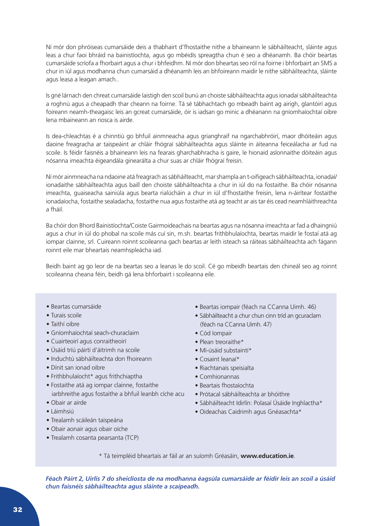Ní mór don phróiseas cumarsáide deis a thabhairt d'fhostaithe nithe a bhaineann le sábháilteacht, sláinte agus leas a chur faoi bhráid na bainistíochta, agus go mbéidís spreagtha chun é seo a dhéanamh. Ba chóir beartas cumarsáide scríofa a fhorbairt agus a chur i bhfeidhm. Ní mór don bheartas seo ról na foirne i bhforbairt an SMS a chur in iúl agus modhanna chun cumarsáid a dhéanamh leis an bhfoireann maidir le nithe sábháilteachta, sláinte agus leasa a leagan amach..

Is gné lárnach den chreat cumarsáide laistigh den scoil bunú an choiste sábháilteachta agus ionadaí sábháilteachta a roghnú agus a cheapadh thar cheann na foirne. Tá sé tábhachtach go mbeadh baint ag airigh, glantóirí agus foireann neamh-theagaisc leis an gcreat cumarsáide, óir is iadsan go minic a dhéanann na gníomhaíochtaí oibre lena mbaineann an riosca is airde.

Is dea-chleachtas é a chinntiú go bhfuil ainmneacha agus grianghraif na ngarchabhróirí, maor dhóiteáin agus daoine freagracha ar taispeáint ar chláir fhógraí sábháilteachta agus sláinte in áiteanna feiceálacha ar fud na scoile. Is féidir faisnéis a bhaineann leis na fearais gharchabhracha is gaire, le hionaid aslonnaithe dóiteáin agus nósanna imeachta éigeandála ginearálta a chur suas ar chláir fhógraí freisin.

Ní mór ainmneacha na ndaoine atá freagrach as sábháilteacht, mar shampla an t-oifigeach sábháilteachta, ionadaí/ ionadaithe sábháilteachta agus baill den choiste sábháilteachta a chur in iúl do na fostaithe. Ba chóir nósanna imeachta, guaiseacha sainiúla agus bearta rialúcháin a chur in iúl d'fhostaithe freisin, lena n-áirítear fostaithe ionadaíocha, fostaithe sealadacha, fostaithe nua agus fostaithe atá ag teacht ar ais tar éis cead neamhláithreachta a fháil.

Ba chóir don Bhord Bainistíochta/Coiste Gairmoideachais na beartas agus na nósanna imeachta ar fad a dhaingniú agus a chur in iúl do phobal na scoile más cuí sin, m.sh. beartas frithbhulaíochta, beartas maidir le fostaí atá ag iompar clainne, srl. Cuireann roinnt scoileanna gach beartas ar leith isteach sa ráiteas sábháilteachta ach fágann roinnt eile mar bheartais neamhspleácha iad.

Beidh baint ag go leor de na beartas seo a leanas le do scoil. Cé go mbeidh beartais den chineál seo ag roinnt scoileanna cheana féin, beidh gá lena bhforbairt i scoileanna eile.

- Beartas cumarsáide
- Turais scoile
- Taithí oibre
- Gníomhaíochtaí seach-churaclaim
- Cuairteoirí agus conraitheoirí
- Úsáid tríú páirtí d'áitrimh na scoile
- Induchtú sábháilteachta don fhoireann
- Dínit san ionad oibre
- Frithbhulaíocht\* agus frithchiaptha
- Fostaithe atá ag iompar clainne, fostaithe iarbhreithe agus fostaithe a bhfuil leanbh cíche acu
- Obair ar airde
- Láimhsiú
- Trealamh scáileán taispeána
- Obair aonair agus obair oíche
- Trealamh cosanta pearsanta (TCP)
- Beartas iompair (féach na CCanna Uimh. 46)
- Sábháilteacht a chur chun cinn tríd an gcuraclam (féach na CCanna Uimh. 47)
- Cód Iompair
- Plean treoraithe\*
- Mí-úsáid substaintí\*
- Cosaint leanaí\*
- Riachtanais speisialta
- Comhionannas
- Beartais fhostaíochta
- Prótacal sábháilteachta ar bhóithre
- Sábháilteacht Idirlín: Polasaí Úsáide Inghlactha\*
- Oideachas Caidrimh agus Gnéasachta\*

\* Tá teimpléid bheartais ar fáil ar an suíomh Gréasáin, **www.education.ie**.

*Féach Páirt 2, Uirlis 7 do sheicliosta de na modhanna éagsúla cumarsáide ar féidir leis an scoil a úsáid chun faisnéis sábháilteachta agus sláinte a scaipeadh.*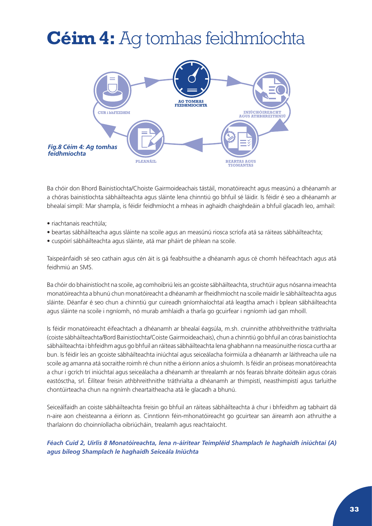## <span id="page-33-0"></span>**Céim 4:** Ag tomhas feidhmíochta



Ba chóir don Bhord Bainistíochta/Choiste Gairmoideachais tástáil, monatóireacht agus measúnú a dhéanamh ar a chóras bainistíochta sábháilteachta agus sláinte lena chinntiú go bhfuil sé láidir. Is féidir é seo a dhéanamh ar bhealaí simplí: Mar shampla, is féidir feidhmíocht a mheas in aghaidh chaighdeáin a bhfuil glacadh leo, amhail:

- riachtanais reachtúla;
- beartas sábháilteacha agus sláinte na scoile agus an measúnú riosca scríofa atá sa ráiteas sábháilteachta;
- cuspóirí sábháilteachta agus sláinte, atá mar pháirt de phlean na scoile.

Taispeánfaidh sé seo cathain agus cén áit is gá feabhsuithe a dhéanamh agus cé chomh héifeachtach agus atá feidhmiú an SMS.

Ba chóir do bhainistíocht na scoile, ag comhoibriú leis an gcoiste sábháilteachta, struchtúir agus nósanna imeachta monatóireachta a bhunú chun monatóireacht a dhéanamh ar fheidhmíocht na scoile maidir le sábháilteachta agus sláinte. Déanfar é seo chun a chinntiú gur cuireadh gníomhaíochtaí atá leagtha amach i bplean sábháilteachta agus sláinte na scoile i ngníomh, nó murab amhlaidh a tharla go gcuirfear i ngníomh iad gan mhoill.

Is féidir monatóireacht éifeachtach a dhéanamh ar bhealaí éagsúla, m.sh. cruinnithe athbhreithnithe tráthrialta (coiste sábháilteachta/Bord Bainistíochta/Coiste Gairmoideachais), chun a chinntiú go bhfuil an córas bainistíochta sábháilteachta i bhfeidhm agus go bhfuil an ráiteas sábháilteachta lena ghabhann na measúnuithe riosca curtha ar bun. Is féidir leis an gcoiste sábháilteachta iniúchtaí agus seiceálacha foirmiúla a dhéanamh ar láithreacha uile na scoile ag amanna atá socraithe roimh ré chun nithe a éiríonn aníos a shuíomh. Is féidir an próiseas monatóireachta a chur i gcrích trí iniúchtaí agus seiceálacha a dhéanamh ar threalamh ar nós fearais bhraite dóiteáin agus córais eastósctha, srl. Éilítear freisin athbhreithnithe tráthrialta a dhéanamh ar thimpistí, neasthimpistí agus tarluithe chontúirteacha chun na ngnímh cheartaitheacha atá le glacadh a bhunú.

Seiceálfaidh an coiste sábháilteachta freisin go bhfuil an ráiteas sábháilteachta á chur i bhfeidhm ag tabhairt dá n-aire aon cheisteanna a éiríonn as. Cinntíonn féin-mhonatóireacht go gcuirtear san áireamh aon athruithe a tharlaíonn do choinníollacha oibriúcháin, trealamh agus reachtaíocht.

*Féach Cuid 2, Uirlis 8 Monatóireachta, lena n-áirítear Teimpléid Shamplach le haghaidh iniúchtaí (A) agus bileog Shamplach le haghaidh Seiceála Iniúchta*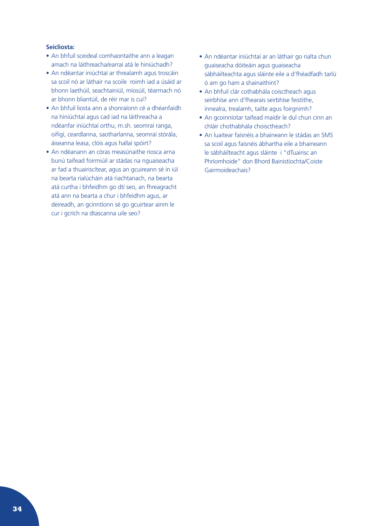#### **Seicliosta:**

- An bhfuil sceideal comhaontaithe ann a leagan amach na láithreacha/earraí atá le hiniúchadh?
- An ndéantar iniúchtaí ar threalamh agus troscáin sa scoil nó ar láthair na scoile roimh iad a úsáid ar bhonn laethúil, seachtainiúl, míosúil, téarmach nó ar bhonn bliantúil, de réir mar is cuí?
- An bhfuil liosta ann a shonraíonn cé a dhéanfaidh na hiniúchtaí agus cad iad na láithreacha a ndéanfar iniúchtaí orthu, m.sh. seomraí ranga, oifigí, ceardlanna, saotharlanna, seomraí stórála, áiseanna leasa, clóis agus hallaí spóirt?
- An ndéanann an córas measúnaithe riosca arna bunú taifead foirmiúil ar stádas na nguaiseacha ar fad a thuairiscítear, agus an gcuireann sé in iúl na bearta rialúcháin atá riachtanach, na bearta atá curtha i bhfeidhm go dtí seo, an fhreagracht atá ann na bearta a chur i bhfeidhm agus, ar deireadh, an gcinntíonn sé go gcuirtear ainm le cur i gcrích na dtascanna uile seo?
- An ndéantar iniúchtaí ar an láthair go rialta chun guaiseacha dóiteáin agus guaiseacha sábháilteachta agus sláinte eile a d'fhéadfadh tarlú ó am go ham a shainaithint?
- An bhfuil clár cothabhála coisctheach agus seirbhíse ann d'fhearais seirbhíse feistithe, innealra, trealamh, tailte agus foirgnimh?
- An gcoinníotar taifead maidir le dul chun cinn an chláir chothabhála choisctheach?
- An luaitear faisnéis a bhaineann le stádas an SMS sa scoil agus faisnéis ábhartha eile a bhaineann le sábháilteacht agus sláinte i "dTuairisc an Phríomhoide" don Bhord Bainistíochta/Coiste Gairmoideachais?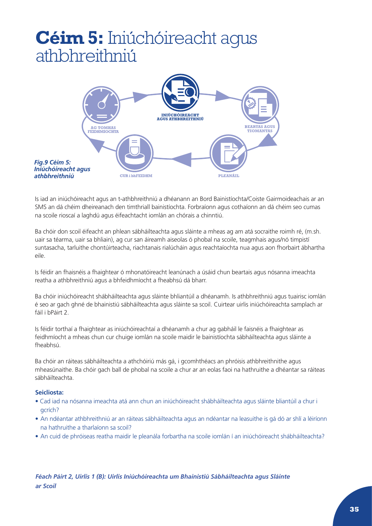## <span id="page-35-0"></span>**Céim 5:** Iniúchóireacht agus athbhreithniú



Is iad an iniúchóireacht agus an t-athbhreithniú a dhéanann an Bord Bainistíochta/Coiste Gairmoideachais ar an SMS an dá chéim dheireanach den timthriall bainistíochta. Forbraíonn agus cothaíonn an dá chéim seo cumas na scoile rioscaí a laghdú agus éifeachtacht iomlán an chórais a chinntiú.

Ba chóir don scoil éifeacht an phlean sábháilteachta agus sláinte a mheas ag am atá socraithe roimh ré, (m.sh. uair sa téarma, uair sa bhliain), ag cur san áireamh aiseolas ó phobal na scoile, teagmhais agus/nó timpistí suntasacha, tarluithe chontúirteacha, riachtanais rialúcháin agus reachtaíochta nua agus aon fhorbairt ábhartha eile.

Is féidir an fhaisnéis a fhaightear ó mhonatóireacht leanúnach a úsáid chun beartais agus nósanna imeachta reatha a athbhreithniú agus a bhfeidhmíocht a fheabhsú dá bharr.

Ba chóir iniúchóireacht shábháilteachta agus sláinte bhliantúil a dhéanamh. Is athbhreithniú agus tuairisc iomlán é seo ar gach ghné de bhainistiú sábháilteachta agus sláinte sa scoil. Cuirtear uirlis iniúchóireachta samplach ar fáil i bPáirt 2.

Is féidir torthaí a fhaightear as iniúchóireachtaí a dhéanamh a chur ag gabháil le faisnéis a fhaightear as feidhmíocht a mheas chun cur chuige iomlán na scoile maidir le bainistíochta sábháilteachta agus sláinte a fheabhsú.

Ba chóir an ráiteas sábháilteachta a athchóiriú más gá, i gcomhthéacs an phróisis athbhreithnithe agus mheasúnaithe. Ba chóir gach ball de phobal na scoile a chur ar an eolas faoi na hathruithe a dhéantar sa ráiteas sábháilteachta.

### **Seicliosta:**

- Cad iad na nósanna imeachta atá ann chun an iniúchóireacht shábháilteachta agus sláinte bliantúil a chur i gcrích?
- An ndéantar athbhreithniú ar an ráiteas sábháilteachta agus an ndéantar na leasuithe is gá dó ar shlí a léiríonn na hathruithe a tharlaíonn sa scoil?
- An cuid de phróiseas reatha maidir le pleanála forbartha na scoile iomlán í an iniúchóireacht shábháilteachta?

*Féach Páirt 2, Uirlis 1 (B): Uirlis Iniúchóireachta um Bhainistiú Sábháilteachta agus Sláinte ar Scoil*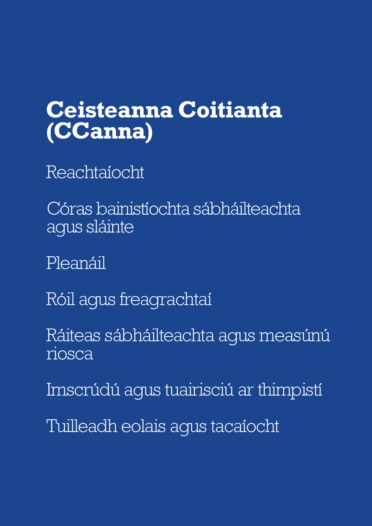## <span id="page-37-0"></span>**Ceisteanna Coitianta (CCanna)**

- Reachtaíocht
- Córas bainistíochta sábháilteachta agus sláinte
- Pleanáil
- Róil agus freagrachtaí
- Ráiteas sábháilteachta agus measúnú riosca
- Imscrúdú agus tuairisciú ar thimpistí
- Tuilleadh eolais agus tacaíocht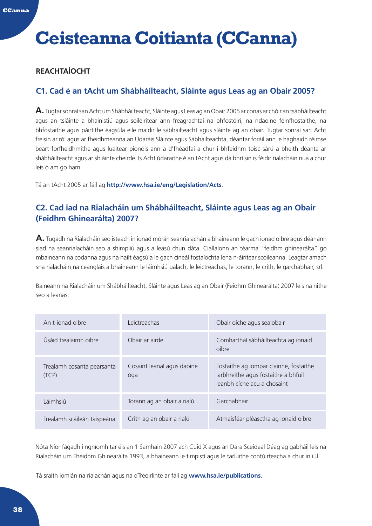#### <span id="page-38-0"></span>**CCanna**

## **Ceisteanna Coitianta (CCanna)**

## **REACHTAÍOCHT**

## **C1. Cad é an tAcht um Shábháilteacht, Sláinte agus Leas ag an Obair 2005?**

**A.** Tugtar sonraí san Acht um Shábháilteacht, Sláinte agus Leas ag an Obair 2005 ar conas ar chóir an tsábháilteacht agus an tsláinte a bhainistiú agus soiléirítear ann freagrachtaí na bhfostóirí, na ndaoine féinfhostaithe, na bhfostaithe agus páirtithe éagsúla eile maidir le sábháilteacht agus sláinte ag an obair. Tugtar sonraí san Acht freisin ar ról agus ar fheidhmeanna an Údaráis Sláinte agus Sábháilteachta, déantar foráil ann le haghaidh réimse beart forfheidhmithe agus luaitear pionóis ann a d'fhéadfaí a chur i bhfeidhm toisc sárú a bheith déanta ar shábháilteacht agus ar shláinte cheirde. Is Acht údaraithe é an tAcht agus dá bhrí sin is féidir rialacháin nua a chur leis ó am go ham.

Tá an tAcht 2005 ar fáil ag **[http://www.hsa.ie/eng/Legislation/Acts](http://www.hsa.ie/publications)**.

## **C2. Cad iad na Rialacháin um Shábháilteacht, Sláinte agus Leas ag an Obair (Feidhm Ghinearálta) 2007?**

**A.** Tugadh na Rialacháin seo isteach in ionad mórán seanrialachán a bhaineann le gach ionad oibre agus déanann siad na seanrialacháin seo a shimpliú agus a leasú chun dáta. Ciallaíonn an téarma "feidhm ghinearálta" go mbaineann na codanna agus na hailt éagsúla le gach cineál fostaíochta lena n-áirítear scoileanna. Leagtar amach sna rialacháin na ceanglais a bhaineann le láimhsiú ualach, le leictreachas, le torann, le crith, le garchabhair, srl.

Baineann na Rialacháin um Shábháilteacht, Sláinte agus Leas ag an Obair (Feidhm Ghinearálta) 2007 leis na nithe seo a leanas:

| An t-ionad oibre                    | Leictreachas                      | Obair oíche agus sealobair                                                                                   |
|-------------------------------------|-----------------------------------|--------------------------------------------------------------------------------------------------------------|
| Úsáid trealaimh oibre               | Obair ar airde                    | Comharthaí sábháilteachta ag ionaid<br>oibre                                                                 |
| Trealamh cosanta pearsanta<br>(TCP) | Cosaint leanaí agus daoine<br>óga | Fostaithe ag iompar clainne, fostaithe<br>iarbhreithe agus fostaithe a bhfuil<br>leanbh cíche acu a chosaint |
| l áimhsiú                           | Torann ag an obair a rialú        | Garchabhair                                                                                                  |
| Trealamh scáileán taispeána         | Crith ag an obair a rialú         | Atmaisféar pléasctha ag ionaid oibre                                                                         |

Nóta Níor fágadh i ngníomh tar éis an 1 Samhain 2007 ach Cuid X agus an Dara Sceideal Déag ag gabháil leis na Rialacháin um Fheidhm Ghinearálta 1993, a bhaineann le timpistí agus le tarluithe contúirteacha a chur in iúl.

Tá sraith iomlán na rialachán agus na dTreoirlínte ar fáil ag **www.hsa.ie/publications**.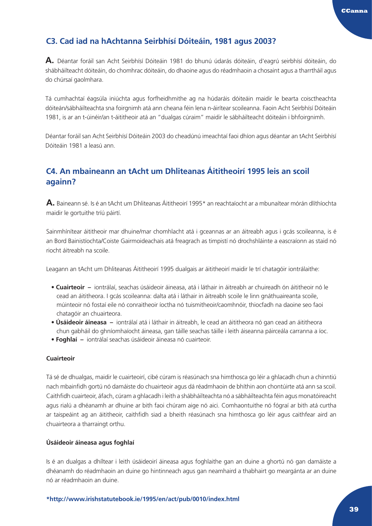## **C3. Cad iad na hAchtanna Seirbhísí Dóiteáin, 1981 agus 2003?**

**A.** Déantar foráil san Acht Seirbhísí Dóiteáin 1981 do bhunú údarás dóiteáin, d'eagrú seirbhísí dóiteáin, do shábháilteacht dóiteáin, do chomhrac dóiteáin, do dhaoine agus do réadmhaoin a chosaint agus a tharrtháil agus do chúrsaí gaolmhara.

Tá cumhachtaí éagsúla iniúchta agus forfheidhmithe ag na húdaráis dóiteáin maidir le bearta coisctheachta dóiteán/sábháilteachta sna foirgnimh atá ann cheana féin lena n-áirítear scoileanna. Faoin Acht Seirbhísí Dóiteáin 1981, is ar an t-úinéir/an t-áititheoir atá an "dualgas cúraim" maidir le sábháilteacht dóiteáin i bhfoirgnimh.

Déantar foráil san Acht Seirbhísí Dóiteáin 2003 do cheadúnú imeachtaí faoi dhíon agus déantar an tAcht Seirbhísí Dóiteáin 1981 a leasú ann.

## **C4. An mbaineann an tAcht um Dhliteanas Áititheoirí 1995 leis an scoil againn?**

**A.** Baineann sé. Is é an tAcht um Dhliteanas Áititheoirí 1995\* an reachtaíocht ar a mbunaítear mórán dlíthíochta maidir le gortuithe tríú páirtí.

Sainmhínítear áititheoir mar dhuine/mar chomhlacht atá i gceannas ar an áitreabh agus i gcás scoileanna, is é an Bord Bainistíochta/Coiste Gairmoideachais atá freagrach as timpistí nó drochshláinte a eascraíonn as staid nó riocht áitreabh na scoile.

Leagann an tAcht um Dhliteanas Áititheoirí 1995 dualgais ar áititheoirí maidir le trí chatagóir iontrálaithe:

- **Cuairteoir** iontrálaí, seachas úsáideoir áineasa, atá i láthair in áitreabh ar chuireadh ón áititheoir nó le cead an áititheora. I gcás scoileanna: dalta atá i láthair in áitreabh scoile le linn gnáthuaireanta scoile, múinteoir nó fostaí eile nó conraitheoir íoctha nó tuismitheoir/caomhnóir, thiocfadh na daoine seo faoi chatagóir an chuairteora.
- **Úsáideoir áineasa** iontrálaí atá i láthair in áitreabh, le cead an áititheora nó gan cead an áititheora chun gabháil do ghníomhaíocht áineasa, gan táille seachas táille i leith áiseanna páirceála carranna a íoc.
- **Foghlaí** iontrálaí seachas úsáideoir áineasa nó cuairteoir.

#### **Cuairteoir**

Tá sé de dhualgas, maidir le cuairteoirí, cibé cúram is réasúnach sna himthosca go léir a ghlacadh chun a chinntiú nach mbainfidh gortú nó damáiste do chuairteoir agus dá réadmhaoin de bhíthin aon chontúirte atá ann sa scoil. Caithfidh cuairteoir, áfach, cúram a ghlacadh i leith a shábháilteachta nó a sábháilteachta féin agus monatóireacht agus rialú a dhéanamh ar dhuine ar bith faoi chúram aige nó aici. Comhaontuithe nó fógraí ar bith atá curtha ar taispeáint ag an áititheoir, caithfidh siad a bheith réasúnach sna himthosca go léir agus caithfear aird an chuairteora a tharraingt orthu.

#### **Úsáideoir áineasa agus foghlaí**

Is é an dualgas a dhíltear i leith úsáideoirí áineasa agus foghlaithe gan an duine a ghortú nó gan damáiste a dhéanamh do réadmhaoin an duine go hintinneach agus gan neamhaird a thabhairt go meargánta ar an duine nó ar réadmhaoin an duine.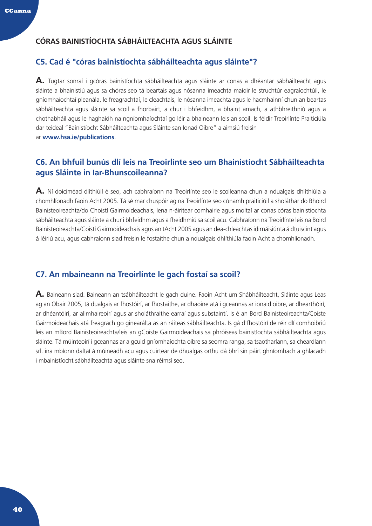## <span id="page-40-0"></span>**CÓRAS BAINISTÍOCHTA SÁBHÁILTEACHTA AGUS SLÁINTE**

## **C5. Cad é "córas bainistíochta sábháilteachta agus sláinte"?**

**A.** Tugtar sonraí i gcóras bainistíochta sábháilteachta agus sláinte ar conas a dhéantar sábháilteacht agus sláinte a bhainistiú agus sa chóras seo tá beartais agus nósanna imeachta maidir le struchtúr eagraíochtúil, le gníomhaíochtaí pleanála, le freagrachtaí, le cleachtais, le nósanna imeachta agus le hacmhainní chun an beartas sábháilteachta agus sláinte sa scoil a fhorbairt, a chur i bhfeidhm, a bhaint amach, a athbhreithniú agus a chothabháil agus le haghaidh na ngníomhaíochtaí go léir a bhaineann leis an scoil. Is féidir Treoirlínte Praiticiúla dar teideal "Bainistíocht Sábháilteachta agus Sláinte san Ionad Oibre" a aimsiú freisin ar **[www.hsa.ie/publications](http://www.hsa.ie/publications)**.

## **C6. An bhfuil bunús dlí leis na Treoirlínte seo um Bhainistíocht Sábháilteachta agus Sláinte in Iar-Bhunscoileanna?**

**A.** Ní doiciméad dlíthiúil é seo, ach cabhraíonn na Treoirlínte seo le scoileanna chun a ndualgais dhlíthiúla a chomhlíonadh faoin Acht 2005. Tá sé mar chuspóir ag na Treoirlínte seo cúnamh praiticiúil a sholáthar do Bhoird Bainisteoireachta/do Choistí Gairmoideachais, lena n-áirítear comhairle agus moltaí ar conas córas bainistíochta sábháilteachta agus sláinte a chur i bhfeidhm agus a fheidhmiú sa scoil acu. Cabhraíonn na Treoirlínte leis na Boird Bainisteoireachta/Coistí Gairmoideachais agus an tAcht 2005 agus an dea-chleachtas idirnáisiúnta á dtuiscint agus á léiriú acu, agus cabhraíonn siad freisin le fostaithe chun a ndualgais dhlíthiúla faoin Acht a chomhlíonadh.

## **C7. An mbaineann na Treoirlínte le gach fostaí sa scoil?**

**A.** Baineann siad. Baineann an tsábháilteacht le gach duine. Faoin Acht um Shábháilteacht, Sláinte agus Leas ag an Obair 2005, tá dualgais ar fhostóirí, ar fhostaithe, ar dhaoine atá i gceannas ar ionaid oibre, ar dhearthóirí, ar dhéantóirí, ar allmhaireoirí agus ar sholáthraithe earraí agus substaintí. Is é an Bord Bainisteoireachta/Coiste Gairmoideachais atá freagrach go ginearálta as an ráiteas sábháilteachta. Is gá d'fhostóirí de réir dlí comhoibriú leis an mBord Bainisteoireachta/leis an gCoiste Gairmoideachais sa phróiseas bainistíochta sábháilteachta agus sláinte. Tá múinteoirí i gceannas ar a gcuid gníomhaíochta oibre sa seomra ranga, sa tsaotharlann, sa cheardlann srl. ina mbíonn daltaí á múineadh acu agus cuirtear de dhualgas orthu dá bhrí sin páirt ghníomhach a ghlacadh i mbainistíocht sábháilteachta agus sláinte sna réimsí seo.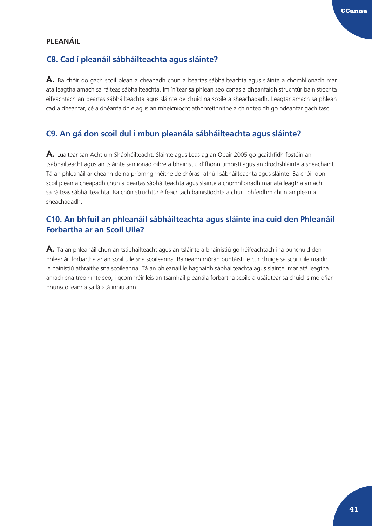## <span id="page-41-0"></span>**PLEANÁIL**

## **C8. Cad í pleanáil sábháilteachta agus sláinte?**

**A.** Ba chóir do gach scoil plean a cheapadh chun a beartas sábháilteachta agus sláinte a chomhlíonadh mar atá leagtha amach sa ráiteas sábháilteachta. Imlínítear sa phlean seo conas a dhéanfaidh struchtúr bainistíochta éifeachtach an beartas sábháilteachta agus sláinte de chuid na scoile a sheachadadh. Leagtar amach sa phlean cad a dhéanfar, cé a dhéanfaidh é agus an mheicníocht athbhreithnithe a chinnteoidh go ndéanfar gach tasc.

## **C9. An gá don scoil dul i mbun pleanála sábháilteachta agus sláinte?**

**A.** Luaitear san Acht um Shábháilteacht, Sláinte agus Leas ag an Obair 2005 go gcaithfidh fostóirí an tsábháilteacht agus an tsláinte san ionad oibre a bhainistiú d'fhonn timpistí agus an drochshláinte a sheachaint. Tá an phleanáil ar cheann de na príomhghnéithe de chóras rathúil sábháilteachta agus sláinte. Ba chóir don scoil plean a cheapadh chun a beartas sábháilteachta agus sláinte a chomhlíonadh mar atá leagtha amach sa ráiteas sábháilteachta. Ba chóir struchtúr éifeachtach bainistíochta a chur i bhfeidhm chun an plean a sheachadadh.

## **C10. An bhfuil an phleanáil sábháilteachta agus sláinte ina cuid den Phleanáil Forbartha ar an Scoil Uile?**

**A.** Tá an phleanáil chun an tsábháilteacht agus an tsláinte a bhainistiú go héifeachtach ina bunchuid den phleanáil forbartha ar an scoil uile sna scoileanna. Baineann mórán buntáistí le cur chuige sa scoil uile maidir le bainistiú athraithe sna scoileanna. Tá an phleanáil le haghaidh sábháilteachta agus sláinte, mar atá leagtha amach sna treoirlínte seo, i gcomhréir leis an tsamhail pleanála forbartha scoile a úsáidtear sa chuid is mó d'iarbhunscoileanna sa lá atá inniu ann.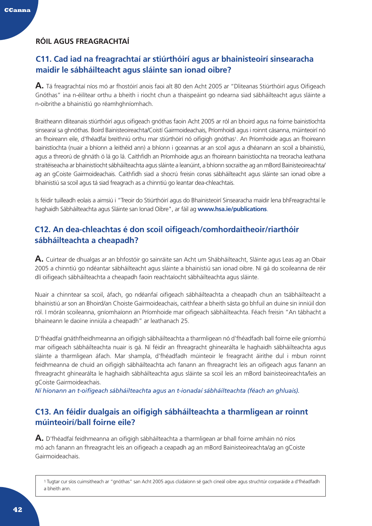## <span id="page-42-0"></span>**RÓIL AGUS FREAGRACHTAÍ**

## **C11. Cad iad na freagrachtaí ar stiúrthóirí agus ar bhainisteoirí sinsearacha maidir le sábháilteacht agus sláinte san ionad oibre?**

**A.** Tá freagrachtaí níos mó ar fhostóirí anois faoi alt 80 den Acht 2005 ar "Dliteanas Stiúrthóirí agus Oifigeach Gnóthas" ina n-éilítear orthu a bheith i riocht chun a thaispeáint go ndearna siad sábháilteacht agus sláinte a n-oibrithe a bhainistiú go réamhghníomhach.

Braitheann dliteanais stiúrthóirí agus oifigeach gnóthas faoin Acht 2005 ar ról an bhoird agus na foirne bainistíochta sinsearaí sa ghnóthas. Boird Bainisteoireachta/Coistí Gairmoideachais, Príomhoidí agus i roinnt cásanna, múinteoirí nó an fhoireann eile, d'fhéadfaí breithniú orthu mar stiúrthóirí nó oifigigh gnóthas1. An Príomhoide agus an fhoireann bainistíochta (nuair a bhíonn a leithéid ann) a bhíonn i gceannas ar an scoil agus a dhéanann an scoil a bhainistiú, agus a threorú de ghnáth ó lá go lá. Caithfidh an Príomhoide agus an fhoireann bainistíochta na treoracha leathana straitéiseacha ar bhainistíocht sábháilteachta agus sláinte a leanúint, a bhíonn socraithe ag an mBord Bainisteoireachta/ ag an gCoiste Gairmoideachais. Caithfidh siad a shocrú freisin conas sábháilteacht agus sláinte san ionad oibre a bhainistiú sa scoil agus tá siad freagrach as a chinntiú go leantar dea-chleachtais.

Is féidir tuilleadh eolais a aimsiú i "Treoir do Stiúrthóirí agus do Bhainisteoirí Sinsearacha maidir lena bhFreagrachtaí le haghaidh Sábháilteachta agus Sláinte san Ionad Oibre", ar fáil ag **www.hsa.ie/publications**.

## **C12. An dea-chleachtas é don scoil oifigeach/comhordaitheoir/riarthóir sábháilteachta a cheapadh?**

**A.** Cuirtear de dhualgas ar an bhfostóir go sainráite san Acht um Shábháilteacht, Sláinte agus Leas ag an Obair 2005 a chinntiú go ndéantar sábháilteacht agus sláinte a bhainistiú san ionad oibre. Ní gá do scoileanna de réir dlí oifigeach sábháilteachta a cheapadh faoin reachtaíocht sábháilteachta agus sláinte.

Nuair a chinntear sa scoil, áfach, go ndéanfaí oifigeach sábháilteachta a cheapadh chun an tsábháilteacht a bhainistiú ar son an Bhoird/an Choiste Gairmoideachais, caithfear a bheith sásta go bhfuil an duine sin inniúil don ról. I mórán scoileanna, gníomhaíonn an Príomhoide mar oifigeach sábháilteachta. Féach freisin "An tábhacht a bhaineann le daoine inniúla a cheapadh" ar leathanach 25.

D'fhéadfaí gnáthfheidhmeanna an oifigigh sábháilteachta a tharmligean nó d'fhéadfadh ball foirne eile gníomhú mar oifigeach sábháilteachta nuair is gá. Ní féidir an fhreagracht ghinearálta le haghaidh sábháilteachta agus sláinte a tharmligean áfach. Mar shampla, d'fhéadfadh múinteoir le freagracht áirithe dul i mbun roinnt feidhmeanna de chuid an oifigigh sábháilteachta ach fanann an fhreagracht leis an oifigeach agus fanann an fhreagracht ghinearálta le haghaidh sábháilteachta agus sláinte sa scoil leis an mBord bainisteoireachta/leis an gCoiste Gairmoideachais.

*Ní hionann an t-oifigeach sábháilteachta agus an t-ionadaí sábháilteachta (féach an ghluais).*

## **C13. An féidir dualgais an oifigigh sábháilteachta a tharmligean ar roinnt múinteoirí/ball foirne eile?**

**A.** D'fhéadfaí feidhmeanna an oifigigh sábháilteachta a tharmligean ar bhall foirne amháin nó níos mó ach fanann an fhreagracht leis an oifigeach a ceapadh ag an mBord Bainisteoireachta/ag an gCoiste Gairmoideachais.

1 Tugtar cur síos cuimsitheach ar "gnóthas" san Acht 2005 agus clúdaíonn sé gach cineál oibre agus struchtúr corparáide a d'fhéadfadh a bheith ann.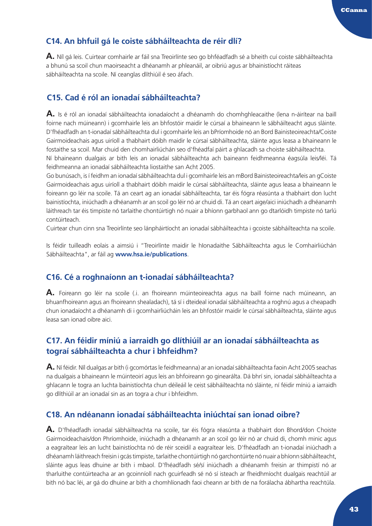## **C14. An bhfuil gá le coiste sábháilteachta de réir dlí?**

**A.** Níl gá leis. Cuirtear comhairle ar fáil sna Treoirlínte seo go bhféadfadh sé a bheith cuí coiste sábháilteachta a bhunú sa scoil chun maoirseacht a dhéanamh ar phleanáil, ar oibriú agus ar bhainistíocht ráiteas sábháilteachta na scoile. Ní ceanglas dlíthiúil é seo áfach.

## **C15. Cad é ról an ionadaí sábháilteachta?**

**A.** Is é ról an ionadaí sábháilteachta ionadaíocht a dhéanamh do chomhghleacaithe (lena n-áirítear na baill foirne nach múineann) i gcomhairle leis an bhfostóir maidir le cúrsaí a bhaineann le sábháilteacht agus sláinte. D'fhéadfadh an t-ionadaí sábháilteachta dul i gcomhairle leis an bPríomhoide nó an Bord Bainisteoireachta/Coiste Gairmoideachais agus uiríoll a thabhairt dóibh maidir le cúrsaí sábháilteachta, sláinte agus leasa a bhaineann le fostaithe sa scoil. Mar chuid den chomhairliúchán seo d'fhéadfaí páirt a ghlacadh sa choiste sábháilteachta.

Ní bhaineann dualgais ar bith leis an ionadaí sábháilteachta ach baineann feidhmeanna éagsúla leis/léi. Tá feidhmeanna an ionadaí sábháilteachta liostaithe san Acht 2005.

Go bunúsach, is í feidhm an ionadaí sábháilteachta dul i gcomhairle leis an mBord Bainisteoireachta/leis an gCoiste Gairmoideachais agus uiríoll a thabhairt dóibh maidir le cúrsaí sábháilteachta, sláinte agus leasa a bhaineann le foireann go léir na scoile. Tá an ceart ag an ionadaí sábháilteachta, tar éis fógra réasúnta a thabhairt don lucht bainistíochta, iniúchadh a dhéanamh ar an scoil go léir nó ar chuid di. Tá an ceart aige/aici iniúchadh a dhéanamh láithreach tar éis timpiste nó tarlaithe chontúirtigh nó nuair a bhíonn garbhaol ann go dtarlóidh timpiste nó tarlú contúirteach.

Cuirtear chun cinn sna Treoirlínte seo lánpháirtíocht an ionadaí sábháilteachta i gcoiste sábháilteachta na scoile.

Is féidir tuilleadh eolais a aimsiú i "Treoirlínte maidir le hIonadaithe Sábháilteachta agus le Comhairliúchán Sábháilteachta", ar fáil ag **www.hsa.ie/publications**.

## **C16. Cé a roghnaíonn an t-ionadaí sábháilteachta?**

**A.** Foireann go léir na scoile (.i. an fhoireann múinteoireachta agus na baill foirne nach múineann, an bhuanfhoireann agus an fhoireann shealadach), tá sí i dteideal ionadaí sábháilteachta a roghnú agus a cheapadh chun ionadaíocht a dhéanamh di i gcomhairliúcháin leis an bhfostóir maidir le cúrsaí sábháilteachta, sláinte agus leasa san ionad oibre aici.

## **C17. An féidir míniú a iarraidh go dlíthiúil ar an ionadaí sábháilteachta as tograí sábháilteachta a chur i bhfeidhm?**

**A.** Ní féidir. Níl dualgas ar bith (i gcomórtas le feidhmeanna) ar an ionadaí sábháilteachta faoin Acht 2005 seachas na dualgais a bhaineann le múinteoirí agus leis an bhfoireann go ginearálta. Dá bhrí sin, ionadaí sábháilteachta a ghlacann le togra an luchta bainistíochta chun déileáil le ceist sábháilteachta nó sláinte, ní féidir míniú a iarraidh go dlíthiúil ar an ionadaí sin as an togra a chur i bhfeidhm.

## **C18. An ndéanann ionadaí sábháilteachta iniúchtaí san ionad oibre?**

**A.** D'fhéadfadh ionadaí sábháilteachta na scoile, tar éis fógra réasúnta a thabhairt don Bhord/don Choiste Gairmoideachais/don Phríomhoide, iniúchadh a dhéanamh ar an scoil go léir nó ar chuid di, chomh minic agus a eagraítear leis an lucht bainistíochta nó de réir sceidil a eagraítear leis. D'fhéadfadh an t-ionadaí iniúchadh a dhéanamh láithreach freisin i gcás timpiste, tarlaithe chontúirtigh nó garchontúirte nó nuair a bhíonn sábháilteacht, sláinte agus leas dhuine ar bith i mbaol. D'fhéadfadh sé/sí iniúchadh a dhéanamh freisin ar thimpistí nó ar tharluithe contúirteacha ar an gcoinníoll nach gcuirfeadh sé nó sí isteach ar fheidhmíocht dualgais reachtúil ar bith nó bac léi, ar gá do dhuine ar bith a chomhlíonadh faoi cheann ar bith de na forálacha ábhartha reachtúla.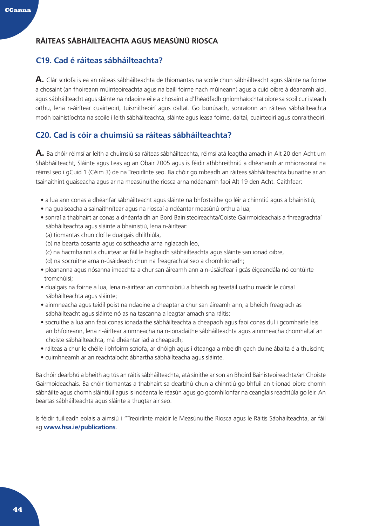## <span id="page-44-0"></span>**RÁITEAS SÁBHÁILTEACHTA AGUS MEASÚNÚ RIOSCA**

## **C19. Cad é ráiteas sábháilteachta?**

**A.** Clár scríofa is ea an ráiteas sábháilteachta de thiomantas na scoile chun sábháilteacht agus sláinte na foirne a chosaint (an fhoireann múinteoireachta agus na baill foirne nach múineann) agus a cuid oibre á déanamh aici, agus sábháilteacht agus sláinte na ndaoine eile a chosaint a d'fhéadfadh gníomhaíochtaí oibre sa scoil cur isteach orthu, lena n-áirítear cuairteoirí, tuismitheoirí agus daltaí. Go bunúsach, sonraíonn an ráiteas sábháilteachta modh bainistíochta na scoile i leith sábháilteachta, sláinte agus leasa foirne, daltaí, cuairteoirí agus conraitheoirí.

## **C20. Cad is cóir a chuimsiú sa ráiteas sábháilteachta?**

**A.** Ba chóir réimsí ar leith a chuimsiú sa ráiteas sábháilteachta, réimsí atá leagtha amach in Alt 20 den Acht um Shábháilteacht, Sláinte agus Leas ag an Obair 2005 agus is féidir athbhreithniú a dhéanamh ar mhionsonraí na réimsí seo i gCuid 1 (Céim 3) de na Treoirlínte seo. Ba chóir go mbeadh an ráiteas sábháilteachta bunaithe ar an tsainaithint guaiseacha agus ar na measúnuithe riosca arna ndéanamh faoi Alt 19 den Acht. Caithfear:

- a lua ann conas a dhéanfar sábháilteacht agus sláinte na bhfostaithe go léir a chinntiú agus a bhainistiú;
- na guaiseacha a sainaithnítear agus na rioscaí a ndéantar measúnú orthu a lua;
- sonraí a thabhairt ar conas a dhéanfaidh an Bord Bainisteoireachta/Coiste Gairmoideachais a fhreagrachtaí sábháilteachta agus sláinte a bhainistiú, lena n-áirítear:
	- (a) tiomantas chun cloí le dualgais dhlíthiúla,
	- (b) na bearta cosanta agus coisctheacha arna nglacadh leo,
	- (c) na hacmhainní a chuirtear ar fáil le haghaidh sábháilteachta agus sláinte san ionad oibre,
	- (d) na socruithe arna n-úsáideadh chun na freagrachtaí seo a chomhlíonadh;
- pleananna agus nósanna imeachta a chur san áireamh ann a n-úsáidfear i gcás éigeandála nó contúirte tromchúisí;
- dualgais na foirne a lua, lena n-áirítear an comhoibriú a bheidh ag teastáil uathu maidir le cúrsaí sábháilteachta agus sláinte;
- ainmneacha agus teidil poist na ndaoine a cheaptar a chur san áireamh ann, a bheidh freagrach as sábháilteacht agus sláinte nó as na tascanna a leagtar amach sna ráitis;
- socruithe a lua ann faoi conas ionadaithe sábháilteachta a cheapadh agus faoi conas dul i gcomhairle leis an bhfoireann, lena n-áirítear ainmneacha na n-ionadaithe sábháilteachta agus ainmneacha chomhaltaí an choiste sábháilteachta, má dhéantar iad a cheapadh;
- ráiteas a chur le chéile i bhfoirm scríofa, ar dhóigh agus i dteanga a mbeidh gach duine ábalta é a thuiscint;
- cuimhneamh ar an reachtaíocht ábhartha sábháilteacha agus sláinte.

Ba chóir dearbhú a bheith ag tús an ráitis sábháilteachta, atá sínithe ar son an Bhoird Bainisteoireachta/an Choiste Gairmoideachais. Ba chóir tiomantas a thabhairt sa dearbhú chun a chinntiú go bhfuil an t-ionad oibre chomh sábháilte agus chomh sláintiúil agus is indéanta le réasún agus go gcomhlíonfar na ceanglais reachtúla go léir. An beartas sábháilteachta agus sláinte a thugtar air seo.

Is féidir tuilleadh eolais a aimsiú i "Treoirlínte maidir le Measúnuithe Riosca agus le Ráitis Sábháilteachta, ar fáil ag **www.hsa.ie/publications**.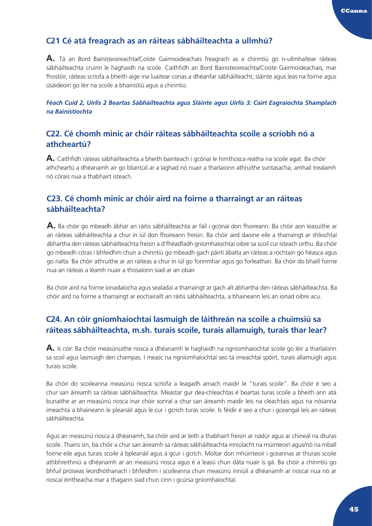## **C21 Cé atá freagrach as an ráiteas sábháilteachta a ullmhú?**

**A.** Tá an Bord Bainisteoireachta/Coiste Gairmoideachais freagrach as a chinntiú go n-ullmhaítear ráiteas sábháilteachta cruinn le haghaidh na scoile. Caithfidh an Bord Bainisteoireachta/Coiste Gairmoideachais, mar fhostóir, ráiteas scríofa a bheith aige ina luaitear conas a dhéanfar sábháilteacht, sláinte agus leas na foirne agus úsáideoirí go léir na scoile a bhainistiú agus a chinntiú.

*Féach Cuid 2, Uirlis 2 Beartas Sábháilteachta agus Sláinte agus Uirlis 3: Cairt Eagraíochta Shamplach na Bainistíochta*

## **C22. Cé chomh minic ar chóir ráiteas sábháilteachta scoile a scríobh nó a athcheartú?**

**A.** Caithfidh ráiteas sábháilteachta a bheith bainteach i gcónaí le himthosca reatha na scoile agat. Ba chóir athcheartú a dhéanamh air go bliantúil ar a laghad nó nuair a tharlaíonn athruithe suntasacha, amhail trealamh nó córais nua a thabhairt isteach.

## **C23. Cé chomh minic ar chóir aird na foirne a tharraingt ar an ráiteas sábháilteachta?**

**A.** Ba chóir go mbeadh ábhar an ráitis sábháilteachta ar fáil i gcónaí don fhoireann. Ba chóir aon leasuithe ar an ráiteas sábháilteachta a chur in iúl don fhoireann freisin. Ba chóir aird daoine eile a tharraingt ar shliochtaí ábhartha den ráiteas sábháilteachta freisin a d'fhéadfadh gníomhaíochtaí oibre sa scoil cur isteach orthu. Ba chóir go mbeadh córas i bhfeidhm chun a chinntiú go mbeadh gach páirtí ábalta an ráiteas a rochtain go héasca agus go rialta. Ba chóir athruithe ar an ráiteas a chur in iúl go fonnmhar agus go forleathan. Ba chóir do bhaill foirne nua an ráiteas a léamh nuair a thosaíonn siad ar an obair.

Ba chóir aird na foirne ionadaíocha agus sealadaí a tharraingt ar gach alt ábhartha den ráiteas sábháilteachta. Ba chóir aird na foirne a tharraingt ar eochairailt an ráitis sábháilteachta, a bhaineann leis an ionad oibre acu.

## **C24. An cóir gníomhaíochtaí lasmuigh de láithreán na scoile a chuimsiú sa ráiteas sábháilteachta, m.sh. turais scoile, turais allamuigh, turais thar lear?**

**A.** Is cóir. Ba chóir measúnuithe riosca a dhéanamh le haghaidh na ngníomhaíochtaí scoile go léir a tharlaíonn sa scoil agus lasmuigh den champas. I measc na ngníomhaíochtaí seo tá imeachtaí spóirt, turais allamuigh agus turais scoile.

Ba chóir do scoileanna measúnú riosca scríofa a leagadh amach maidir le "turais scoile". Ba chóir é seo a chur san áireamh sa ráiteas sábháilteachta. Meastar gur dea-chleachtas é beartas turas scoile a bheith ann atá bunaithe ar an measúnú riosca inar chóir sonraí a chur san áireamh maidir leis na cleachtais agus na nósanna imeachta a bhaineann le pleanáil agus le cur i gcrích turas scoile. Is féidir é seo a chur i gceangal leis an ráiteas sábháilteachta.

Agus an measúnú riosca á dhéanamh, ba chóir aird ar leith a thabhairt freisin ar nádúr agus ar chineál na dturas scoile. Thairis sin, ba chóir a chur san áireamh sa ráiteas sábháilteachta inniúlacht na múinteoirí agus/nó na mball foirne eile agus turais scoile á bpleanáil agus á gcur i gcrích. Moltar don mhúinteoir i gceannas ar thurais scoile athbhreithniú a dhéanamh ar an measúnú riosca agus é a leasú chun dáta nuair is gá. Ba chóir a chinntiú go bhfuil próiseas leordhóthanach i bhfeidhm i scoileanna chun measúnú inniúil a dhéanamh ar rioscaí nua nó ar rioscaí éiritheacha mar a thagann siad chun cinn i gcúrsa gníomhaíochtaí.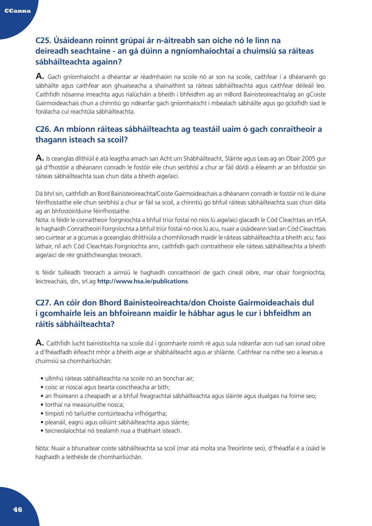## **C25. Úsáideann roinnt grúpaí ár n-áitreabh san oíche nó le linn na deireadh seachtaine - an gá dúinn a ngníomhaíochtaí a chuimsiú sa ráiteas sábháilteachta againn?**

**A.** Gach gníomhaíocht a dhéantar ar réadmhaoin na scoile nó ar son na scoile, caithfear í a dhéanamh go sábháilte agus caithfear aon ghuaiseacha a shainaithint sa ráiteas sábháilteachta agus caithfear déileáil leo. Caithfidh nósanna imeachta agus rialúcháin a bheith i bhfeidhm ag an mBord Bainisteoireachta/ag an gCoiste Gairmoideachais chun a chinntiú go ndéanfar gach gníomhaíocht i mbealach sábháilte agus go gcloífidh siad le forálacha cuí reachtúla sábháilteachta.

## **C26. An mbíonn ráiteas sábháilteachta ag teastáil uaim ó gach conraitheoir a thagann isteach sa scoil?**

**A.** Is ceanglas dlíthiúil é atá leagtha amach san Acht um Shábháilteacht, Sláinte agus Leas ag an Obair 2005 gur gá d'fhostóir a dhéanann conradh le fostóir eile chun seirbhísí a chur ar fáil dó/di a éileamh ar an bhfostóir sin ráiteas sábháilteachta suas chun dáta a bheith aige/aici.

Dá bhrí sin, caithfidh an Bord Bainisteoireachta/Coiste Gairmoideachais a dhéanann conradh le fostóir nó le duine féinfhostaithe eile chun seirbhísí a chur ar fáil sa scoil, a chinntiú go bhfuil ráiteas sábháilteachta suas chun dáta ag an bhfostóir/duine féinfhostaithe.

Nóta: is féidir le conraitheoir foirgníochta a bhfuil triúr fostaí nó níos lú aige/aici glacadh le Cód Cleachtais an HSA le haghaidh Conraitheoirí Foirgníochta a bhfuil triúr fostaí nó níos lú acu, nuair a úsáideann siad an Cód Cleachtais seo cuirtear ar a gcumas a gceanglais dhlíthiúla a chomhlíonadh maidir le ráiteas sábháilteachta a bheith acu; faoi láthair, níl ach Cód Cleachtais Foirgníochta ann, caithfidh gach contraitheoir eile ráiteas sábháilteachta a bheith aige/aici de réir gnáthcheanglas treorach.

Is féidir tuilleadh treorach a aimsiú le haghaidh conraitheoirí de gach cineál oibre, mar obair foirgníochta, leictreachais, dín, srl.ag **http://www.hsa.ie/publications**.

## **C27. An cóir don Bhord Bainisteoireachta/don Choiste Gairmoideachais dul i gcomhairle leis an bhfoireann maidir le hábhar agus le cur i bhfeidhm an ráitis sábháilteachta?**

**A.** Caithfidh lucht bainistíochta na scoile dul i gcomhairle roimh ré agus sula ndéanfar aon rud san ionad oibre a d'fhéadfadh éifeacht mhór a bheith aige ar shábháilteacht agus ar shláinte. Caithfear na nithe seo a leanas a chuimsiú sa chomhairliúchán:

- ullmhú ráiteas sábháilteachta na scoile nó an tionchar air;
- coisc ar rioscaí agus bearta coisctheacha ar bith;
- an fhoireann a cheapadh ar a bhfuil freagrachtaí sábháilteachta agus sláinte agus dualgais na foirne seo;
- torthaí na measúnuithe riosca;
- timpistí nó tarluithe contúirteacha infhógartha;
- pleanáil, eagrú agus oiliúint sábháilteachta agus sláinte;
- teicneolaíochtaí nó trealamh nua a thabhairt isteach.

Nóta: Nuair a bhunaítear coiste sábháilteachta sa scoil (mar atá molta sna Treoirlínte seo), d'fhéadfaí é a úsáid le haghaidh a leithéide de chomhairliúchán.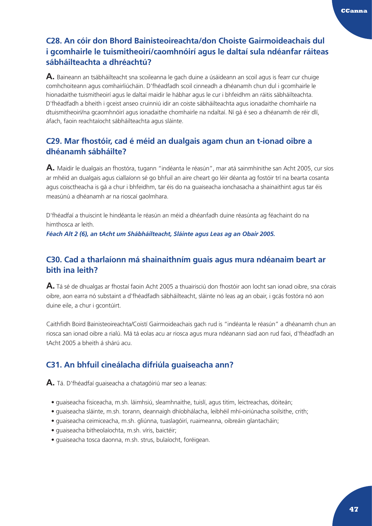## **C28. An cóir don Bhord Bainisteoireachta/don Choiste Gairmoideachais dul i gcomhairle le tuismitheoirí/caomhnóirí agus le daltaí sula ndéanfar ráiteas sábháilteachta a dhréachtú?**

**A.** Baineann an tsábháilteacht sna scoileanna le gach duine a úsáideann an scoil agus is fearr cur chuige comhchoiteann agus comhairliúcháin. D'fhéadfadh scoil cinneadh a dhéanamh chun dul i gcomhairle le hionadaithe tuismitheoirí agus le daltaí maidir le hábhar agus le cur i bhfeidhm an ráitis sábháilteachta. D'fhéadfadh a bheith i gceist anseo cruinniú idir an coiste sábháilteachta agus ionadaithe chomhairle na dtuismitheoirí/na gcaomhnóirí agus ionadaithe chomhairle na ndaltaí. Ní gá é seo a dhéanamh de réir dlí, áfach, faoin reachtaíocht sábháilteachta agus sláinte.

## **C29. Mar fhostóir, cad é méid an dualgais agam chun an t-ionad oibre a dhéanamh sábháilte?**

**A.** Maidir le dualgais an fhostóra, tugann "indéanta le réasún", mar atá sainmhínithe san Acht 2005, cur síos ar mhéid an dualgais agus ciallaíonn sé go bhfuil an aire cheart go léir déanta ag fostóir trí na bearta cosanta agus coisctheacha is gá a chur i bhfeidhm, tar éis do na guaiseacha ionchasacha a shainaithint agus tar éis measúnú a dhéanamh ar na rioscaí gaolmhara.

D'fhéadfaí a thuiscint le hindéanta le réasún an méid a dhéanfadh duine réasúnta ag féachaint do na himthosca ar leith.

*Féach Alt 2 (6), an tAcht um Shábháilteacht, Sláinte agus Leas ag an Obair 2005.*

## **C30. Cad a tharlaíonn má shainaithním guais agus mura ndéanaim beart ar bith ina leith?**

**A.** Tá sé de dhualgas ar fhostaí faoin Acht 2005 a thuairisciú don fhostóir aon locht san ionad oibre, sna córais oibre, aon earra nó substaint a d'fhéadfadh sábháilteacht, sláinte nó leas ag an obair, i gcás fostóra nó aon duine eile, a chur i gcontúirt.

Caithfidh Boird Bainisteoireachta/Coistí Gairmoideachais gach rud is "indéanta le réasún" a dhéanamh chun an riosca san ionad oibre a rialú. Má tá eolas acu ar riosca agus mura ndéanann siad aon rud faoi, d'fhéadfadh an tAcht 2005 a bheith á shárú acu.

## **C31. An bhfuil cineálacha difriúla guaiseacha ann?**

**A.** Tá. D'fhéadfaí guaiseacha a chatagóiriú mar seo a leanas:

- guaiseacha fisiceacha, m.sh. láimhsiú, sleamhnaithe, tuislí, agus titim, leictreachas, dóiteán;
- guaiseacha sláinte, m.sh. torann, deannaigh dhíobhálacha, leibhéil mhí-oiriúnacha soilsithe, crith;
- guaiseacha ceimiceacha, m.sh. gliúnna, tuaslagóirí, ruaimeanna, oibreáin glantacháin;
- guaiseacha bitheolaíochta, m.sh. víris, baictéir;
- guaiseacha tosca daonna, m.sh. strus, bulaíocht, foréigean.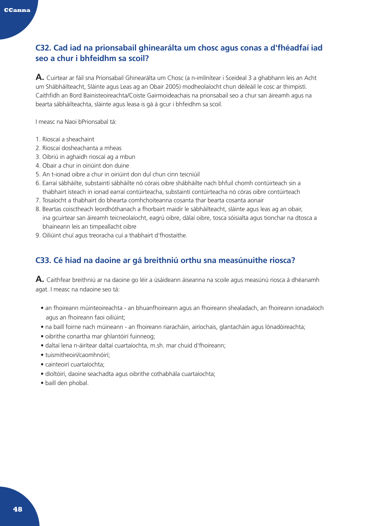## **C32. Cad iad na prionsabail ghinearálta um chosc agus conas a d'fhéadfaí iad seo a chur i bhfeidhm sa scoil?**

**A.** Cuirtear ar fáil sna Prionsabail Ghinearálta um Chosc (a n-imlínítear i Sceideal 3 a ghabhann leis an Acht um Shábháilteacht, Sláinte agus Leas ag an Obair 2005) modheolaíocht chun déileáil le cosc ar thimpistí. Caithfidh an Bord Bainisteoireachta/Coiste Gairmoideachais na prionsabail seo a chur san áireamh agus na bearta sábháilteachta, sláinte agus leasa is gá á gcur i bhfeidhm sa scoil.

I measc na Naoi bPrionsabal tá:

- 1. Rioscaí a sheachaint
- 2. Rioscaí dosheachanta a mheas
- 3. Oibriú in aghaidh rioscaí ag a mbun
- 4. Obair a chur in oiriúint don duine
- 5. An t-ionad oibre a chur in oiriúint don dul chun cinn teicniúil
- 6. Earraí sábháilte, substaintí sábháilte nó córais oibre shábháilte nach bhfuil chomh contúirteach sin a thabhairt isteach in ionad earraí contúirteacha, substaintí contúirteacha nó córas oibre contúirteach
- 7. Tosaíocht a thabhairt do bhearta comhchoiteanna cosanta thar bearta cosanta aonair
- 8. Beartas coisctheach leordhóthanach a fhorbairt maidir le sábháilteacht, sláinte agus leas ag an obair, ina gcuirtear san áireamh teicneolaíocht, eagrú oibre, dálaí oibre, tosca sóisialta agus tionchar na dtosca a bhaineann leis an timpeallacht oibre
- 9. Oiliúint chuí agus treoracha cuí a thabhairt d'fhostaithe.

## **C33. Cé hiad na daoine ar gá breithniú orthu sna measúnuithe riosca?**

**A.** Caithfear breithniú ar na daoine go léir a úsáideann áiseanna na scoile agus measúnú riosca á dhéanamh agat. I measc na ndaoine seo tá:

- an fhoireann múinteoireachta an bhuanfhoireann agus an fhoireann shealadach, an fhoireann ionadaíoch agus an fhoireann faoi oiliúint;
- na baill foirne nach múineann an fhoireann riaracháin, airíochais, glantacháin agus lónadóireachta;
- oibrithe conartha mar ghlantóirí fuinneog;
- daltaí lena n-áirítear daltaí cuartaíochta, m.sh. mar chuid d'fhoireann;
- tuismitheoirí/caomhnóirí;
- cainteoirí cuartaíochta;
- díoltóirí, daoine seachadta agus oibrithe cothabhála cuartaíochta;
- baill den phobal.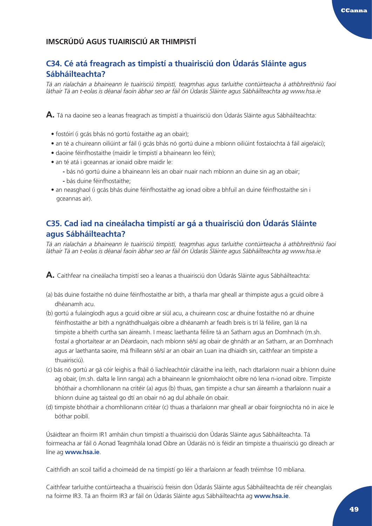## <span id="page-49-0"></span>**IMSCRÚDÚ AGUS TUAIRISCIÚ AR THIMPISTÍ**

## **C34. Cé atá freagrach as timpistí a thuairisciú don Údarás Sláinte agus Sábháilteachta?**

*Tá an rialachán a bhaineann le tuairisciú timpistí, teagmhas agus tarluithe contúirteacha á athbhreithniú faoi láthair Tá an t-eolas is déanaí faoin ábhar seo ar fáil ón Údarás Sláinte agus Sábháilteachta ag www.hsa.ie*

**A.** Tá na daoine seo a leanas freagrach as timpistí a thuairisciú don Údarás Sláinte agus Sábháilteachta:

- fostóirí (i gcás bhás nó gortú fostaithe ag an obair);
- an té a chuireann oiliúint ar fáil (i gcás bhás nó gortú duine a mbíonn oiliúint fostaíochta á fáil aige/aici);
- daoine féinfhostaithe (maidir le timpistí a bhaineann leo féin);
- an té atá i gceannas ar ionaid oibre maidir le:
	- **-** bás nó gortú duine a bhaineann leis an obair nuair nach mbíonn an duine sin ag an obair; **-** bás duine féinfhostaithe;
- an neasghaol (i gcás bhás duine féinfhostaithe ag ionad oibre a bhfuil an duine féinfhostaithe sin i gceannas air).

## **C35. Cad iad na cineálacha timpistí ar gá a thuairisciú don Údarás Sláinte agus Sábháilteachta?**

*Tá an rialachán a bhaineann le tuairisciú timpistí, teagmhas agus tarluithe contúirteacha á athbhreithniú faoi láthair Tá an t-eolas is déanaí faoin ábhar seo ar fáil ón Údarás Sláinte agus Sábháilteachta ag www.hsa.ie*

**A.** Caithfear na cineálacha timpistí seo a leanas a thuairisciú don Údarás Sláinte agus Sábháilteachta:

- (a) bás duine fostaithe nó duine féinfhostaithe ar bith, a tharla mar gheall ar thimpiste agus a gcuid oibre á dhéanamh acu.
- (b) gortú a fulaingíodh agus a gcuid oibre ar siúl acu, a chuireann cosc ar dhuine fostaithe nó ar dhuine féinfhostaithe ar bith a ngnáthdhualgais oibre a dhéanamh ar feadh breis is trí lá féilire, gan lá na timpiste a bheith curtha san áireamh. I measc laethanta féilire tá an Satharn agus an Domhnach (m.sh. fostaí a ghortaítear ar an Déardaoin, nach mbíonn sé/sí ag obair de ghnáth ar an Satharn, ar an Domhnach agus ar laethanta saoire, má fhilleann sé/sí ar an obair an Luan ina dhiaidh sin, caithfear an timpiste a thuairisciú).
- (c) bás nó gortú ar gá cóir leighis a fháil ó liachleachtóir cláraithe ina leith, nach dtarlaíonn nuair a bhíonn duine ag obair, (m.sh. dalta le linn ranga) ach a bhaineann le gníomhaíocht oibre nó lena n-ionad oibre. Timpiste bhóthair a chomhlíonann na critéir (a) agus (b) thuas, gan timpiste a chur san áireamh a tharlaíonn nuair a bhíonn duine ag taisteal go dtí an obair nó ag dul abhaile ón obair.
- (d) timpiste bhóthair a chomhlíonann critéar (c) thuas a tharlaíonn mar gheall ar obair foirgníochta nó in aice le bóthar poiblí.

Úsáidtear an fhoirm IR1 amháin chun timpistí a thuairisciú don Údarás Sláinte agus Sábháilteachta. Tá foirmeacha ar fáil ó Aonad Teagmhála Ionad Oibre an Údaráis nó is féidir an timpiste a thuairisciú go díreach ar líne ag **[www.hsa.ie](http://www.hsa.ie)**.

Caithfidh an scoil taifid a choimeád de na timpistí go léir a tharlaíonn ar feadh tréimhse 10 mbliana.

Caithfear tarluithe contúirteacha a thuairisciú freisin don Údarás Sláinte agus Sábháilteachta de réir cheanglais na foirme IR3. Tá an fhoirm IR3 ar fáil ón Údarás Sláinte agus Sábháilteachta ag **www.hsa.ie**.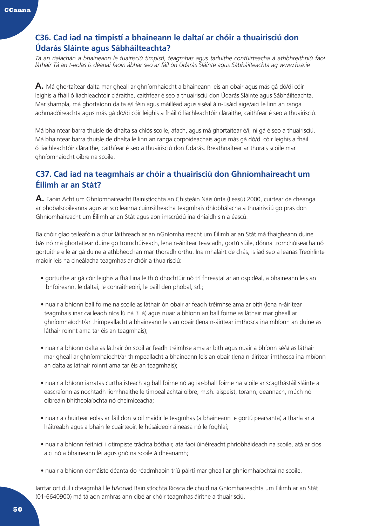## **C36. Cad iad na timpistí a bhaineann le daltaí ar chóir a thuairisciú don Údarás Sláinte agus Sábháilteachta?**

*Tá an rialachán a bhaineann le tuairisciú timpistí, teagmhas agus tarluithe contúirteacha á athbhreithniú faoi láthair Tá an t-eolas is déanaí faoin ábhar seo ar fáil ón Údarás Sláinte agus Sábháilteachta ag www.hsa.ie*

**A.** Má ghortaítear dalta mar gheall ar ghníomhaíocht a bhaineann leis an obair agus más gá dó/di cóir leighis a fháil ó liachleachtóir cláraithe, caithfear é seo a thuairisciú don Údarás Sláinte agus Sábháilteachta. Mar shampla, má ghortaíonn dalta é/í féin agus máilléad agus siséal á n-úsáid aige/aici le linn an ranga adhmadóireachta agus más gá dó/di cóir leighis a fháil ó liachleachtóir cláraithe, caithfear é seo a thuairisciú.

Má bhaintear barra thuisle de dhalta sa chlós scoile, áfach, agus má ghortaítear é/í, ní gá é seo a thuairisciú. Má bhaintear barra thuisle de dhalta le linn an ranga corpoideachais agus más gá dó/di cóir leighis a fháil ó liachleachtóir cláraithe, caithfear é seo a thuairisciú don Údarás. Breathnaítear ar thurais scoile mar ghníomhaíocht oibre na scoile.

## **C37. Cad iad na teagmhais ar chóir a thuairisciú don Ghníomhaireacht um Éilimh ar an Stát?**

**A.** Faoin Acht um Ghníomhaireacht Bainistíochta an Chisteáin Náisiúnta (Leasú) 2000, cuirtear de cheangal ar phobalscoileanna agus ar scoileanna cuimsitheacha teagmhais dhíobhálacha a thuairisciú go pras don Ghníomhaireacht um Éilimh ar an Stát agus aon imscrúdú ina dhiaidh sin a éascú.

Ba chóir glao teileafóin a chur láithreach ar an nGníomhaireacht um Éilimh ar an Stát má fhaigheann duine bás nó má ghortaítear duine go tromchúiseach, lena n-áirítear teascadh, gortú súile, dónna tromchúiseacha nó gortuithe eile ar gá duine a athbheochan mar thoradh orthu. Ina mhalairt de chás, is iad seo a leanas Treoirlínte maidir leis na cineálacha teagmhas ar chóir a thuairisciú:

- gortuithe ar gá cóir leighis a fháil ina leith ó dhochtúir nó trí fhreastal ar an ospidéal, a bhaineann leis an bhfoireann, le daltaí, le conraitheoirí, le baill den phobal, srl.;
- nuair a bhíonn ball foirne na scoile as láthair ón obair ar feadh tréimhse ama ar bith (lena n-áirítear teagmhais inar cailleadh níos lú ná 3 lá) agus nuair a bhíonn an ball foirne as láthair mar gheall ar ghníomhaíocht/ar thimpeallacht a bhaineann leis an obair (lena n-áirítear imthosca ina mbíonn an duine as láthair roinnt ama tar éis an teagmhais);
- nuair a bhíonn dalta as láthair ón scoil ar feadh tréimhse ama ar bith agus nuair a bhíonn sé/sí as láthair mar gheall ar ghníomhaíocht/ar thimpeallacht a bhaineann leis an obair (lena n-áirítear imthosca ina mbíonn an dalta as láthair roinnt ama tar éis an teagmhais);
- nuair a bhíonn iarratas curtha isteach ag ball foirne nó ag iar-bhall foirne na scoile ar scagthástáil sláinte a eascraíonn as nochtadh líomhnaithe le timpeallachtaí oibre, m.sh. aispeist, torann, deannach, múch nó oibreáin bhitheolaíochta nó cheimiceacha;
- nuair a chuirtear eolas ar fáil don scoil maidir le teagmhas (a bhaineann le gortú pearsanta) a tharla ar a háitreabh agus a bhain le cuairteoir, le húsáideoir áineasa nó le foghlaí;
- nuair a bhíonn feithicil i dtimpiste tráchta bóthair, atá faoi úinéireacht phríobháideach na scoile, atá ar cíos aici nó a bhaineann léi agus gnó na scoile á dhéanamh;
- nuair a bhíonn damáiste déanta do réadmhaoin tríú páirtí mar gheall ar ghníomhaíochtaí na scoile.

Iarrtar ort dul i dteagmháil le hAonad Bainistíochta Riosca de chuid na Gníomhaireachta um Éilimh ar an Stát (01-6640900) má tá aon amhras ann cibé ar chóir teagmhas áirithe a thuairisciú.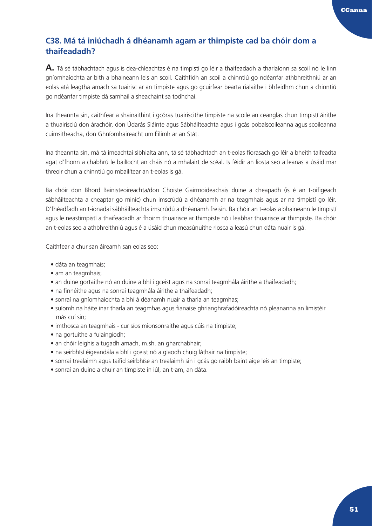## **C38. Má tá iniúchadh á dhéanamh agam ar thimpiste cad ba chóir dom a thaifeadadh?**

**A.** Tá sé tábhachtach agus is dea-chleachtas é na timpistí go léir a thaifeadadh a tharlaíonn sa scoil nó le linn gníomhaíochta ar bith a bhaineann leis an scoil. Caithfidh an scoil a chinntiú go ndéanfar athbhreithniú ar an eolas atá leagtha amach sa tuairisc ar an timpiste agus go gcuirfear bearta rialaithe i bhfeidhm chun a chinntiú go ndéanfar timpiste dá samhail a sheachaint sa todhchaí.

Ina theannta sin, caithfear a shainaithint i gcóras tuairiscithe timpiste na scoile an ceanglas chun timpistí áirithe a thuairisciú don árachóir, don Údarás Sláinte agus Sábháilteachta agus i gcás pobalscoileanna agus scoileanna cuimsitheacha, don Ghníomhaireacht um Éilimh ar an Stát.

Ina theannta sin, má tá imeachtaí sibhialta ann, tá sé tábhachtach an t-eolas fíorasach go léir a bheith taifeadta agat d'fhonn a chabhrú le bailíocht an cháis nó a mhalairt de scéal. Is féidir an liosta seo a leanas a úsáid mar threoir chun a chinntiú go mbailítear an t-eolas is gá.

Ba chóir don Bhord Bainisteoireachta/don Choiste Gairmoideachais duine a cheapadh (is é an t-oifigeach sábháilteachta a cheaptar go minic) chun imscrúdú a dhéanamh ar na teagmhais agus ar na timpistí go léir. D'fhéadfadh an t-ionadaí sábháilteachta imscrúdú a dhéanamh freisin. Ba chóir an t-eolas a bhaineann le timpistí agus le neastimpistí a thaifeadadh ar fhoirm thuairisce ar thimpiste nó i leabhar thuairisce ar thimpiste. Ba chóir an t-eolas seo a athbhreithniú agus é a úsáid chun measúnuithe riosca a leasú chun dáta nuair is gá.

Caithfear a chur san áireamh san eolas seo:

- dáta an teagmhais;
- am an teagmhais;
- an duine gortaithe nó an duine a bhí i gceist agus na sonraí teagmhála áirithe a thaifeadadh;
- na finnéithe agus na sonraí teagmhála áirithe a thaifeadadh;
- sonraí na gníomhaíochta a bhí á déanamh nuair a tharla an teagmhas;
- suíomh na háite inar tharla an teagmhas agus fianaise ghrianghrafadóireachta nó pleananna an limistéir más cuí sin;
- imthosca an teagmhais cur síos mionsonraithe agus cúis na timpiste;
- na gortuithe a fulaingíodh;
- an chóir leighis a tugadh amach, m.sh. an gharchabhair;
- na seirbhísí éigeandála a bhí i gceist nó a glaodh chuig láthair na timpiste;
- sonraí trealaimh agus taifid seirbhíse an trealaimh sin i gcás go raibh baint aige leis an timpiste;
- sonraí an duine a chuir an timpiste in iúl, an t-am, an dáta.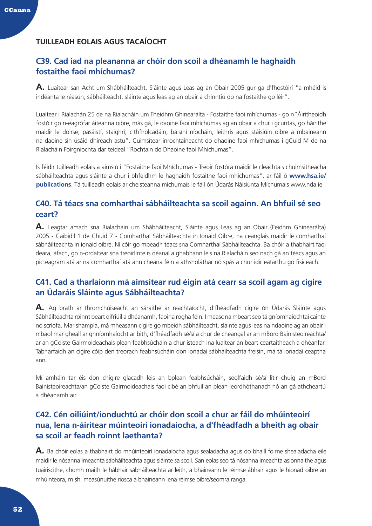## <span id="page-52-0"></span>**TUILLEADH EOLAIS AGUS TACAÍOCHT**

## **C39. Cad iad na pleananna ar chóir don scoil a dhéanamh le haghaidh fostaithe faoi mhíchumas?**

**A.** Luaitear san Acht um Shábháilteacht, Sláinte agus Leas ag an Obair 2005 gur ga d'fhostóirí "a mhéid is indéanta le réasún, sábháilteacht, sláinte agus leas ag an obair a chinntiú do na fostaithe go léir".

Luaitear i Rialachán 25 de na Rialacháin um Fheidhm Ghinearálta - Fostaithe faoi mhíchumas - go n"Áiritheoidh fostóir go n-eagrófar áiteanna oibre, más gá, le daoine faoi mhíchumas ag an obair a chur i gcuntas, go háirithe maidir le doirse, pasáistí, staighrí, cithfholcadáin, báisíní níocháin, leithris agus stáisiúin oibre a mbaineann na daoine sin úsáid dhíreach astu". Cuimsítear inrochtaineacht do dhaoine faoi mhíchumas i gCuid M de na Rialacháin Foirgníochta dar teideal "Rochtain do Dhaoine faoi Mhíchumas".

Is féidir tuilleadh eolais a aimsiú i "Fostaithe faoi Mhíchumas - Treoir fostóra maidir le cleachtais chuimsitheacha sábháilteachta agus sláinte a chur i bhfeidhm le haghaidh fostaithe faoi mhíchumas", ar fáil ó **www.hsa.ie/ publications**. Tá tuilleadh eolais ar cheisteanna míchumais le fáil ón Údarás Náisiúnta Míchumais [www.](http://www.nda.ie)nda.ie

## **C40. Tá téacs sna comharthaí sábháilteachta sa scoil againn. An bhfuil sé seo ceart?**

**A.** Leagtar amach sna Rialacháin um Shábháilteacht, Sláinte agus Leas ag an Obair (Feidhm Ghinearálta) 2005 - Caibidil 1 de Chuid 7 - Comharthaí Sábháilteachta in Ionaid Oibre, na ceanglais maidir le comharthaí sábháilteachta in ionaid oibre. Ní cóir go mbeadh téacs sna Comharthaí Sábháilteachta. Ba chóir a thabhairt faoi deara, áfach, go n-ordaítear sna treoirlínte is déanaí a ghabhann leis na Rialacháin seo nach gá an téacs agus an picteagram atá ar na comharthaí atá ann cheana féin a athsholáthar nó spás a chur idir eatarthu go fisiceach.

## **C41. Cad a tharlaíonn má aimsítear rud éigin atá cearr sa scoil agam ag cigire an Údaráis Sláinte agus Sábháilteachta?**

**A.** Ag brath ar thromchúiseacht an sáraithe ar reachtaíocht, d'fhéadfadh cigire ón Údarás Sláinte agus Sábháilteachta roinnt beart difriúil a dhéanamh, faoina rogha féin. I measc na mbeart seo tá gníomhaíochtaí cainte nó scríofa. Mar shampla, má mheasann cigire go mbeidh sábháilteacht, sláinte agus leas na ndaoine ag an obair i mbaol mar gheall ar ghníomhaíocht ar bith, d'fhéadfadh sé/sí a chur de cheangal ar an mBord Bainisteoireachta/ ar an gCoiste Gairmoideachais plean feabhsúcháin a chur isteach ina luaitear an beart ceartaitheach a dhéanfar. Tabharfaidh an cigire cóip den treorach feabhsúcháin don ionadaí sábháilteachta freisin, má tá ionadaí ceaptha ann.

Mí amháin tar éis don chigire glacadh leis an bplean feabhsúcháin, seolfaidh sé/sí litir chuig an mBord Bainisteoireachta/an gCoiste Gairmoideachais faoi cibé an bhfuil an plean leordhóthanach nó an gá athcheartú a dhéanamh air.

## **C42. Cén oiliúint/ionduchtú ar chóir don scoil a chur ar fáil do mhúinteoirí nua, lena n-áirítear múinteoirí ionadaíocha, a d'fhéadfadh a bheith ag obair sa scoil ar feadh roinnt laethanta?**

**A.** Ba chóir eolas a thabhairt do mhúinteoirí ionadaíocha agus sealadacha agus do bhaill foirne shealadacha eile maidir le nósanna imeachta sábháilteachta agus sláinte sa scoil. San eolas seo tá nósanna imeachta aslonnaithe agus tuairiscithe, chomh maith le hábhair sábháilteachta ar leith, a bhaineann le réimse ábhair agus le hionad oibre an mhúinteora, m.sh. measúnuithe riosca a bhaineann lena réimse oibre/seomra ranga.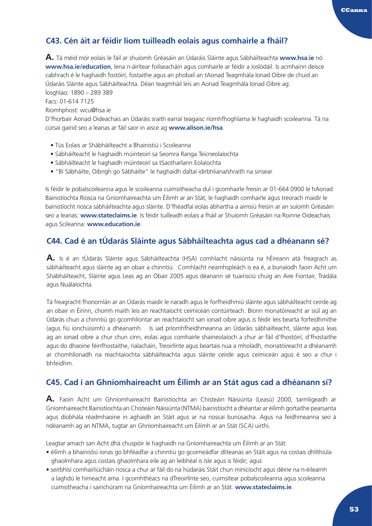## **C43. Cén áit ar féidir liom tuilleadh eolais agus comhairle a fháil?**

**A.** Tá méid mór eolais le fáil ar shuíomh Gréasáin an Údaráis Sláinte agus Sábháilteachta **www.hsa.ie** nó **[www.hsa.ie/education](http://www.hsa.ie/education)**, lena n-áirítear foilseacháin agus comhairle ar féidir a íoslódáil. Is acmhainn deisce cabhrach é le haghaidh fostóirí, fostaithe agus an phobail an tAonad Teagmhála Ionad Oibre de chuid an Údaráis Sláinte agus Sábháilteachta. Déan teagmháil leis an Aonad Teagmhála Ionad Oibre ag: Íosghlao: 1890 – 289 389

Facs: 01-614 7125

Ríomhphost: wcu@hsa.ie

D'fhorbair Aonad Oideachais an Údaráis sraith earraí teagaisc ríomhfhoghlama le haghaidh scoileanna. Tá na cúrsaí gairid seo a leanas ar fáil saor in aisce ag **[www.alison.ie/hsa](http://www.alison.ie/hsa)**.

- Tús Eolais ar Shábháilteacht a Bhainistiú i Scoileanna
- Sábháilteacht le haghaidh múinteoirí sa Seomra Ranga Teicneolaíochta
- Sábháilteacht le haghaidh múinteoirí sa tSaotharlann Eolaíochta
- "Bí Sábháilte, Oibrigh go Sábháilte" le haghaidh daltaí idirbhliana/shraith na sinsear

Is féidir le pobalscoileanna agus le scoileanna cuimsitheacha dul i gcomhairle freisin ar 01-664 0900 le hAonad Bainistíochta Riosca na Gníomhaireachta um Éilimh ar an Stát, le haghaidh comhairle agus treorach maidir le bainistíocht riosca sábháilteachta agus sláinte. D'fhéadfaí eolas ábhartha a aimsiú freisin ar an suíomh Gréasáin seo a leanas: **www.stateclaims.ie**. Is féidir tuilleadh eolais a fháil ar Shuíomh Gréasáin na Roinne Oideachais agus Scileanna: **[www.education.ie](http://www.education.ie)**.

## **C44. Cad é an tÚdarás Sláinte agus Sábháilteachta agus cad a dhéanann sé?**

**A.** Is é an tÚdarás Sláinte agus Sábháilteachta (HSA) comhlacht náisiúnta na hÉireann atá freagrach as sábháilteacht agus sláinte ag an obair a chinntiú. Comhlacht neamhspleách is ea é, a bunaíodh faoin Acht um Shábháilteacht, Sláinte agus Leas ag an Obair 2005 agus déanann sé tuairisciú chuig an Aire Fiontair, Trádála agus Nuálaíochta.

Tá freagracht fhoriomlán ar an Údarás maidir le riaradh agus le forfheidhmiú sláinte agus sábháilteacht ceirde ag an obair in Éirinn, chomh maith leis an reachtaíocht ceimiceán contúirteach. Bíonn monatóireacht ar siúl ag an Údarás chun a chinntiú go gcomhlíontar an reachtaíocht san ionad oibre agus is féidir leis bearta forfeidhmithe (agus fiú ionchúisimh) a dhéanamh. Is iad príomhfheidhmeanna an Údaráis sábháilteacht, sláinte agus leas ag an ionad oibre a chur chun cinn, eolas agus comhairle shaineolaíoch a chur ar fáil d'fhostóirí, d'fhostaithe agus do dhaoine féinfhostaithe, rialacháin, Treoirlínte agus beartais nua a mholadh, monatóireacht a dhéanamh ar chomhlíonadh na reachtaíochta sábháilteachta agus sláinte ceirde agus ceimiceán agus é seo a chur i bhfeidhm.

## **C45. Cad í an Ghníomhaireacht um Éilimh ar an Stát agus cad a dhéanann sí?**

**A.** Faoin Acht um Ghníomhaireacht Bainistíochta an Chisteáin Náisiúnta (Leasú) 2000, tarmligeadh ar Gníomhaireacht Bainistíochta an Chisteáin Náisiúnta (NTMA) bainistíocht a dhéantar ar éilimh gortaithe pearsanta agus díobhála réadmhaoine in aghaidh an Stáit agus ar na rioscaí bunúsacha. Agus na feidhmeanna seo á ndéanamh ag an NTMA, tugtar an Ghníomhaireacht um Éilimh ar an Stát (SCA) uirthi.

Leagtar amach san Acht dhá chuspóir le haghaidh na Gníomhaireachta um Éilimh ar an Stát:

- éilimh a bhainistiú ionas go bhféadfar a chinntiú go gcoimeádfar dliteanas an Stáit agus na costais dhlíthiúla ghaolmhara agus costais ghaolmhara eile ag an leibhéal is ísle agus is féidir; agus
- seirbhísí comhairliúcháin riosca a chur ar fáil do na húdaráis Stáit chun minicíocht agus déine na n-éileamh a laghdú le himeacht ama. I gcomhthéacs na dTreoirlínte seo, cuimsítear pobalscoileanna agus scoileanna cuimsitheacha i sainchúram na Gníomhaireachta um Éilimh ar an Stát. **www.stateclaims.ie**.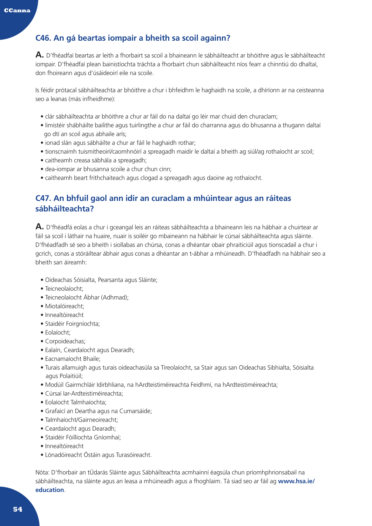## **C46. An gá beartas iompair a bheith sa scoil againn?**

**A.** D'fhéadfaí beartas ar leith a fhorbairt sa scoil a bhaineann le sábháilteacht ar bhóithre agus le sábháilteacht iompair. D'fhéadfaí plean bainistíochta tráchta a fhorbairt chun sábháilteacht níos fearr a chinntiú do dhaltaí, don fhoireann agus d'úsáideoirí eile na scoile.

Is féidir prótacal sábháilteachta ar bhóithre a chur i bhfeidhm le haghaidh na scoile, a dhíríonn ar na ceisteanna seo a leanas (más infheidhme):

- clár sábháilteachta ar bhóithre a chur ar fáil do na daltaí go léir mar chuid den churaclam;
- limistéir shábháilte bailithe agus tuirlingthe a chur ar fáil do charranna agus do bhusanna a thugann daltaí go dtí an scoil agus abhaile arís;
- ionad slán agus sábháilte a chur ar fáil le haghaidh rothar;
- tionscnaimh tuismitheoirí/caomhnóirí a spreagadh maidir le daltaí a bheith ag siúl/ag rothaíocht ar scoil;
- caitheamh creasa sábhála a spreagadh;
- dea-iompar ar bhusanna scoile a chur chun cinn;
- caitheamh beart frithchaiteach agus clogad a spreagadh agus daoine ag rothaíocht.

## **C47. An bhfuil gaol ann idir an curaclam a mhúintear agus an ráiteas sábháilteachta?**

**A.** D'fhéadfá eolas a chur i gceangal leis an ráiteas sábháilteachta a bhaineann leis na hábhair a chuirtear ar fáil sa scoil i láthair na huaire, nuair is soiléir go mbaineann na hábhair le cúrsaí sábháilteachta agus sláinte. D'fhéadfadh sé seo a bheith i siollabas an chúrsa, conas a dhéantar obair phraiticiúil agus tionscadail a chur i gcrích, conas a stóráiltear ábhair agus conas a dhéantar an t-ábhar a mhúineadh. D'fhéadfadh na hábhair seo a bheith san áireamh:

- Oideachas Sóisialta, Pearsanta agus Sláinte;
- Teicneolaíocht;
- Teicneolaíocht Ábhar (Adhmad);
- Miotalóireacht;
- Innealtóireacht
- Staidéir Foirgníochta;
- Eolaíocht;
- Corpoideachas;
- Ealaín, Ceardaíocht agus Dearadh;
- Eacnamaíocht Bhaile;
- Turais allamuigh agus turais oideachasúla sa Tíreolaíocht, sa Stair agus san Oideachas Sibhialta, Sóisialta agus Polaitiúil;
- Modúil Gairmchláir Idirbhliana, na hArdteistiméireachta Feidhmí, na hArdteistiméireachta;
- Cúrsaí Iar-Ardteistiméireachta;
- Eolaíocht Talmhaíochta;
- Grafaicí an Deartha agus na Cumarsáide;
- Talmhaíocht/Gairneoireacht;
- Ceardaíocht agus Dearadh;
- Staidéir Fóillíochta Gníomhaí;
- Innealtóireacht
- Lónadóireacht Óstáin agus Turasóireacht.

Nóta: D'fhorbair an tÚdarás Sláinte agus Sábháilteachta acmhainní éagsúla chun príomhphrionsabail na sábháilteachta, na sláinte agus an leasa a mhúineadh agus a fhoghlaim. Tá siad seo ar fáil ag **www.hsa.ie/ education**.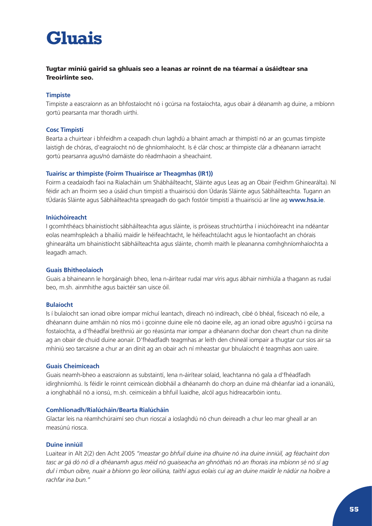## <span id="page-55-0"></span>**Gluais**

### Tugtar míniú gairid sa ghluais seo a leanas ar roinnt de na téarmaí a úsáidtear sna Treoirlínte seo.

### **Timpiste**

Timpiste a eascraíonn as an bhfostaíocht nó i gcúrsa na fostaíochta, agus obair á déanamh ag duine, a mbíonn gortú pearsanta mar thoradh uirthi.

#### **Cosc Timpistí**

Bearta a chuirtear i bhfeidhm a ceapadh chun laghdú a bhaint amach ar thimpistí nó ar an gcumas timpiste laistigh de chóras, d'eagraíocht nó de ghníomhaíocht. Is é clár chosc ar thimpiste clár a dhéanann iarracht gortú pearsanra agus/nó damáiste do réadmhaoin a sheachaint.

#### **Tuairisc ar thimpiste (Foirm Thuairisce ar Theagmhas (IR1))**

Foirm a ceadaíodh faoi na Rialacháin um Shábháilteacht, Sláinte agus Leas ag an Obair (Feidhm Ghinearálta). Ní féidir ach an fhoirm seo a úsáid chun timpistí a thuairisciú don Údarás Sláinte agus Sábháilteachta. Tugann an tÚdarás Sláinte agus Sábháilteachta spreagadh do gach fostóir timpistí a thuairisciú ar líne ag **www.hsa.ie**.

#### **Iniúchóireacht**

I gcomhthéacs bhainistíocht sábháilteachta agus sláinte, is próiseas struchtúrtha í iniúchóireacht ina ndéantar eolas neamhspleách a bhailiú maidir le héifeachtacht, le héifeachtúlacht agus le hiontaofacht an chórais ghinearálta um bhainistíocht sábháilteachta agus sláinte, chomh maith le pleananna comhghníomhaíochta a leagadh amach.

#### **Guais Bhitheolaíoch**

Guais a bhaineann le horgánaigh bheo, lena n-áirítear rudaí mar víris agus ábhair nimhiúla a thagann as rudaí beo, m.sh. ainmhithe agus baictéir san uisce óil.

#### **Bulaíocht**

Is í bulaíocht san ionad oibre iompar míchuí leantach, díreach nó indíreach, cibé ó bhéal, fisiceach nó eile, a dhéanann duine amháin nó níos mó i gcoinne duine eile nó daoine eile, ag an ionad oibre agus/nó i gcúrsa na fostaíochta, a d'fhéadfaí breithniú air go réasúnta mar iompar a dhéanann dochar don cheart chun na dínite ag an obair de chuid duine aonair. D'fhéadfadh teagmhas ar leith den chineál iompair a thugtar cur síos air sa mhíniú seo tarcaisne a chur ar an dínit ag an obair ach ní mheastar gur bhulaíocht é teagmhas aon uaire.

#### **Guais Cheimiceach**

Guais neamh-bheo a eascraíonn as substaintí, lena n-áirítear solaid, leachtanna nó gala a d'fhéadfadh idirghníomhú. Is féidir le roinnt ceimiceán díobháil a dhéanamh do chorp an duine má dhéanfar iad a ionanálú, a ionghabháil nó a ionsú, m.sh. ceimiceáin a bhfuil luaidhe, alcól agus hidreacarbóin iontu.

#### **Comhlíonadh/Rialúcháin/Bearta Rialúcháin**

Glactar leis na réamhchúraimí seo chun rioscaí a íoslaghdú nó chun deireadh a chur leo mar gheall ar an measúnú riosca.

#### **Duine inniúil**

Luaitear in Alt 2(2) den Acht 2005 *"meastar go bhfuil duine ina dhuine nó ina duine inniúil, ag féachaint don tasc ar gá dó nó di a dhéanamh agus méid nó guaiseacha an ghnóthais nó an fhorais ina mbíonn sé nó sí ag dul i mbun oibre, nuair a bhíonn go leor oiliúna, taithí agus eolais cuí ag an duine maidir le nádúr na hoibre a rachfar ina bun."*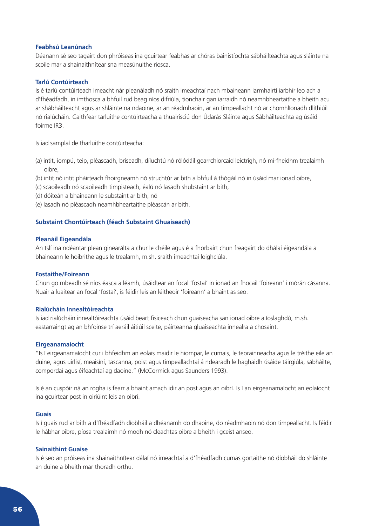#### **Feabhsú Leanúnach**

Déanann sé seo tagairt don phróiseas ina gcuirtear feabhas ar chóras bainistíochta sábháilteachta agus sláinte na scoile mar a shainaithnítear sna measúnuithe riosca.

#### **Tarlú Contúirteach**

Is é tarlú contúirteach imeacht nár pleanáladh nó sraith imeachtaí nach mbaineann iarmhairtí iarbhír leo ach a d'fhéadfadh, in imthosca a bhfuil rud beag níos difriúla, tionchair gan iarraidh nó neamhbheartaithe a bheith acu ar shábháilteacht agus ar shláinte na ndaoine, ar an réadmhaoin, ar an timpeallacht nó ar chomhlíonadh dlíthiúil nó rialúcháin. Caithfear tarluithe contúirteacha a thuairisciú don Údarás Sláinte agus Sábháilteachta ag úsáid foirme IR3.

Is iad samplaí de tharluithe contúirteacha:

- (a) intit, iompú, teip, pléascadh, briseadh, díluchtú nó rólódáil gearrchiorcaid leictrigh, nó mí-fheidhm trealaimh oibre,
- (b) intit nó intit pháirteach fhoirgneamh nó struchtúr ar bith a bhfuil á thógáil nó in úsáid mar ionad oibre,
- (c) scaoileadh nó scaoileadh timpisteach, éalú nó lasadh shubstaint ar bith,
- (d) dóiteán a bhaineann le substaint ar bith, nó
- (e) lasadh nó pléascadh neamhbheartaithe pléascán ar bith.

#### **Substaint Chontúirteach (féach Substaint Ghuaiseach)**

#### **Pleanáil Éigeandála**

An tslí ina ndéantar plean ginearálta a chur le chéile agus é a fhorbairt chun freagairt do dhálaí éigeandála a bhaineann le hoibrithe agus le trealamh, m.sh. sraith imeachtaí loighciúla.

#### **Fostaithe/Foireann**

Chun go mbeadh sé níos éasca a léamh, úsáidtear an focal 'fostaí' in ionad an fhocail 'foireann' i mórán cásanna. Nuair a luaitear an focal 'fostaí', is féidir leis an léitheoir 'foireann' a bhaint as seo.

#### **Rialúcháin Innealtóireachta**

Is iad rialúcháin innealtóireachta úsáid beart fisiceach chun guaiseacha san ionad oibre a íoslaghdú, m.sh. eastarraingt ag an bhfoinse trí aeráil áitiúil sceite, páirteanna gluaiseachta innealra a chosaint.

#### **Eirgeanamaíocht**

"Is í eirgeanamaíocht cur i bhfeidhm an eolais maidir le hiompar, le cumais, le teorainneacha agus le tréithe eile an duine, agus uirlisí, meaisíní, tascanna, poist agus timpeallachtaí á ndearadh le haghaidh úsáide táirgiúla, sábháilte, compordaí agus éifeachtaí ag daoine." (McCormick agus Saunders 1993).

Is é an cuspóir ná an rogha is fearr a bhaint amach idir an post agus an oibrí. Is í an eirgeanamaíocht an eolaíocht ina gcuirtear post in oiriúint leis an oibrí.

#### **Guais**

Is í guais rud ar bith a d'fhéadfadh díobháil a dhéanamh do dhaoine, do réadmhaoin nó don timpeallacht. Is féidir le hábhar oibre, píosa trealaimh nó modh nó cleachtas oibre a bheith i gceist anseo.

#### **Sainaithint Guaise**

Is é seo an próiseas ina shainaithnítear dálaí nó imeachtaí a d'fhéadfadh cumas gortaithe nó díobháil do shláinte an duine a bheith mar thoradh orthu.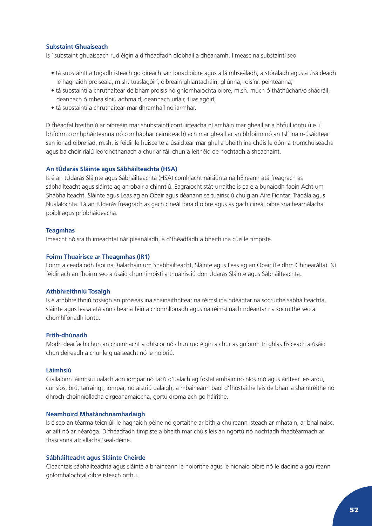#### **Substaint Ghuaiseach**

Is í substaint ghuaiseach rud éigin a d'fhéadfadh díobháil a dhéanamh. I measc na substaintí seo:

- tá substaintí a tugadh isteach go díreach san ionad oibre agus a láimhseáladh, a stóráladh agus a úsáideadh le haghaidh próiseála, m.sh. tuaslagóirí, oibreáin ghlantacháin, gliúnna, roisíní, péinteanna;
- tá substaintí a chruthaítear de bharr próisis nó gníomhaíochta oibre, m.sh. múch ó tháthúchán/ó shádráil, deannach ó mheaisíniú adhmaid, deannach urláir, tuaslagóirí;
- tá substaintí a chruthaítear mar dhramhaíl nó iarmhar.

D'fhéadfaí breithniú ar oibreáin mar shubstaintí contúirteacha ní amháin mar gheall ar a bhfuil iontu (i.e. i bhfoirm comhpháirteanna nó comhábhar ceimiceach) ach mar gheall ar an bhfoirm nó an tslí ina n-úsáidtear san ionad oibre iad, m.sh. is féidir le huisce te a úsáidtear mar ghal a bheith ina chúis le dónna tromchúiseacha agus ba chóir rialú leordhóthanach a chur ar fáil chun a leithéid de nochtadh a sheachaint.

#### **An tÚdarás Sláinte agus Sábháilteachta (HSA)**

Is é an tÚdarás Sláinte agus Sábháilteachta (HSA) comhlacht náisiúnta na hÉireann atá freagrach as sábháilteacht agus sláinte ag an obair a chinntiú. Eagraíocht stát-urraithe is ea é a bunaíodh faoin Acht um Shábháilteacht, Sláinte agus Leas ag an Obair agus déanann sé tuairisciú chuig an Aire Fiontar, Trádála agus Nuálaíochta. Tá an tÚdarás freagrach as gach cineál ionaid oibre agus as gach cineál oibre sna hearnálacha poiblí agus príobháideacha.

#### **Teagmhas**

Imeacht nó sraith imeachtaí nár pleanáladh, a d'fhéadfadh a bheith ina cúis le timpiste.

#### **Foirm Thuairisce ar Theagmhas (IR1)**

Foirm a ceadaíodh faoi na Rialacháin um Shábháilteacht, Sláinte agus Leas ag an Obair (Feidhm Ghinearálta). Ní féidir ach an fhoirm seo a úsáid chun timpistí a thuairisciú don Údarás Sláinte agus Sábháilteachta.

#### **Athbhreithniú Tosaigh**

Is é athbhreithniú tosaigh an próiseas ina shainaithnítear na réimsí ina ndéantar na socruithe sábháilteachta, sláinte agus leasa atá ann cheana féin a chomhlíonadh agus na réimsí nach ndéantar na socruithe seo a chomhlíonadh iontu.

#### **Frith-dhúnadh**

Modh dearfach chun an chumhacht a dhíscor nó chun rud éigin a chur as gníomh trí ghlas fisiceach a úsáid chun deireadh a chur le gluaiseacht nó le hoibriú.

#### **Láimhsiú**

Ciallaíonn láimhsiú ualach aon iompar nó tacú d'ualach ag fostaí amháin nó níos mó agus áirítear leis ardú, cur síos, brú, tarraingt, iompar, nó aistriú ualaigh, a mbaineann baol d'fhostaithe leis de bharr a shaintréithe nó dhroch-choinníollacha eirgeanamaíocha, gortú droma ach go háirithe.

#### **Neamhoird Mhatánchnámharlaigh**

Is é seo an téarma teicniúil le haghaidh péine nó gortaithe ar bith a chuireann isteach ar mhatáin, ar bhallnaisc, ar ailt nó ar néaróga. D'fhéadfadh timpiste a bheith mar chúis leis an ngortú nó nochtadh fhadtéarmach ar thascanna atriallacha íseal-déine.

#### **Sábháilteacht agus Sláinte Cheirde**

Cleachtais sábháilteachta agus sláinte a bhaineann le hoibrithe agus le hionaid oibre nó le daoine a gcuireann gníomhaíochtaí oibre isteach orthu.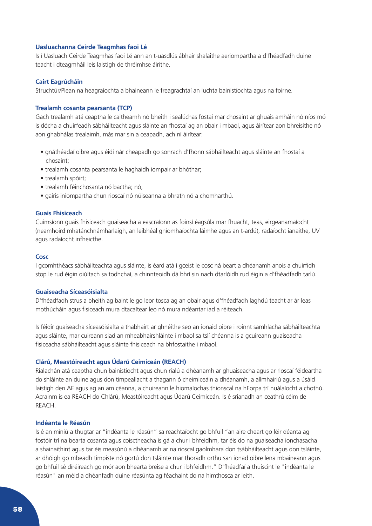#### **Uasluachanna Ceirde Teagmhas faoi Lé**

Is í Uasluach Ceirde Teagmhas faoi Lé ann an t-uasdlús ábhair shalaithe aeriompartha a d'fhéadfadh duine teacht i dteagmháil leis laistigh de thréimhse áirithe.

#### **Cairt Eagrúcháin**

Struchtúr/Plean na heagraíochta a bhaineann le freagrachtaí an luchta bainistíochta agus na foirne.

#### **Trealamh cosanta pearsanta (TCP)**

Gach trealamh atá ceaptha le caitheamh nó bheith i sealúchas fostaí mar chosaint ar ghuais amháin nó níos mó is dócha a chuirfeadh sábháilteacht agus sláinte an fhostaí ag an obair i mbaol, agus áirítear aon bhreisithe nó aon ghabhálas trealaimh, más mar sin a ceapadh, ach ní áirítear:

- gnáthéadaí oibre agus éidí nár cheapadh go sonrach d'fhonn sábháilteacht agus sláinte an fhostaí a chosaint;
- trealamh cosanta pearsanta le haghaidh iompair ar bhóthar;
- trealamh spóirt;
- trealamh féinchosanta nó bactha; nó,
- gairis iniompartha chun rioscaí nó núiseanna a bhrath nó a chomharthú.

#### **Guais Fhisiceach**

Cuimsíonn guais fhisiceach guaiseacha a eascraíonn as foinsí éagsúla mar fhuacht, teas, eirgeanamaíocht (neamhoird mhatánchnámharlaigh, an leibhéal gníomhaíochta láimhe agus an t-ardú), radaíocht ianaithe, UV agus radaíocht infheicthe.

#### **Cosc**

I gcomhthéacs sábháilteachta agus sláinte, is éard atá i gceist le cosc ná beart a dhéanamh anois a chuirfidh stop le rud éigin diúltach sa todhchaí, a chinnteoidh dá bhrí sin nach dtarlóidh rud éigin a d'fhéadfadh tarlú.

#### **Guaiseacha Síceasóisialta**

D'fhéadfadh strus a bheith ag baint le go leor tosca ag an obair agus d'fhéadfadh laghdú teacht ar ár leas mothúcháin agus fisiceach mura dtacaítear leo nó mura ndéantar iad a réiteach.

Is féidir guaiseacha síceasóisialta a thabhairt ar ghnéithe seo an ionaid oibre i roinnt samhlacha sábháilteachta agus sláinte, mar cuireann siad an mheabhairshláinte i mbaol sa tslí chéanna is a gcuireann guaiseacha fisiceacha sábháilteacht agus sláinte fhisiceach na bhfostaithe i mbaol.

#### **Clárú, Meastóireacht agus Údarú Ceimiceán (REACH)**

Rialachán atá ceaptha chun bainistíocht agus chun rialú a dhéanamh ar ghuaiseacha agus ar rioscaí féideartha do shláinte an duine agus don timpeallacht a thagann ó cheimiceáin a dhéanamh, a allmhairiú agus a úsáid laistigh den AE agus ag an am céanna, a chuireann le hiomaíochas thionscal na hEorpa trí nuálaíocht a chothú. Acrainm is ea REACH do Chlárú, Meastóireacht agus Údarú Ceimiceán. Is é srianadh an ceathrú céim de REACH.

### **Indéanta le Réasún**

Is é an míniú a thugtar ar "indéanta le réasún" sa reachtaíocht go bhfuil "an aire cheart go léir déanta ag fostóir trí na bearta cosanta agus coisctheacha is gá a chur i bhfeidhm, tar éis do na guaiseacha ionchasacha a shainaithint agus tar éis measúnú a dhéanamh ar na rioscaí gaolmhara don tsábháilteacht agus don tsláinte, ar dhóigh go mbeadh timpiste nó gortú don tsláinte mar thoradh orthu san ionad oibre lena mbaineann agus go bhfuil sé díréireach go mór aon bhearta breise a chur i bhfeidhm." D'fhéadfaí a thuiscint le "indéanta le réasún" an méid a dhéanfadh duine réasúnta ag féachaint do na himthosca ar leith.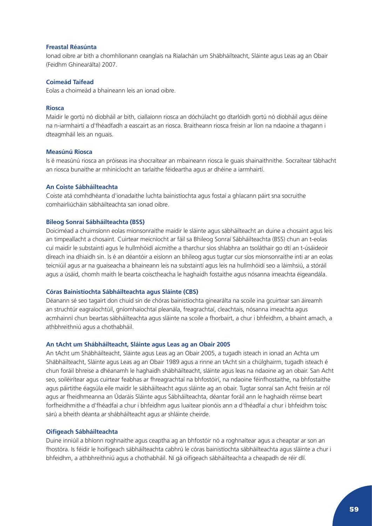#### **Freastal Réasúnta**

Ionad oibre ar bith a chomhlíonann ceanglais na Rialachán um Shábháilteacht, Sláinte agus Leas ag an Obair (Feidhm Ghinearálta) 2007.

#### **Coimeád Taifead**

Eolas a choimeád a bhaineann leis an ionad oibre.

#### **Riosca**

Maidir le gortú nó díobháil ar bith, ciallaíonn riosca an dóchúlacht go dtarlóidh gortú nó díobháil agus déine na n-iarmhairtí a d'fhéadfadh a eascairt as an riosca. Braitheann riosca freisin ar líon na ndaoine a thagann i dteagmháil leis an nguais.

#### **Measúnú Riosca**

Is é measúnú riosca an próiseas ina shocraítear an mbaineann riosca le guais shainaithnithe. Socraítear tábhacht an riosca bunaithe ar mhinicíocht an tarlaithe féideartha agus ar dhéine a iarmhairtí.

#### **An Coiste Sábháilteachta**

Coiste atá comhdhéanta d'ionadaithe luchta bainistíochta agus fostaí a ghlacann páirt sna socruithe comhairliúcháin sábháilteachta san ionad oibre.

#### **Bileog Sonraí Sábháilteachta (BSS)**

Doiciméad a chuimsíonn eolas mionsonraithe maidir le sláinte agus sábháilteacht an duine a chosaint agus leis an timpeallacht a chosaint. Cuirtear meicníocht ar fáil sa Bhileog Sonraí Sábháilteachta (BSS) chun an t-eolas cuí maidir le substaintí agus le hullmhóidí aicmithe a tharchur síos shlabhra an tsoláthair go dtí an t-úsáideoir díreach ina dhiaidh sin. Is é an déantóir a eisíonn an bhileog agus tugtar cur síos mionsonraithe inti ar an eolas teicniúil agus ar na guaiseacha a bhaineann leis na substaintí agus leis na hullmhóidí seo a láimhsiú, a stóráil agus a úsáid, chomh maith le bearta coisctheacha le haghaidh fostaithe agus nósanna imeachta éigeandála.

#### **Córas Bainistíochta Sábháilteachta agus Sláinte (CBS)**

Déanann sé seo tagairt don chuid sin de chóras bainistíochta ginearálta na scoile ina gcuirtear san áireamh an struchtúr eagraíochtúil, gníomhaíochtaí pleanála, freagrachtaí, cleachtais, nósanna imeachta agus acmhainní chun beartas sábháilteachta agus sláinte na scoile a fhorbairt, a chur i bhfeidhm, a bhaint amach, a athbhreithniú agus a chothabháil.

#### **An tAcht um Shábháilteacht, Sláinte agus Leas ag an Obair 2005**

An tAcht um Shábháilteacht, Sláinte agus Leas ag an Obair 2005, a tugadh isteach in ionad an Achta um Shábháilteacht, Sláinte agus Leas ag an Obair 1989 agus a rinne an tAcht sin a chúlghairm, tugadh isteach é chun foráil bhreise a dhéanamh le haghaidh shábháilteacht, sláinte agus leas na ndaoine ag an obair. San Acht seo, soiléirítear agus cuirtear feabhas ar fhreagrachtaí na bhfostóirí, na ndaoine féinfhostaithe, na bhfostaithe agus páirtithe éagsúla eile maidir le sábháilteacht agus sláinte ag an obair. Tugtar sonraí san Acht freisin ar ról agus ar fheidhmeanna an Údaráis Sláinte agus Sábháilteachta, déantar foráil ann le haghaidh réimse beart forfheidhmithe a d'fhéadfaí a chur i bhfeidhm agus luaitear pionóis ann a d'fhéadfaí a chur i bhfeidhm toisc sárú a bheith déanta ar shábháilteacht agus ar shláinte cheirde.

### **Oifigeach Sábháilteachta**

Duine inniúil a bhíonn roghnaithe agus ceaptha ag an bhfostóir nó a roghnaítear agus a cheaptar ar son an fhostóra. Is féidir le hoifigeach sábháilteachta cabhrú le córas bainistíochta sábháilteachta agus sláinte a chur i bhfeidhm, a athbhreithniú agus a chothabháil. Ní gá oifigeach sábháilteachta a cheapadh de réir dlí.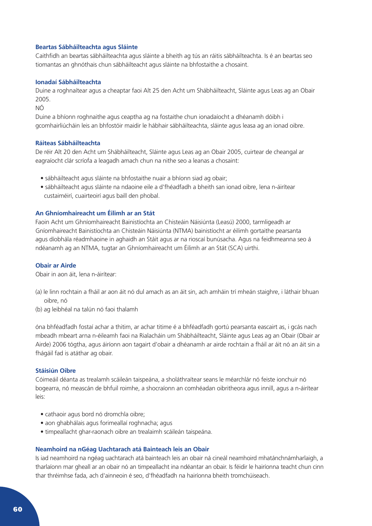#### **Beartas Sábháilteachta agus Sláinte**

Caithfidh an beartas sábháilteachta agus sláinte a bheith ag tús an ráitis sábháilteachta. Is é an beartas seo tiomantas an ghnóthais chun sábháilteacht agus sláinte na bhfostaithe a chosaint.

#### **Ionadaí Sábháilteachta**

Duine a roghnaítear agus a cheaptar faoi Alt 25 den Acht um Shábháilteacht, Sláinte agus Leas ag an Obair 2005.

NÓ

Duine a bhíonn roghnaithe agus ceaptha ag na fostaithe chun ionadaíocht a dhéanamh dóibh i gcomhairliúcháin leis an bhfostóir maidir le hábhair sábháilteachta, sláinte agus leasa ag an ionad oibre.

#### **Ráiteas Sábháilteachta**

De réir Alt 20 den Acht um Shábháilteacht, Sláinte agus Leas ag an Obair 2005, cuirtear de cheangal ar eagraíocht clár scríofa a leagadh amach chun na nithe seo a leanas a chosaint:

- sábháilteacht agus sláinte na bhfostaithe nuair a bhíonn siad ag obair;
- sábháilteacht agus sláinte na ndaoine eile a d'fhéadfadh a bheith san ionad oibre, lena n-áirítear custaiméirí, cuairteoirí agus baill den phobal.

### **An Ghníomhaireacht um Éilimh ar an Stát**

Faoin Acht um Ghníomhaireacht Bainistíochta an Chisteáin Náisiúnta (Leasú) 2000, tarmligeadh ar Gníomhaireacht Bainistíochta an Chisteáin Náisiúnta (NTMA) bainistíocht ar éilimh gortaithe pearsanta agus díobhála réadmhaoine in aghaidh an Stáit agus ar na rioscaí bunúsacha. Agus na feidhmeanna seo á ndéanamh ag an NTMA, tugtar an Ghníomhaireacht um Éilimh ar an Stát (SCA) uirthi.

#### **Obair ar Airde**

Obair in aon áit, lena n-áirítear:

- (a) le linn rochtain a fháil ar aon áit nó dul amach as an áit sin, ach amháin trí mheán staighre, i láthair bhuan oibre, nó
- (b) ag leibhéal na talún nó faoi thalamh

óna bhféadfadh fostaí achar a thitim, ar achar titime é a bhféadfadh gortú pearsanta eascairt as, i gcás nach mbeadh mbeart arna n-éileamh faoi na Rialacháin um Shábháilteacht, Sláinte agus Leas ag an Obair (Obair ar Airde) 2006 tógtha, agus áiríonn aon tagairt d'obair a dhéanamh ar airde rochtain a fháil ar áit nó an áit sin a fhágáil fad is atáthar ag obair.

### **Stáisiún Oibre**

Cóimeáil déanta as trealamh scáileán taispeána, a sholáthraítear seans le méarchlár nó feiste ionchuir nó bogearra, nó meascán de bhfuil roimhe, a shocraíonn an comhéadan oibritheora agus innill, agus a n-áirítear leis:

- cathaoir agus bord nó dromchla oibre;
- aon ghabhálais agus forimeallaí roghnacha; agus
- timpeallacht ghar-raonach oibre an trealaimh scáileán taispeána.

#### **Neamhoird na nGéag Uachtarach atá Bainteach leis an Obair**

Is iad neamhoird na ngéag uachtarach atá bainteach leis an obair ná cineál neamhoird mhatánchnámharlaigh, a tharlaíonn mar gheall ar an obair nó an timpeallacht ina ndéantar an obair. Is féidir le hairíonna teacht chun cinn thar thréimhse fada, ach d'ainneoin é seo, d'fhéadfadh na hairíonna bheith tromchúiseach.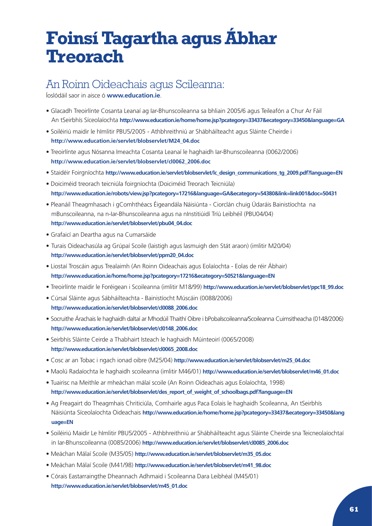## <span id="page-61-0"></span>**Foinsí Tagartha agus Ábhar Treorach**

## An Roinn Oideachais agus Scileanna:

Íoslódáil saor in aisce ó **[www.education.ie](http://www.education.ie)**.

- Glacadh Treoirlínte Cosanta Leanaí ag Iar-Bhunscoileanna sa bhliain 2005/6 agus Teileafón a Chur Ar Fáil An tSeirbhís Síceolaíochta **[http://www.education.ie/home/home.jsp?pcategory=33437&ecategory=33450&language=GA](http://www.education.ie/servlet/blobservlet/pbu49_99.doc)**
- Soiléiriú maidir le hImlitir PBU5/2005 Athbhreithniú ar Shábháilteacht agus Sláinte Cheirde i  **[http://www.education.ie/servlet/blobservlet/M24\\_04.doc](http://www.education.ie/servlet/blobservlet/M24_04.doc)**
- Treoirlínte agus Nósanna Imeachta Cosanta Leanaí le haghaidh Iar-Bhunscoileanna (0062/2006) **[http://www.education.ie/servlet/blobservlet/cl0062\\_2006.doc](http://www.education.ie/servlet/blobservlet/cl0062_2006.doc)**
- Staidéir Foirgníochta **[http://www.education.ie/servlet/blobservlet/lc\\_design\\_communications\\_tg\\_2009.pdf?language=EN](http://www.education.ie/servlet/blobservlet/lc_design_communications_tg_2009.pdf?language=EN)**
- Doiciméid treorach teicniúla foirgníochta (Doiciméid Treorach Teicniúla)  **[http://www.education.ie/robots/view.jsp?pcategory=17216&language=GA&ecategory=54380&link=link001&doc=50431](http://www.education.ie/robots/view.jsp?pcategory=17216&language=EN&ecategory=54380&link=link001&doc)**
- Pleanáil Theagmhasach i gComhthéacs Éigeandála Náisiúnta Ciorclán chuig Údaráis Bainistíochta na mBunscoileanna, na n-Iar-Bhunscoileanna agus na nInstitiúidí Tríú Leibhéil (PBU04/04)  **[http://www.education.ie/servlet/blobservlet/pbu04\\_04.doc](http://www.education.ie/servlet/blobservlet/pbu04_04.doc)**
- Grafaicí an Deartha agus na Cumarsáide
- Turais Oideachasúla ag Grúpaí Scoile (laistigh agus lasmuigh den Stát araon) (imlitir M20/04)  **[http://www.education.ie/servlet/blobservlet/ppm20\\_04.doc](http://www.education.ie/servlet/blobservlet/ppm20_04.doc)**
- Liostaí Troscáin agus Trealaimh (An Roinn Oideachais agus Eolaíochta Eolas de réir Ábhair)  **<http://www.education.ie/home/home.jsp?pcategory=17216&ecategory=50521&language=EN>**
- Treoirlínte maidir le Foréigean i Scoileanna (imlitir M18/99) **[http://www.education.ie/servlet/blobservlet/ppc18\\_99.doc](http://www.education.ie/servlet/blobservlet/ppc18_99.doc)**
- Cúrsaí Sláinte agus Sábháilteachta Bainistíocht Múscáin (0088/2006)  **[http://www.education.ie/servlet/blobservlet/cl0088\\_2006.doc](http://www.education.ie/servlet/blobservlet/cl0088_2006.doc)**
- Socruithe Árachais le haghaidh daltaí ar Mhodúil Thaithí Oibre i bPobalscoileanna/Scoileanna Cuimsitheacha (0148/2006)  **[http://www.education.ie/servlet/blobservlet/cl0148\\_2006.doc](http://www.education.ie/servlet/blobservlet/cl0148_2006.doc)**
- Seirbhís Sláinte Ceirde a Thabhairt Isteach le haghaidh Múinteoirí (0065/2008)  **[http://www.education.ie/servlet/blobservlet/cl0065\\_2008.doc](http://www.education.ie/servlet/blobservlet/cl0065_2008.doc)**
- Cosc ar an Tobac i ngach ionad oibre (M25/04) **[http://www.education.ie/servlet/blobservlet/m25\\_04.doc](http://www.education.ie/servlet/blobservlet/m25_04.doc)**
- Maolú Radaíochta le haghaidh scoileanna (imlitir M46/01) **[http://www.education.ie/servlet/blobservlet/m46\\_01.doc](http://www.education.ie/servlet/blobservlet/m46_01.doc)**
- Tuairisc na Meithle ar mheáchan málaí scoile (An Roinn Oideachais agus Eolaíochta, 1998)  **[http://www.education.ie/servlet/blobservlet/des\\_report\\_of\\_weight\\_of\\_schoolbags.pdf?language=EN](http://www.education.ie/servlet/blobservlet/des_report_of_weight_of_schoolbags.pdf?language=EN)**
- Ag Freagairt do Theagmhais Chriticiúla, Comhairle agus Paca Eolais le haghaidh Scoileanna, An tSeirbhís Náisiúnta Síceolaíochta Oideachais **[http://www.education.ie/home/home.jsp?pcategory=33437&ecategory=33450&lang](http://www.education.ie/home/home.jsp?pcategory=33437&ecategory=33450&language=EN) [uage=EN](http://www.education.ie/home/home.jsp?pcategory=33437&ecategory=33450&language=EN)**
- Soiléiriú Maidir Le hImlitir PBU5/2005 Athbhreithniú ar Shábháilteacht agus Sláinte Cheirde sna Teicneolaíochtaí in Iar-Bhunscoileanna (0085/2006) **[http://www.education.ie/servlet/blobservlet/cl0085\\_2006.doc](http://www.education.ie/servlet/blobservlet/cl0085_2006.doc)**
- Meáchan Málaí Scoile (M35/05) **[http://www.education.ie/servlet/blobservlet/m35\\_05.doc](http://www.education.ie/servlet/blobservlet/m35_05.doc)**
- Meáchan Málaí Scoile (M41/98) **[http://www.education.ie/servlet/blobservlet/m41\\_98.doc](http://www.education.ie/servlet/blobservlet/m41_98.doc)**
- Córais Eastarraingthe Dheannach Adhmaid i Scoileanna Dara Leibhéal (M45/01)  **[http://www.education.ie/servlet/blobservlet/m45\\_01.doc](http://www.education.ie/servlet/blobservlet/m45_01.doc)**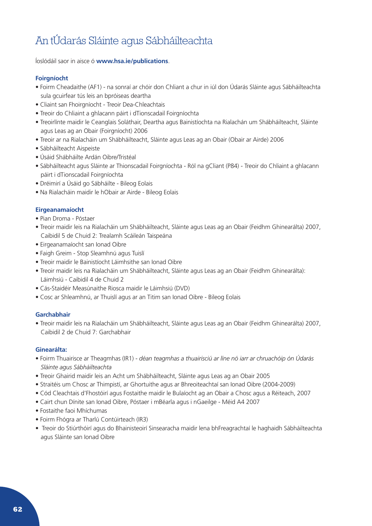## An tÚdarás Sláinte agus Sábháilteachta

Íoslódáil saor in aisce ó **[www.hsa.ie/publications](http://www.hsa.ie/publications)**.

## **Foirgníocht**

- Foirm Cheadaithe (AF1) na sonraí ar chóir don Chliant a chur in iúl don Údarás Sláinte agus Sábháilteachta sula gcuirfear tús leis an bpróiseas deartha
- Cliaint san Fhoirgníocht Treoir Dea-Chleachtais
- Treoir do Chliaint a ghlacann páirt i dTionscadail Foirgníochta
- Treoirlínte maidir le Ceanglais Soláthair, Deartha agus Bainistíochta na Rialachán um Shábháilteacht, Sláinte agus Leas ag an Obair (Foirgníocht) 2006
- Treoir ar na Rialacháin um Shábháilteacht, Sláinte agus Leas ag an Obair (Obair ar Airde) 2006
- Sábháilteacht Aispeiste
- Úsáid Shábháilte Ardán Oibre/Tristéal
- Sábháilteacht agus Sláinte ar Thionscadail Foirgníochta Ról na gCliant (P84) Treoir do Chliaint a ghlacann páirt i dTionscadail Foirgníochta
- Dréimirí a Úsáid go Sábháilte Bileog Eolais
- Na Rialacháin maidir le hObair ar Airde Bileog Eolais

## **Eirgeanamaíocht**

- Pian Droma Póstaer
- Treoir maidir leis na Rialacháin um Shábháilteacht, Sláinte agus Leas ag an Obair (Feidhm Ghinearálta) 2007, Caibidil 5 de Chuid 2: Trealamh Scáileán Taispeána
- Eirgeanamaíocht san Ionad Oibre
- Faigh Greim Stop Sleamhnú agus Tuislí
- Treoir maidir le Bainistíocht Láimhsithe san Ionad Oibre
- Treoir maidir leis na Rialacháin um Shábháilteacht, Sláinte agus Leas ag an Obair (Feidhm Ghinearálta): Láimhsiú - Caibidil 4 de Chuid 2
- Cás-Staidéir Measúnaithe Riosca maidir le Láimhsiú (DVD)
- Cosc ar Shleamhnú, ar Thuislí agus ar an Titim san Ionad Oibre Bileog Eolais

## **Garchabhair**

• Treoir maidir leis na Rialacháin um Shábháilteacht, Sláinte agus Leas ag an Obair (Feidhm Ghinearálta) 2007, Caibidil 2 de Chuid 7: Garchabhair

## **Ginearálta:**

- Foirm Thuairisce ar Theagmhas (IR1) *déan teagmhas a thuairisciú ar líne nó iarr ar chruachóip ón Údarás Sláinte agus Sábháilteachta*
- Treoir Ghairid maidir leis an Acht um Shábháilteacht, Sláinte agus Leas ag an Obair 2005
- Straitéis um Chosc ar Thimpistí, ar Ghortuithe agus ar Bhreoiteachtaí san Ionad Oibre (2004-2009)
- Cód Cleachtais d'Fhostóirí agus Fostaithe maidir le Bulaíocht ag an Obair a Chosc agus a Réiteach, 2007
- Cairt chun Dínite san Ionad Oibre, Póstaer i mBéarla agus i nGaeilge Méid A4 2007
- Fostaithe faoi Mhíchumas
- Foirm Fhógra ar Tharlú Contúirteach (IR3)
- Treoir do Stiúrthóirí agus do Bhainisteoirí Sinsearacha maidir lena bhFreagrachtaí le haghaidh Sábháilteachta agus Sláinte san Ionad Oibre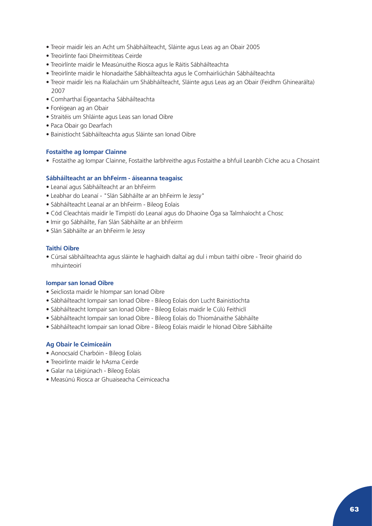- Treoir maidir leis an Acht um Shábháilteacht, Sláinte agus Leas ag an Obair 2005
- Treoirlínte faoi Dheirmitíteas Ceirde
- Treoirlínte maidir le Measúnuithe Riosca agus le Ráitis Sábháilteachta
- Treoirlínte maidir le hIonadaithe Sábháilteachta agus le Comhairliúchán Sábháilteachta
- Treoir maidir leis na Rialacháin um Shábháilteacht, Sláinte agus Leas ag an Obair (Feidhm Ghinearálta) 2007
- Comharthaí Éigeantacha Sábháilteachta
- Foréigean ag an Obair
- Straitéis um Shláinte agus Leas san Ionad Oibre
- Paca Obair go Dearfach
- Bainistíocht Sábháilteachta agus Sláinte san Ionad Oibre

#### **Fostaithe ag Iompar Clainne**

• Fostaithe ag Iompar Clainne, Fostaithe Iarbhreithe agus Fostaithe a bhfuil Leanbh Cíche acu a Chosaint

#### **Sábháilteacht ar an bhFeirm - áiseanna teagaisc**

- Leanaí agus Sábháilteacht ar an bhFeirm
- Leabhar do Leanaí "Slán Sábháilte ar an bhFeirm le Jessy"
- Sábháilteacht Leanaí ar an bhFeirm Bileog Eolais
- Cód Cleachtais maidir le Timpistí do Leanaí agus do Dhaoine Óga sa Talmhaíocht a Chosc
- Imir go Sábháilte, Fan Slán Sábháilte ar an bhFeirm
- Slán Sábháilte ar an bhFeirm le Jessy

### **Taithí Oibre**

• Cúrsaí sábháilteachta agus sláinte le haghaidh daltaí ag dul i mbun taithí oibre - Treoir ghairid do mhuinteoirí

#### **Iompar san Ionad Oibre**

- Seicliosta maidir le hIompar san Ionad Oibre
- Sábháilteacht Iompair san Ionad Oibre Bileog Eolais don Lucht Bainistíochta
- Sábháilteacht Iompair san Ionad Oibre Bileog Eolais maidir le Cúlú Feithiclí
- Sábháilteacht Iompair san Ionad Oibre Bileog Eolais do Thiománaithe Sábháilte
- Sábháilteacht Iompair san Ionad Oibre Bileog Eolais maidir le hIonad Oibre Sábháilte

### **Ag Obair le Ceimiceáin**

- Aonocsaíd Charbóin Bileog Eolais
- Treoirlínte maidir le hAsma Ceirde
- Galar na Léigiúnach Bileog Eolais
- Measúnú Riosca ar Ghuaiseacha Ceimiceacha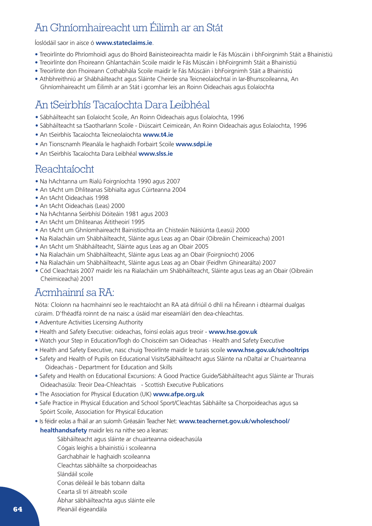## An Ghníomhaireacht um Éilimh ar an Stát

Íoslódáil saor in aisce ó **[www.stateclaims.ie](http://www.stateclaims.ie)**.

- Treoirlínte do Phríomhoidí agus do Bhoird Bainisteoireachta maidir le Fás Múscáin i bhFoirgnimh Stáit a Bhainistiú
- Treoirlínte don Fhoireann Ghlantacháin Scoile maidir le Fás Múscáin i bhFoirgnimh Stáit a Bhainistiú
- Treoirlínte don Fhoireann Cothabhála Scoile maidir le Fás Múscáin i bhFoirgnimh Stáit a Bhainistiú
- Athbhreithniú ar Shábháilteacht agus Sláinte Cheirde sna Teicneolaíochtaí in Iar-Bhunscoileanna, An Ghníomhaireacht um Éilimh ar an Stát i gcomhar leis an Roinn Oideachais agus Eolaíochta

## An tSeirbhís Tacaíochta Dara Leibhéal

- Sábháilteacht san Eolaíocht Scoile, An Roinn Oideachais agus Eolaíochta, 1996
- Sábháilteacht sa tSaotharlann Scoile Diúscairt Ceimiceán, An Roinn Oideachais agus Eolaíochta, 1996
- An tSeirbhís Tacaíochta Teicneolaíochta **[www.t4.ie](http://www.t4.ie)**
- An Tionscnamh Pleanála le haghaidh Forbairt Scoile **[www.sdpi.ie](http://www.sdpi.ie)**
- An tSeirbhís Tacaíochta Dara Leibhéal **[www.slss.ie](http://www.slss.ie)**

## Reachtaíocht

- Na hAchtanna um Rialú Foirgníochta 1990 agus 2007
- An tAcht um Dhliteanas Sibhialta agus Cúirteanna 2004
- An tAcht Oideachais 1998
- An tAcht Oideachais (Leas) 2000
- Na hAchtanna Seirbhísí Dóiteáin 1981 agus 2003
- An tAcht um Dhliteanas Áititheoirí 1995
- An tAcht um Ghníomhaireacht Bainistíochta an Chisteáin Náisiúnta (Leasú) 2000
- Na Rialacháin um Shábháilteacht, Sláinte agus Leas ag an Obair (Oibreáin Cheimiceacha) 2001
- An tAcht um Shábháilteacht, Sláinte agus Leas ag an Obair 2005
- Na Rialacháin um Shábháilteacht, Sláinte agus Leas ag an Obair (Foirgníocht) 2006
- Na Rialacháin um Shábháilteacht, Sláinte agus Leas ag an Obair (Feidhm Ghinearálta) 2007
- Cód Cleachtais 2007 maidir leis na Rialacháin um Shábháilteacht, Sláinte agus Leas ag an Obair (Oibreáin Cheimiceacha) 2001

## Acmhainní sa RA:

Nóta: Cloíonn na hacmhainní seo le reachtaíocht an RA atá difriúil ó dhlí na hÉireann i dtéarmaí dualgas cúraim. D'fhéadfá roinnt de na naisc a úsáid mar eiseamláirí den dea-chleachtas.

- Adventure Activities Licensing Authority
- Health and Safety Executive: oideachas, foinsí eolais agus treoir **[www.hse.gov.uk](http://www.hse.gov.uk)**
- Watch your Step in Education/Togh do Choiscéim san Oideachas Health and Safety Executive
- Health and Safety Executive, nasc chuig Treoirlínte maidir le turais scoile **[www.hse.gov.uk/schooltrips](http://www.hse.gov.uk/schooltrips)**
- Safety and Health of Pupils on Educational Visits/Sábháilteacht agus Sláinte na nDaltaí ar Chuairteanna Oideachais - Department for Education and Skills
- Safety and Health on Educational Excursions: A Good Practice Guide/Sábháilteacht agus Sláinte ar Thurais Oideachasúla: Treoir Dea-Chleachtais - Scottish Executive Publications
- The Association for Physical Education (UK) **[www.afpe.org.uk](http://www.afpe.org.uk)**
- Safe Practice in Physical Education and School Sport/Cleachtas Sábháilte sa Chorpoideachas agus sa Spóirt Scoile, Association for Physical Education
- Is féidir eolas a fháil ar an suíomh Gréasáin Teacher Net: **[www.teachernet.gov.uk/wholeschool/](www.teachernet.gov.uk/wholeschool/			healthandsafety)**

### **[healthandsafety](www.teachernet.gov.uk/wholeschool/			healthandsafety)** maidir leis na nithe seo a leanas:

- Sábháilteacht agus sláinte ar chuairteanna oideachasúla
- Cógais leighis a bhainistiú i scoileanna
- Garchabhair le haghaidh scoileanna
- Cleachtas sábháilte sa chorpoideachas
- Slándáil scoile
- Conas déileáil le bás tobann dalta
- Cearta slí trí áitreabh scoile
- Ábhar sábháilteachta agus sláinte eile
- Pleanáil éigeandála